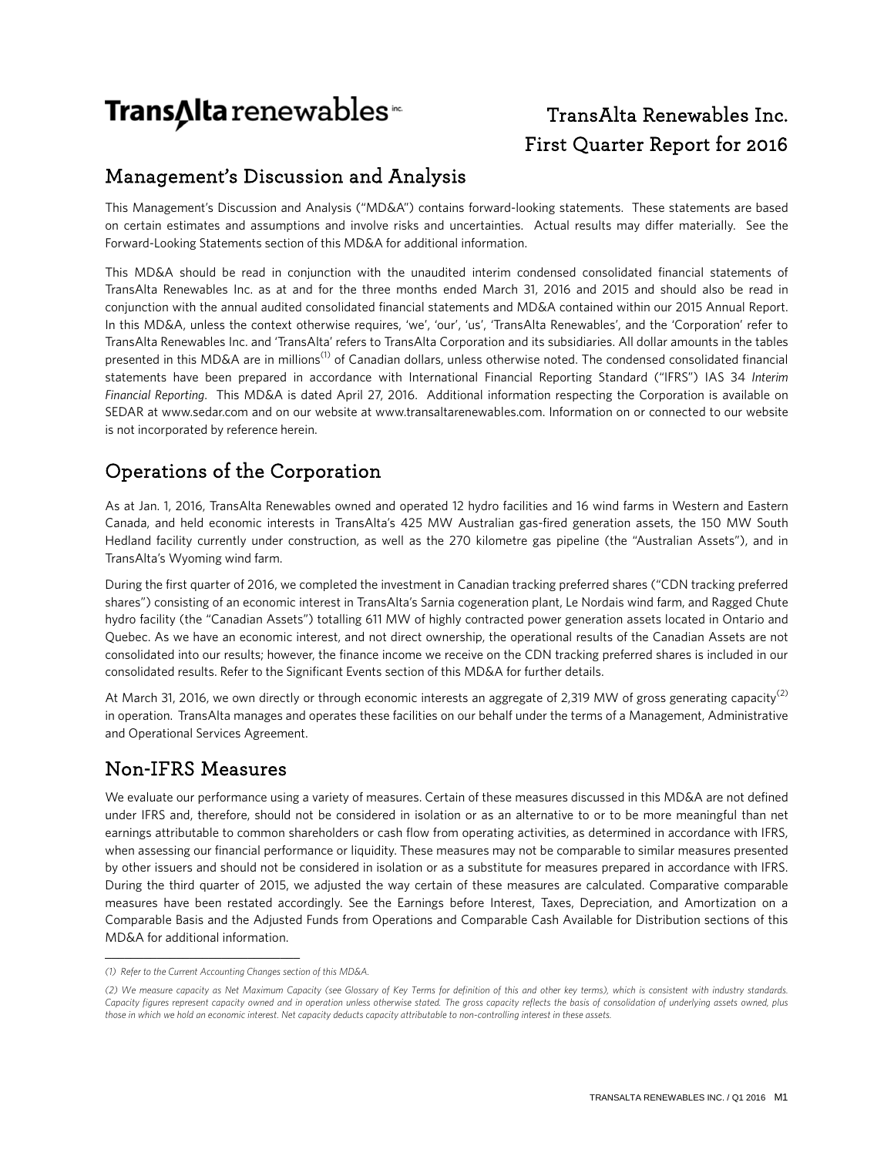# Trans∆lta renewables

## TransAlta Renewables Inc. First Quarter Report for 2016

## Management's Discussion and Analysis

This Management's Discussion and Analysis ("MD&A") contains forward-looking statements. These statements are based on certain estimates and assumptions and involve risks and uncertainties. Actual results may differ materially. See the Forward-Looking Statements section of this MD&A for additional information.

This MD&A should be read in conjunction with the unaudited interim condensed consolidated financial statements of TransAlta Renewables Inc. as at and for the three months ended March 31, 2016 and 2015 and should also be read in conjunction with the annual audited consolidated financial statements and MD&A contained within our 2015 Annual Report. In this MD&A, unless the context otherwise requires, 'we', 'our', 'us', 'TransAlta Renewables', and the 'Corporation' refer to TransAlta Renewables Inc. and 'TransAlta' refers to TransAlta Corporation and its subsidiaries. All dollar amounts in the tables presented in this MD&A are in millions<sup>(1)</sup> of Canadian dollars, unless otherwise noted. The condensed consolidated financial statements have been prepared in accordance with International Financial Reporting Standard ("IFRS") IAS 34 *Interim Financial Reporting*. This MD&A is dated April 27, 2016. Additional information respecting the Corporation is available on SEDAR at [www.sedar.com](http://www.sedar.com/) and on our website at www.transaltarenewables.com. Information on or connected to our website is not incorporated by reference herein.

## Operations of the Corporation

As at Jan. 1, 2016, TransAlta Renewables owned and operated 12 hydro facilities and 16 wind farms in Western and Eastern Canada, and held economic interests in TransAlta's 425 MW Australian gas-fired generation assets, the 150 MW South Hedland facility currently under construction, as well as the 270 kilometre gas pipeline (the "Australian Assets"), and in TransAlta's Wyoming wind farm.

During the first quarter of 2016, we completed the investment in Canadian tracking preferred shares ("CDN tracking preferred shares") consisting of an economic interest in TransAlta's Sarnia cogeneration plant, Le Nordais wind farm, and Ragged Chute hydro facility (the "Canadian Assets") totalling 611 MW of highly contracted power generation assets located in Ontario and Quebec. As we have an economic interest, and not direct ownership, the operational results of the Canadian Assets are not consolidated into our results; however, the finance income we receive on the CDN tracking preferred shares is included in our consolidated results. Refer to the Significant Events section of this MD&A for further details.

At March 31, 2016, we own directly or through economic interests an aggregate of 2,319 MW of gross generating capacity<sup>(2)</sup> in operation. TransAlta manages and operates these facilities on our behalf under the terms of a Management, Administrative and Operational Services Agreement.

## Non-IFRS Measures

We evaluate our performance using a variety of measures. Certain of these measures discussed in this MD&A are not defined under IFRS and, therefore, should not be considered in isolation or as an alternative to or to be more meaningful than net earnings attributable to common shareholders or cash flow from operating activities, as determined in accordance with IFRS, when assessing our financial performance or liquidity. These measures may not be comparable to similar measures presented by other issuers and should not be considered in isolation or as a substitute for measures prepared in accordance with IFRS. During the third quarter of 2015, we adjusted the way certain of these measures are calculated. Comparative comparable measures have been restated accordingly. See the Earnings before Interest, Taxes, Depreciation, and Amortization on a Comparable Basis and the Adjusted Funds from Operations and Comparable Cash Available for Distribution sections of this MD&A for additional information.

\_\_\_\_\_\_\_\_\_\_\_\_\_\_\_\_\_\_\_\_\_\_\_\_\_\_\_\_\_\_

*<sup>(1)</sup> Refer to the Current Accounting Changes section of this MD&A.*

*<sup>(2)</sup> We measure capacity as Net Maximum Capacity (see Glossary of Key Terms for definition of this and other key terms), which is consistent with industry standards.*  Capacity figures represent capacity owned and in operation unless otherwise stated. The gross capacity reflects the basis of consolidation of underlying assets owned, plus *those in which we hold an economic interest. Net capacity deducts capacity attributable to non-controlling interest in these assets.*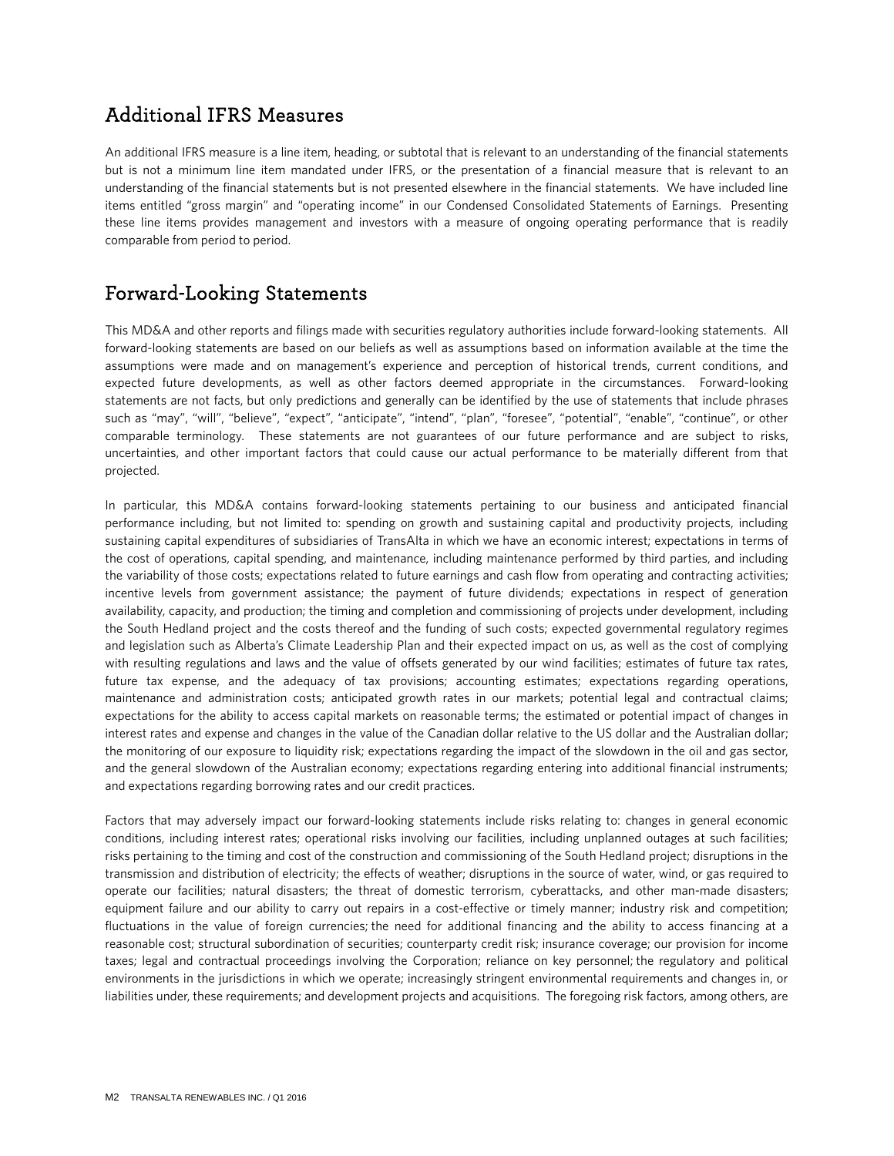## Additional IFRS Measures

An additional IFRS measure is a line item, heading, or subtotal that is relevant to an understanding of the financial statements but is not a minimum line item mandated under IFRS, or the presentation of a financial measure that is relevant to an understanding of the financial statements but is not presented elsewhere in the financial statements. We have included line items entitled "gross margin" and "operating income" in our Condensed Consolidated Statements of Earnings. Presenting these line items provides management and investors with a measure of ongoing operating performance that is readily comparable from period to period.

## Forward-Looking Statements

This MD&A and other reports and filings made with securities regulatory authorities include forward-looking statements. All forward-looking statements are based on our beliefs as well as assumptions based on information available at the time the assumptions were made and on management's experience and perception of historical trends, current conditions, and expected future developments, as well as other factors deemed appropriate in the circumstances. Forward-looking statements are not facts, but only predictions and generally can be identified by the use of statements that include phrases such as "may", "will", "believe", "expect", "anticipate", "intend", "plan", "foresee", "potential", "enable", "continue", or other comparable terminology. These statements are not guarantees of our future performance and are subject to risks, uncertainties, and other important factors that could cause our actual performance to be materially different from that projected.

In particular, this MD&A contains forward-looking statements pertaining to our business and anticipated financial performance including, but not limited to: spending on growth and sustaining capital and productivity projects, including sustaining capital expenditures of subsidiaries of TransAlta in which we have an economic interest; expectations in terms of the cost of operations, capital spending, and maintenance, including maintenance performed by third parties, and including the variability of those costs; expectations related to future earnings and cash flow from operating and contracting activities; incentive levels from government assistance; the payment of future dividends; expectations in respect of generation availability, capacity, and production; the timing and completion and commissioning of projects under development, including the South Hedland project and the costs thereof and the funding of such costs; expected governmental regulatory regimes and legislation such as Alberta's Climate Leadership Plan and their expected impact on us, as well as the cost of complying with resulting regulations and laws and the value of offsets generated by our wind facilities; estimates of future tax rates, future tax expense, and the adequacy of tax provisions; accounting estimates; expectations regarding operations, maintenance and administration costs; anticipated growth rates in our markets; potential legal and contractual claims; expectations for the ability to access capital markets on reasonable terms; the estimated or potential impact of changes in interest rates and expense and changes in the value of the Canadian dollar relative to the US dollar and the Australian dollar; the monitoring of our exposure to liquidity risk; expectations regarding the impact of the slowdown in the oil and gas sector, and the general slowdown of the Australian economy; expectations regarding entering into additional financial instruments; and expectations regarding borrowing rates and our credit practices.

Factors that may adversely impact our forward-looking statements include risks relating to: changes in general economic conditions, including interest rates; operational risks involving our facilities, including unplanned outages at such facilities; risks pertaining to the timing and cost of the construction and commissioning of the South Hedland project; disruptions in the transmission and distribution of electricity; the effects of weather; disruptions in the source of water, wind, or gas required to operate our facilities; natural disasters; the threat of domestic terrorism, cyberattacks, and other man-made disasters; equipment failure and our ability to carry out repairs in a cost-effective or timely manner; industry risk and competition; fluctuations in the value of foreign currencies; the need for additional financing and the ability to access financing at a reasonable cost; structural subordination of securities; counterparty credit risk; insurance coverage; our provision for income taxes; legal and contractual proceedings involving the Corporation; reliance on key personnel; the regulatory and political environments in the jurisdictions in which we operate; increasingly stringent environmental requirements and changes in, or liabilities under, these requirements; and development projects and acquisitions. The foregoing risk factors, among others, are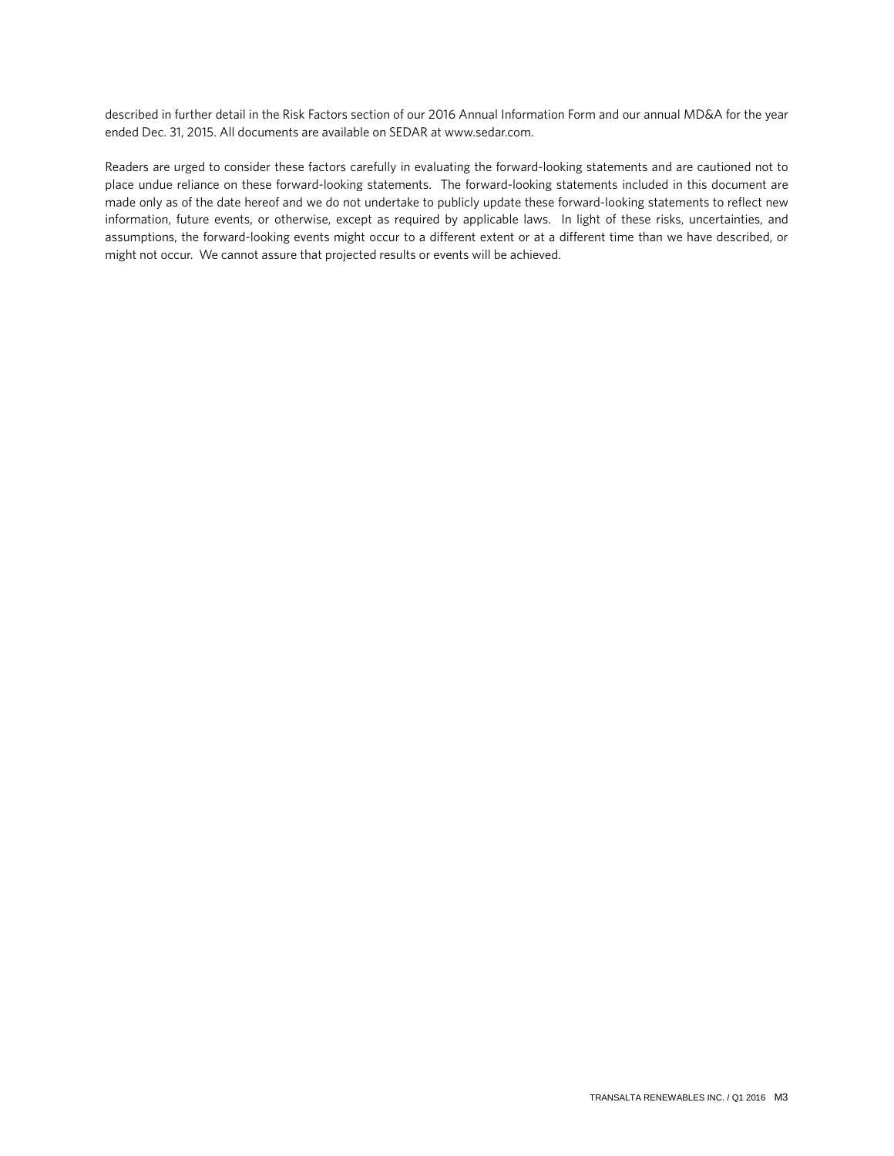described in further detail in the Risk Factors section of our 2016 Annual Information Form and our annual MD&A for the year ended Dec. 31, 2015. All documents are available on SEDAR at www.sedar.com.

Readers are urged to consider these factors carefully in evaluating the forward-looking statements and are cautioned not to place undue reliance on these forward-looking statements. The forward-looking statements included in this document are made only as of the date hereof and we do not undertake to publicly update these forward-looking statements to reflect new information, future events, or otherwise, except as required by applicable laws. In light of these risks, uncertainties, and assumptions, the forward-looking events might occur to a different extent or at a different time than we have described, or might not occur. We cannot assure that projected results or events will be achieved.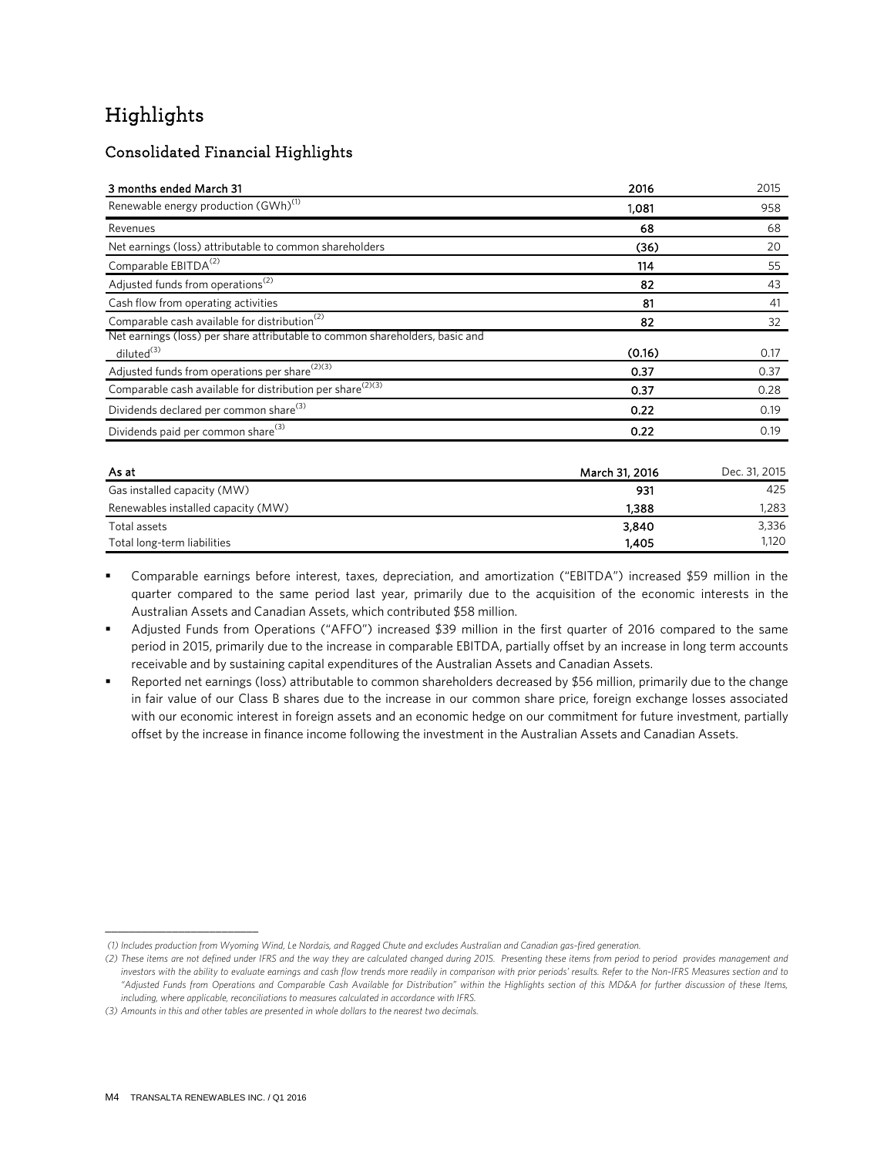## Highlights

### Consolidated Financial Highlights

| 3 months ended March 31                                                                                | 2016           | 2015          |
|--------------------------------------------------------------------------------------------------------|----------------|---------------|
| Renewable energy production (GWh) <sup>(1)</sup>                                                       | 1,081          | 958           |
| Revenues                                                                                               | 68             | 68            |
| Net earnings (loss) attributable to common shareholders                                                | (36)           | 20            |
| Comparable EBITDA <sup>(2)</sup>                                                                       | 114            | 55            |
| Adjusted funds from operations <sup>(2)</sup>                                                          | 82             | 43            |
| Cash flow from operating activities                                                                    | 81             | 41            |
| Comparable cash available for distribution <sup>(2)</sup>                                              | 82             | 32            |
| Net earnings (loss) per share attributable to common shareholders, basic and<br>diluted <sup>(3)</sup> | (0.16)         | 0.17          |
| Adjusted funds from operations per share <sup>(2)(3)</sup>                                             | 0.37           | 0.37          |
| Comparable cash available for distribution per share <sup>(2)(3)</sup>                                 | 0.37           | 0.28          |
| Dividends declared per common share <sup>(3)</sup>                                                     | 0.22           | 0.19          |
| Dividends paid per common share <sup>(3)</sup>                                                         | 0.22           | 0.19          |
| As at                                                                                                  | March 31, 2016 | Dec. 31, 2015 |
| Gas installed capacity (MW)                                                                            | 931            | 425           |
| Renewables installed capacity (MW)                                                                     | 1,388          | 1,283         |
| Total assets                                                                                           | 3,840          | 3,336         |

 Comparable earnings before interest, taxes, depreciation, and amortization ("EBITDA") increased \$59 million in the quarter compared to the same period last year, primarily due to the acquisition of the economic interests in the Australian Assets and Canadian Assets, which contributed \$58 million.

Total long-term liabilities 1,120

 Adjusted Funds from Operations ("AFFO") increased \$39 million in the first quarter of 2016 compared to the same period in 2015, primarily due to the increase in comparable EBITDA, partially offset by an increase in long term accounts receivable and by sustaining capital expenditures of the Australian Assets and Canadian Assets.

 Reported net earnings (loss) attributable to common shareholders decreased by \$56 million, primarily due to the change in fair value of our Class B shares due to the increase in our common share price, foreign exchange losses associated with our economic interest in foreign assets and an economic hedge on our commitment for future investment, partially offset by the increase in finance income following the investment in the Australian Assets and Canadian Assets.

\_\_\_\_\_\_\_\_\_\_\_\_\_\_\_\_\_\_\_\_\_\_\_\_\_

*<sup>(1)</sup> Includes production from Wyoming Wind, Le Nordais, and Ragged Chute and excludes Australian and Canadian gas-fired generation.*

*<sup>(2)</sup> These items are not defined under IFRS and the way they are calculated changed during 2015. Presenting these items from period to period provides management and investors with the ability to evaluate earnings and cash flow trends more readily in comparison with prior periods' results. Refer to the Non-IFRS Measures section and to "Adjusted Funds from Operations and Comparable Cash Available for Distribution" within the Highlights section of this MD&A for further discussion of these Items, including, where applicable, reconciliations to measures calculated in accordance with IFRS.* 

*<sup>(3)</sup> Amounts in this and other tables are presented in whole dollars to the nearest two decimals.*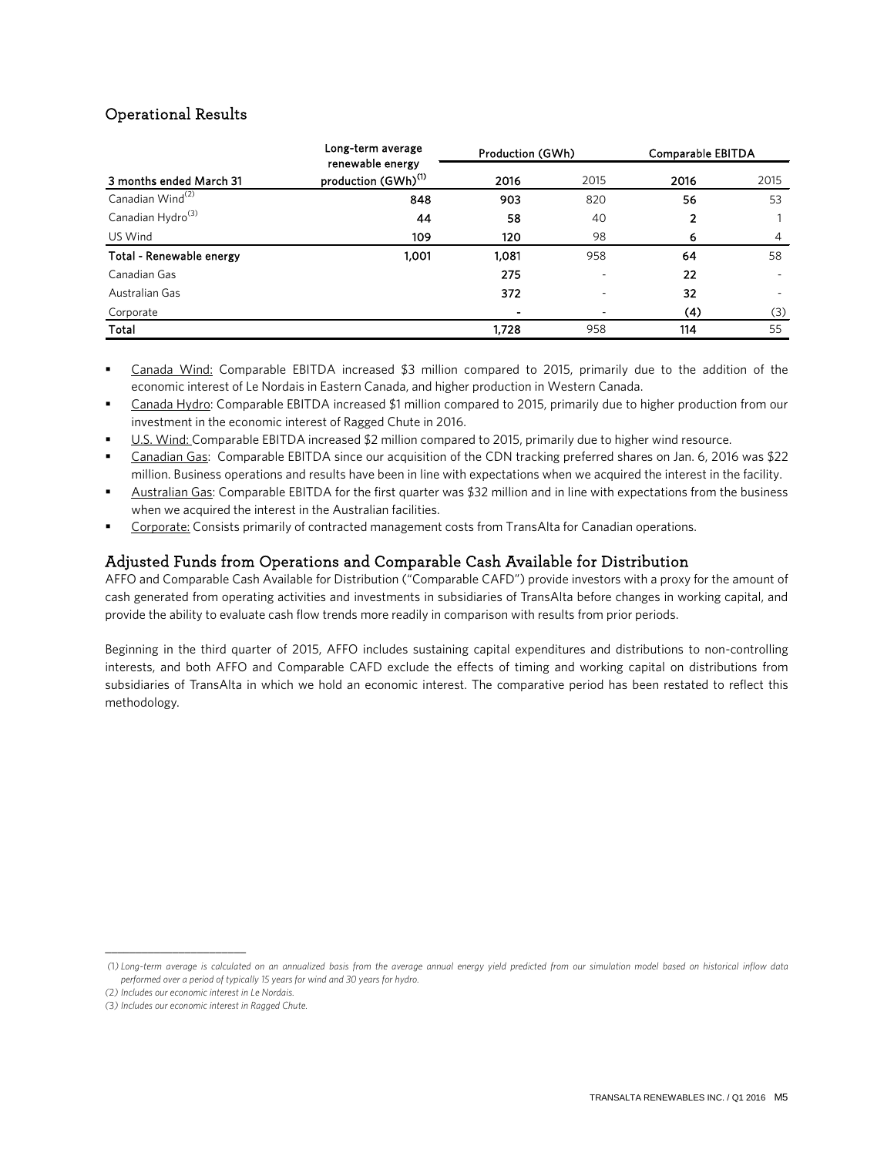### Operational Results

|                               | Long-term average<br>renewable energy | Production (GWh) |                          | Comparable EBITDA |     |  |  |
|-------------------------------|---------------------------------------|------------------|--------------------------|-------------------|-----|--|--|
| 3 months ended March 31       | production (GWh) <sup>(1)</sup>       | 2016             | 2016<br>2015<br>2015     |                   |     |  |  |
| Canadian Wind <sup>(2)</sup>  | 848                                   | 903              | 820                      | 56                | 53  |  |  |
| Canadian Hydro <sup>(3)</sup> | 44                                    | 58               | 40                       | 2                 |     |  |  |
| US Wind                       | 109                                   | 120              | 98                       | 6                 | 4   |  |  |
| Total - Renewable energy      | 1.001                                 | 1,081            | 958                      | 64                | 58  |  |  |
| Canadian Gas                  |                                       | 275              | $\overline{\phantom{a}}$ | 22                |     |  |  |
| Australian Gas                |                                       | 372              | $\overline{\phantom{a}}$ | 32                | ٠   |  |  |
| Corporate                     |                                       |                  |                          | (4)               | (3) |  |  |
| Total                         |                                       | 1.728            | 958                      | 114               | 55  |  |  |

- Canada Wind: Comparable EBITDA increased \$3 million compared to 2015, primarily due to the addition of the economic interest of Le Nordais in Eastern Canada, and higher production in Western Canada.
- Canada Hydro: Comparable EBITDA increased \$1 million compared to 2015, primarily due to higher production from our investment in the economic interest of Ragged Chute in 2016.
- U.S. Wind: Comparable EBITDA increased \$2 million compared to 2015, primarily due to higher wind resource.
- Canadian Gas: Comparable EBITDA since our acquisition of the CDN tracking preferred shares on Jan. 6, 2016 was \$22 million. Business operations and results have been in line with expectations when we acquired the interest in the facility.
- Australian Gas: Comparable EBITDA for the first quarter was \$32 million and in line with expectations from the business when we acquired the interest in the Australian facilities.
- Corporate: Consists primarily of contracted management costs from TransAlta for Canadian operations.

### Adjusted Funds from Operations and Comparable Cash Available for Distribution

AFFO and Comparable Cash Available for Distribution ("Comparable CAFD") provide investors with a proxy for the amount of cash generated from operating activities and investments in subsidiaries of TransAlta before changes in working capital, and provide the ability to evaluate cash flow trends more readily in comparison with results from prior periods.

Beginning in the third quarter of 2015, AFFO includes sustaining capital expenditures and distributions to non-controlling interests, and both AFFO and Comparable CAFD exclude the effects of timing and working capital on distributions from subsidiaries of TransAlta in which we hold an economic interest. The comparative period has been restated to reflect this methodology.

\_\_\_\_\_\_\_\_\_\_\_\_\_\_\_\_\_\_\_\_\_\_\_

*<sup>(</sup>*1*) Long-term average is calculated on an annualized basis from the average annual energy yield predicted from our simulation model based on historical inflow data performed over a period of typically 15 years for wind and 30 years for hydro.*

*<sup>(</sup>*2*) Includes our economic interest in Le Nordais.*

*<sup>(</sup>*3*) Includes our economic interest in Ragged Chute.*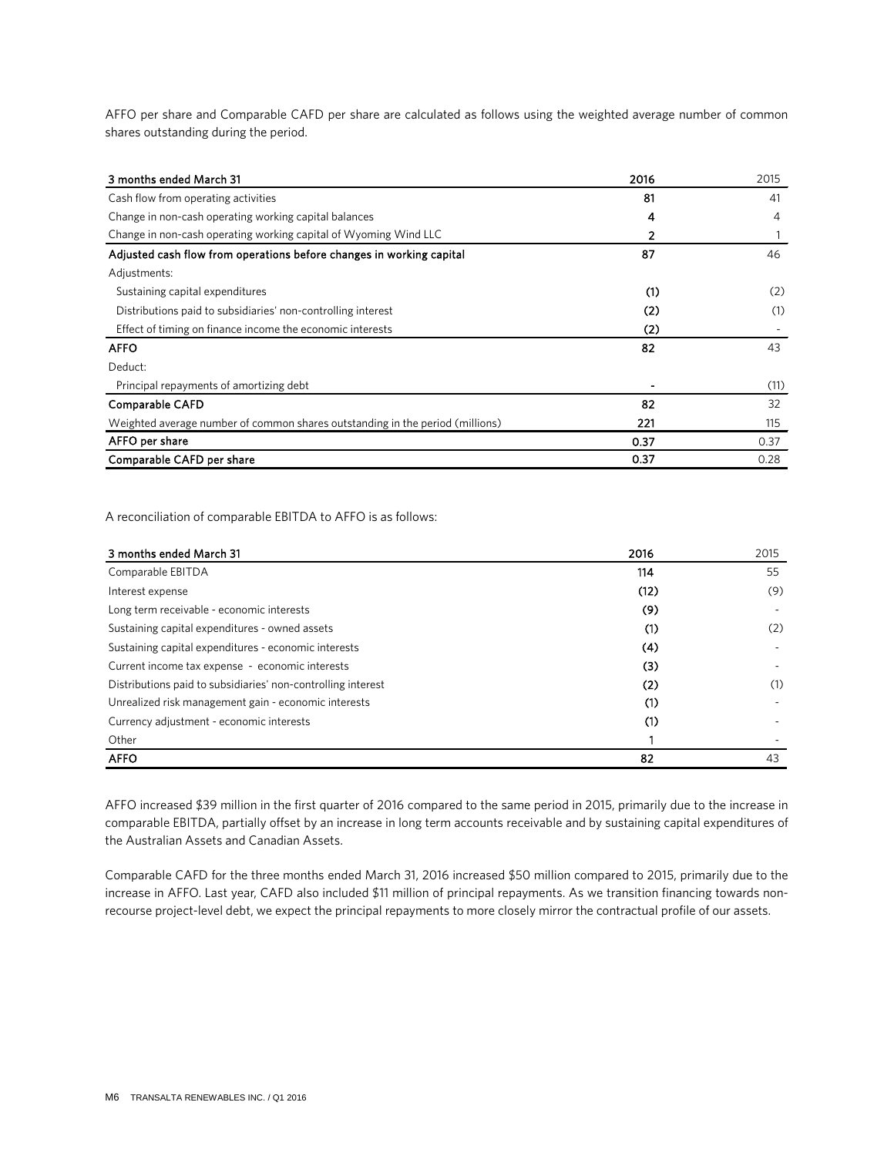AFFO per share and Comparable CAFD per share are calculated as follows using the weighted average number of common shares outstanding during the period.

| 3 months ended March 31                                                       | 2016 | 2015 |
|-------------------------------------------------------------------------------|------|------|
| Cash flow from operating activities                                           | 81   | 41   |
| Change in non-cash operating working capital balances                         | 4    | 4    |
| Change in non-cash operating working capital of Wyoming Wind LLC              | 2    |      |
| Adjusted cash flow from operations before changes in working capital          | 87   | 46   |
| Adjustments:                                                                  |      |      |
| Sustaining capital expenditures                                               | (1)  | (2)  |
| Distributions paid to subsidiaries' non-controlling interest                  | (2)  | (1)  |
| Effect of timing on finance income the economic interests                     | (2)  |      |
| <b>AFFO</b>                                                                   | 82   | 43   |
| Deduct:                                                                       |      |      |
| Principal repayments of amortizing debt                                       |      | (11) |
| <b>Comparable CAFD</b>                                                        | 82   | 32   |
| Weighted average number of common shares outstanding in the period (millions) | 221  | 115  |
| AFFO per share                                                                | 0.37 | 0.37 |
| Comparable CAFD per share                                                     | 0.37 | 0.28 |

A reconciliation of comparable EBITDA to AFFO is as follows:

| 3 months ended March 31                                      | 2016 | 2015 |
|--------------------------------------------------------------|------|------|
| Comparable EBITDA                                            | 114  | 55   |
| Interest expense                                             | (12) | (9)  |
| Long term receivable - economic interests                    | (9)  |      |
| Sustaining capital expenditures - owned assets               | (1)  | (2)  |
| Sustaining capital expenditures - economic interests         | (4)  |      |
| Current income tax expense - economic interests              | (3)  |      |
| Distributions paid to subsidiaries' non-controlling interest | (2)  | (1)  |
| Unrealized risk management gain - economic interests         | (1)  |      |
| Currency adjustment - economic interests                     | (1)  |      |
| Other                                                        |      |      |
| <b>AFFO</b>                                                  | 82   | 43   |

AFFO increased \$39 million in the first quarter of 2016 compared to the same period in 2015, primarily due to the increase in comparable EBITDA, partially offset by an increase in long term accounts receivable and by sustaining capital expenditures of the Australian Assets and Canadian Assets.

Comparable CAFD for the three months ended March 31, 2016 increased \$50 million compared to 2015, primarily due to the increase in AFFO. Last year, CAFD also included \$11 million of principal repayments. As we transition financing towards nonrecourse project-level debt, we expect the principal repayments to more closely mirror the contractual profile of our assets.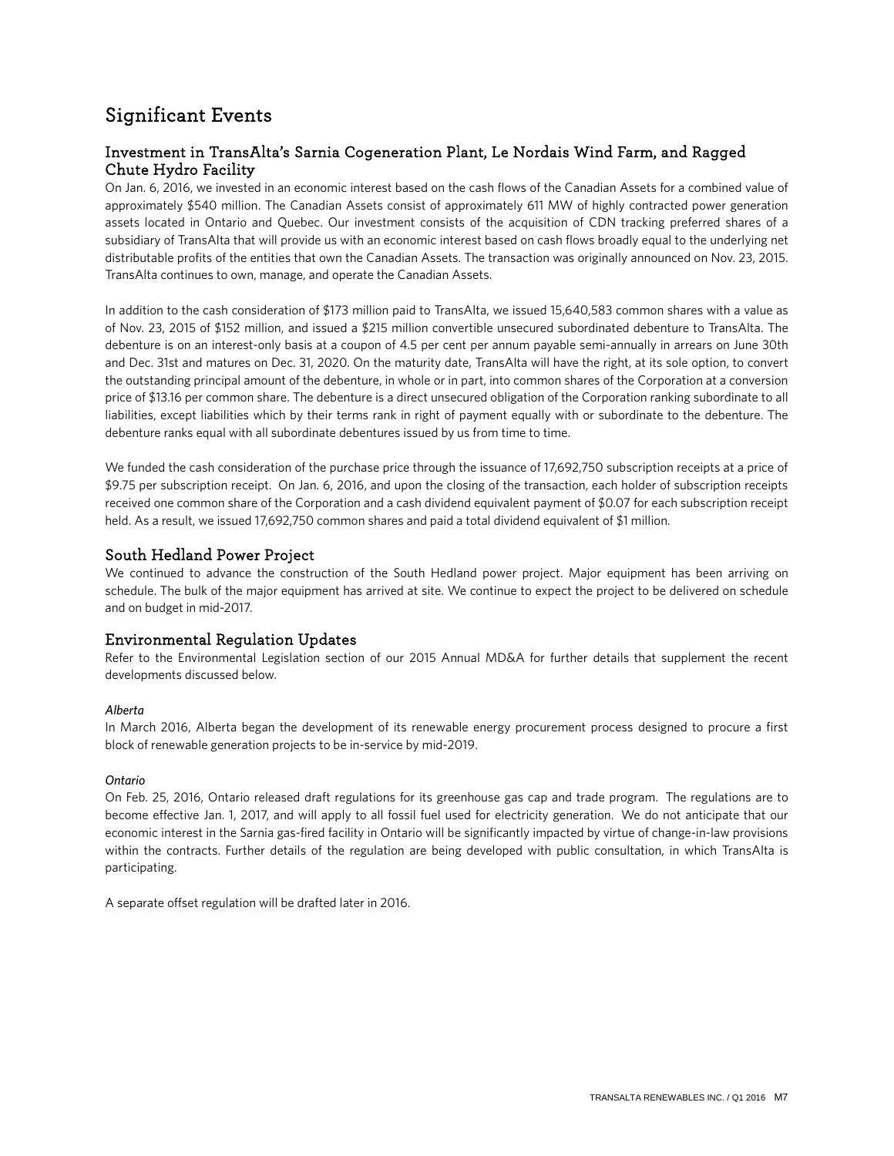## Significant Events

### Investment in TransAlta's Sarnia Cogeneration Plant, Le Nordais Wind Farm, and Ragged Chute Hydro Facility

On Jan. 6, 2016, we invested in an economic interest based on the cash flows of the Canadian Assets for a combined value of approximately \$540 million. The Canadian Assets consist of approximately 611 MW of highly contracted power generation assets located in Ontario and Quebec. Our investment consists of the acquisition of CDN tracking preferred shares of a subsidiary of TransAlta that will provide us with an economic interest based on cash flows broadly equal to the underlying net distributable profits of the entities that own the Canadian Assets. The transaction was originally announced on Nov. 23, 2015. TransAlta continues to own, manage, and operate the Canadian Assets.

In addition to the cash consideration of \$173 million paid to TransAlta, we issued 15,640,583 common shares with a value as of Nov. 23, 2015 of \$152 million, and issued a \$215 million convertible unsecured subordinated debenture to TransAlta. The debenture is on an interest-only basis at a coupon of 4.5 per cent per annum payable semi-annually in arrears on June 30th and Dec. 31st and matures on Dec. 31, 2020. On the maturity date, TransAlta will have the right, at its sole option, to convert the outstanding principal amount of the debenture, in whole or in part, into common shares of the Corporation at a conversion price of \$13.16 per common share. The debenture is a direct unsecured obligation of the Corporation ranking subordinate to all liabilities, except liabilities which by their terms rank in right of payment equally with or subordinate to the debenture. The debenture ranks equal with all subordinate debentures issued by us from time to time.

We funded the cash consideration of the purchase price through the issuance of 17,692,750 subscription receipts at a price of \$9.75 per subscription receipt. On Jan. 6, 2016, and upon the closing of the transaction, each holder of subscription receipts received one common share of the Corporation and a cash dividend equivalent payment of \$0.07 for each subscription receipt held. As a result, we issued 17,692,750 common shares and paid a total dividend equivalent of \$1 million.

### South Hedland Power Project

We continued to advance the construction of the South Hedland power project. Major equipment has been arriving on schedule. The bulk of the major equipment has arrived at site. We continue to expect the project to be delivered on schedule and on budget in mid-2017.

### Environmental Regulation Updates

Refer to the Environmental Legislation section of our 2015 Annual MD&A for further details that supplement the recent developments discussed below.

### *Alberta*

In March 2016, Alberta began the development of its renewable energy procurement process designed to procure a first block of renewable generation projects to be in-service by mid-2019.

### *Ontario*

On Feb. 25, 2016, Ontario released draft regulations for its greenhouse gas cap and trade program. The regulations are to become effective Jan. 1, 2017, and will apply to all fossil fuel used for electricity generation. We do not anticipate that our economic interest in the Sarnia gas-fired facility in Ontario will be significantly impacted by virtue of change-in-law provisions within the contracts. Further details of the regulation are being developed with public consultation, in which TransAlta is participating.

A separate offset regulation will be drafted later in 2016.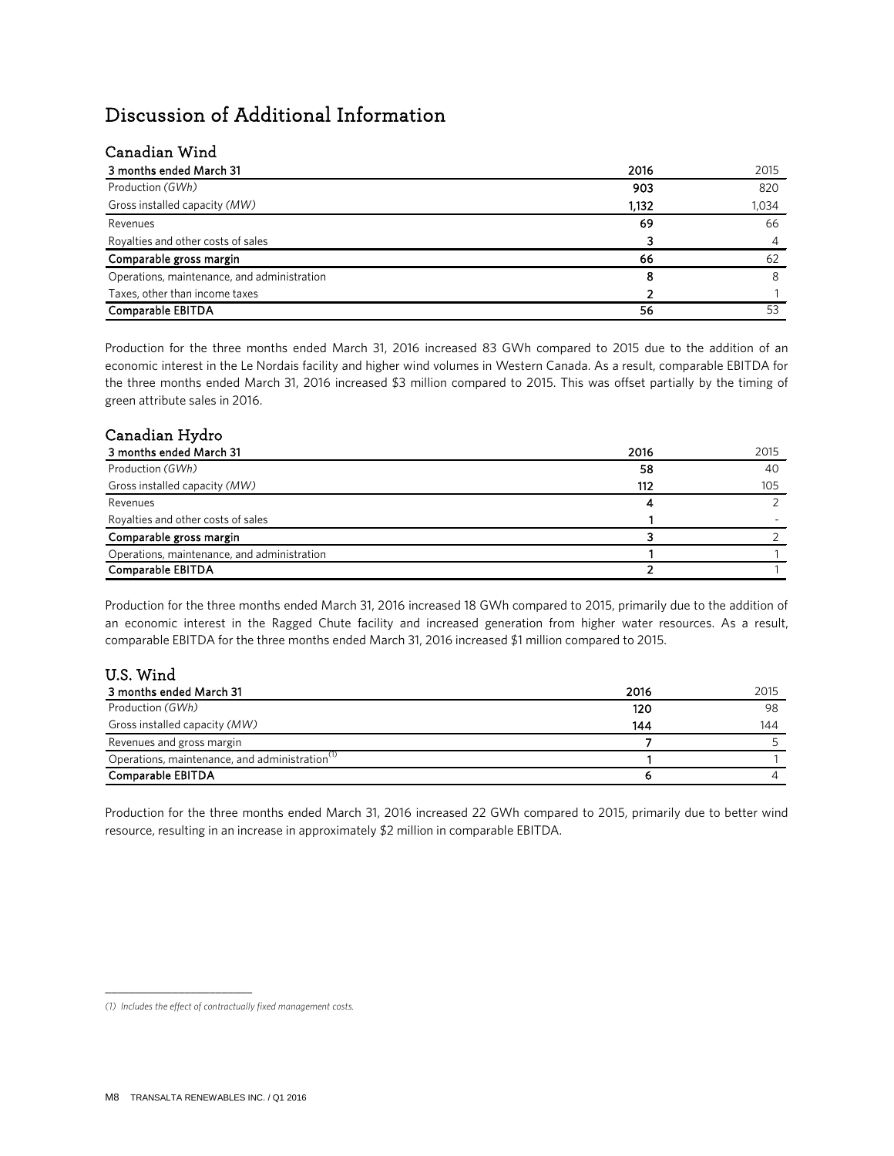## Discussion of Additional Information

### Canadian Wind

| 3 months ended March 31                     | 2016  | 2015  |
|---------------------------------------------|-------|-------|
| Production (GWh)                            | 903   | 820   |
| Gross installed capacity (MW)               | 1,132 | 1,034 |
| Revenues                                    | 69    | 66    |
| Royalties and other costs of sales          |       |       |
| Comparable gross margin                     | 66    | 62    |
| Operations, maintenance, and administration | 8     |       |
| Taxes, other than income taxes              |       |       |
| Comparable EBITDA                           | 56    | 53    |

Production for the three months ended March 31, 2016 increased 83 GWh compared to 2015 due to the addition of an economic interest in the Le Nordais facility and higher wind volumes in Western Canada. As a result, comparable EBITDA for the three months ended March 31, 2016 increased \$3 million compared to 2015. This was offset partially by the timing of green attribute sales in 2016.

### Canadian Hydro

| 3 months ended March 31                     | 2016 | 2015 |
|---------------------------------------------|------|------|
| Production (GWh)                            | 58   | 40   |
| Gross installed capacity (MW)               | 112  | 105  |
| Revenues                                    |      |      |
| Royalties and other costs of sales          |      |      |
| Comparable gross margin                     |      |      |
| Operations, maintenance, and administration |      |      |
| Comparable EBITDA                           |      |      |

Production for the three months ended March 31, 2016 increased 18 GWh compared to 2015, primarily due to the addition of an economic interest in the Ragged Chute facility and increased generation from higher water resources. As a result, comparable EBITDA for the three months ended March 31, 2016 increased \$1 million compared to 2015.

| U.S. Wind                                                  |      |      |
|------------------------------------------------------------|------|------|
| 3 months ended March 31                                    | 2016 | 2015 |
| Production (GWh)                                           | 120  | 98   |
| Gross installed capacity (MW)                              | 144  | 144  |
| Revenues and gross margin                                  |      |      |
| Operations, maintenance, and administration <sup>(1)</sup> |      |      |
| Comparable EBITDA                                          |      |      |

Production for the three months ended March 31, 2016 increased 22 GWh compared to 2015, primarily due to better wind resource, resulting in an increase in approximately \$2 million in comparable EBITDA.

\_\_\_\_\_\_\_\_\_\_\_\_\_\_\_\_\_\_\_\_\_\_\_\_

*<sup>(1)</sup> Includes the effect of contractually fixed management costs.*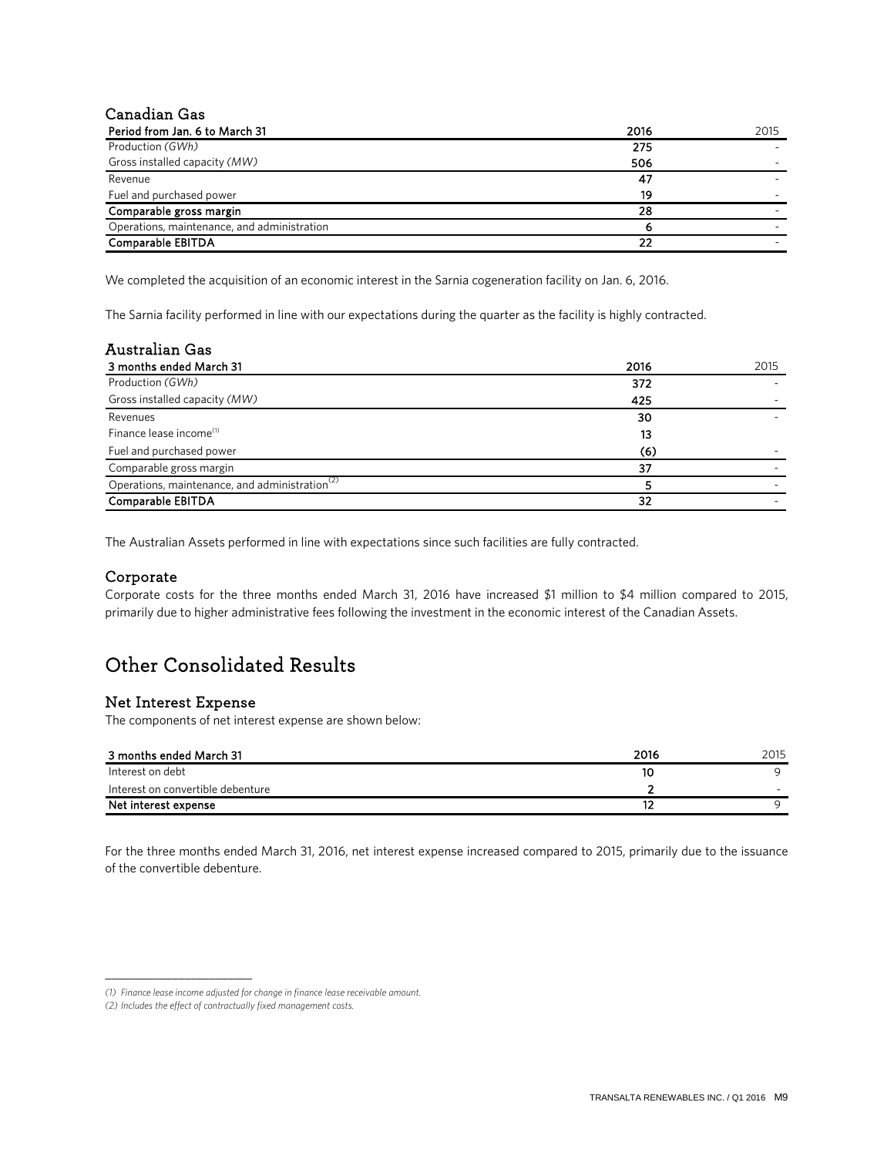### Canadian Gas

| Period from Jan. 6 to March 31              | 2016 | 2015 |
|---------------------------------------------|------|------|
| Production (GWh)                            | 275  |      |
| Gross installed capacity (MW)               | 506  |      |
| Revenue                                     | 47   |      |
| Fuel and purchased power                    | 19   |      |
| Comparable gross margin                     | 28   |      |
| Operations, maintenance, and administration |      |      |
| Comparable EBITDA                           | 22   |      |

We completed the acquisition of an economic interest in the Sarnia cogeneration facility on Jan. 6, 2016.

The Sarnia facility performed in line with our expectations during the quarter as the facility is highly contracted.

| <b>Australian Gas</b>                                      |      |      |
|------------------------------------------------------------|------|------|
| 3 months ended March 31                                    | 2016 | 2015 |
| Production (GWh)                                           | 372  |      |
| Gross installed capacity (MW)                              | 425  |      |
| Revenues                                                   | 30   |      |
| Finance lease income <sup>(1)</sup>                        | 13   |      |
| Fuel and purchased power                                   | (6)  |      |
| Comparable gross margin                                    | 37   |      |
| Operations, maintenance, and administration <sup>(2)</sup> |      |      |
| Comparable EBITDA                                          | 32   |      |

The Australian Assets performed in line with expectations since such facilities are fully contracted.

### Corporate

Corporate costs for the three months ended March 31, 2016 have increased \$1 million to \$4 million compared to 2015, primarily due to higher administrative fees following the investment in the economic interest of the Canadian Assets.

## Other Consolidated Results

### Net Interest Expense

\_\_\_\_\_\_\_\_\_\_\_\_\_\_\_\_\_\_\_\_\_\_\_\_

The components of net interest expense are shown below:

| 3 months ended March 31           | 2016 | 2015 |
|-----------------------------------|------|------|
| Interest on debt                  | 10   |      |
| Interest on convertible debenture |      |      |
| Net interest expense              |      |      |

For the three months ended March 31, 2016, net interest expense increased compared to 2015, primarily due to the issuance of the convertible debenture.

*<sup>(1)</sup> Finance lease income adjusted for change in finance lease receivable amount.*

*<sup>(2)</sup> Includes the effect of contractually fixed management costs.*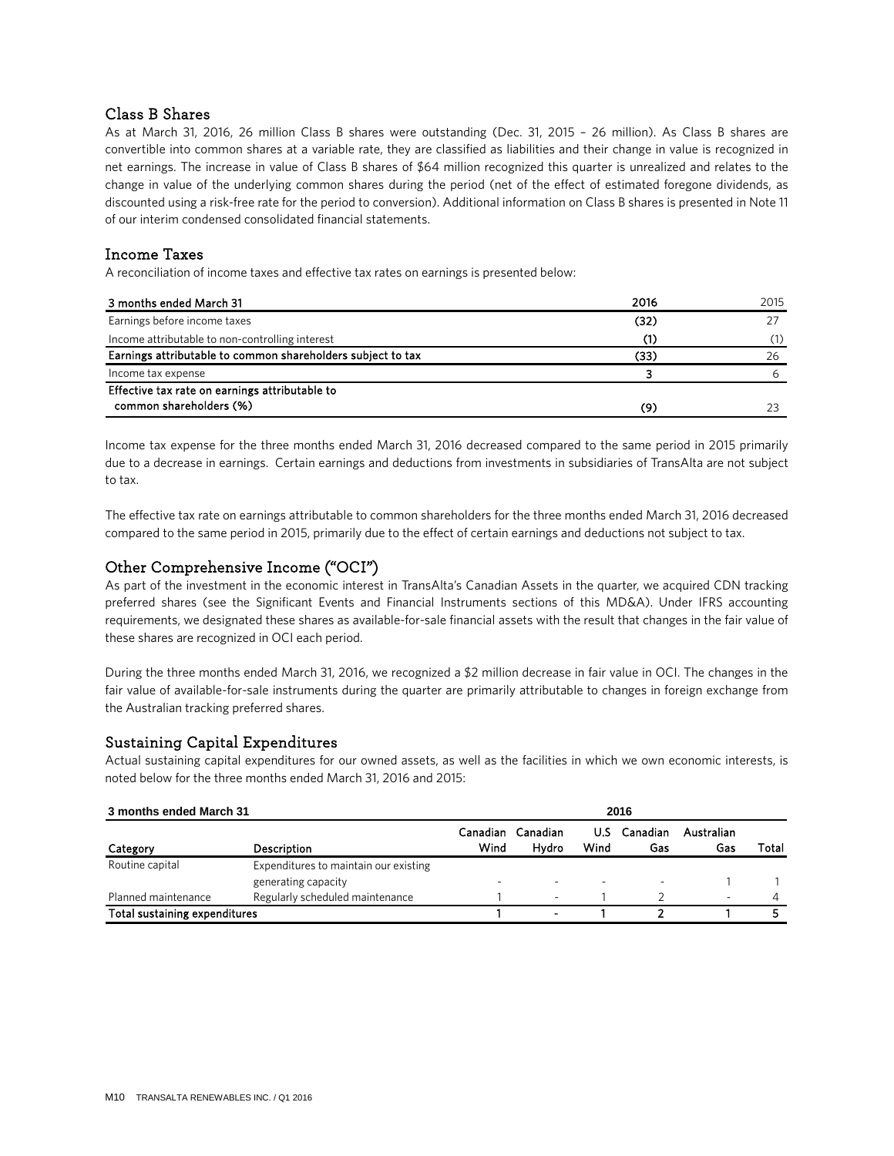### Class B Shares

As at March 31, 2016, 26 million Class B shares were outstanding (Dec. 31, 2015 – 26 million). As Class B shares are convertible into common shares at a variable rate, they are classified as liabilities and their change in value is recognized in net earnings. The increase in value of Class B shares of \$64 million recognized this quarter is unrealized and relates to the change in value of the underlying common shares during the period (net of the effect of estimated foregone dividends, as discounted using a risk-free rate for the period to conversion). Additional information on Class B shares is presented in Note 11 of our interim condensed consolidated financial statements.

### Income Taxes

A reconciliation of income taxes and effective tax rates on earnings is presented below:

| 3 months ended March 31                                     | 2016 | 2015 |
|-------------------------------------------------------------|------|------|
| Earnings before income taxes                                | (32) |      |
| Income attributable to non-controlling interest             |      | (1)  |
| Earnings attributable to common shareholders subject to tax | (33) | 26   |
| Income tax expense                                          |      | h    |
| Effective tax rate on earnings attributable to              |      |      |
| common shareholders (%)                                     | (9)  |      |

Income tax expense for the three months ended March 31, 2016 decreased compared to the same period in 2015 primarily due to a decrease in earnings. Certain earnings and deductions from investments in subsidiaries of TransAlta are not subject to tax.

The effective tax rate on earnings attributable to common shareholders for the three months ended March 31, 2016 decreased compared to the same period in 2015, primarily due to the effect of certain earnings and deductions not subject to tax.

### Other Comprehensive Income ("OCI")

As part of the investment in the economic interest in TransAlta's Canadian Assets in the quarter, we acquired CDN tracking preferred shares (see the Significant Events and Financial Instruments sections of this MD&A). Under IFRS accounting requirements, we designated these shares as available-for-sale financial assets with the result that changes in the fair value of these shares are recognized in OCI each period.

During the three months ended March 31, 2016, we recognized a \$2 million decrease in fair value in OCI. The changes in the fair value of available-for-sale instruments during the quarter are primarily attributable to changes in foreign exchange from the Australian tracking preferred shares.

### Sustaining Capital Expenditures

Actual sustaining capital expenditures for our owned assets, as well as the facilities in which we own economic interests, is noted below for the three months ended March 31, 2016 and 2015:

| 3 months ended March 31       |                                       | 2016             |                          |                          |                 |                   |       |
|-------------------------------|---------------------------------------|------------------|--------------------------|--------------------------|-----------------|-------------------|-------|
| Category                      | Description                           | Canadian<br>Wind | Canadian<br>Hydro        | U.S<br>Wind              | Canadian<br>Gas | Australian<br>Gas | Total |
| Routine capital               | Expenditures to maintain our existing |                  |                          |                          |                 |                   |       |
|                               | generating capacity                   |                  | $\overline{\phantom{a}}$ | $\overline{\phantom{a}}$ |                 |                   |       |
| Planned maintenance           | Regularly scheduled maintenance       |                  | $\overline{\phantom{a}}$ |                          |                 |                   | Δ     |
| Total sustaining expenditures |                                       |                  | $\,$                     |                          |                 |                   |       |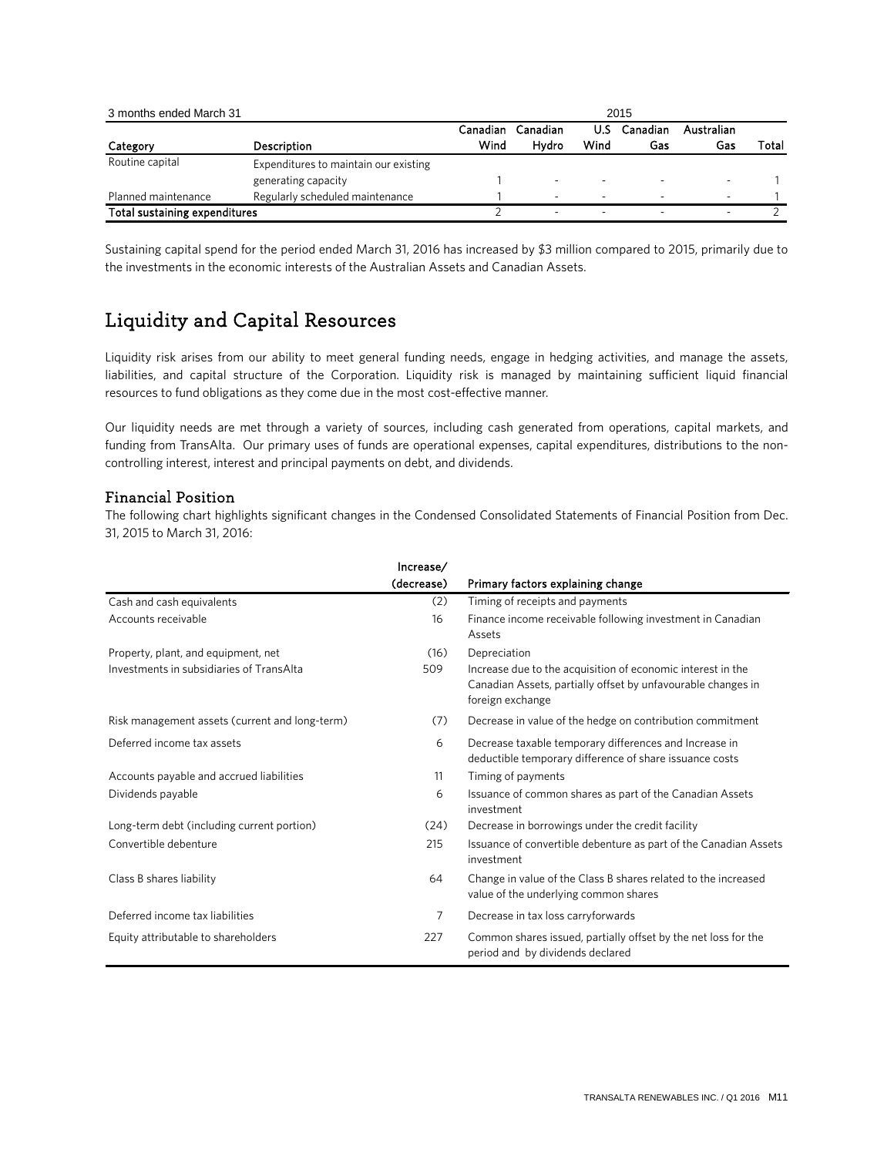| 3 months ended March 31       |                                       | 2015             |                          |                          |                 |                   |       |
|-------------------------------|---------------------------------------|------------------|--------------------------|--------------------------|-----------------|-------------------|-------|
| Category                      | Description                           | Canadian<br>Wind | Canadian<br>Hvdro        | U.S<br>Wind              | Canadian<br>Gas | Australian<br>Gas | Total |
| Routine capital               | Expenditures to maintain our existing |                  |                          |                          |                 |                   |       |
|                               | generating capacity                   |                  | $\overline{\phantom{a}}$ | $\overline{\phantom{a}}$ |                 | ۰                 |       |
| Planned maintenance           | Regularly scheduled maintenance       |                  | $\overline{\phantom{a}}$ | -                        |                 | -                 |       |
| Total sustaining expenditures |                                       |                  | -                        | -                        |                 | -                 |       |

Sustaining capital spend for the period ended March 31, 2016 has increased by \$3 million compared to 2015, primarily due to the investments in the economic interests of the Australian Assets and Canadian Assets.

## Liquidity and Capital Resources

Liquidity risk arises from our ability to meet general funding needs, engage in hedging activities, and manage the assets, liabilities, and capital structure of the Corporation. Liquidity risk is managed by maintaining sufficient liquid financial resources to fund obligations as they come due in the most cost-effective manner.

Our liquidity needs are met through a variety of sources, including cash generated from operations, capital markets, and funding from TransAlta. Our primary uses of funds are operational expenses, capital expenditures, distributions to the noncontrolling interest, interest and principal payments on debt, and dividends.

### Financial Position

The following chart highlights significant changes in the Condensed Consolidated Statements of Financial Position from Dec. 31, 2015 to March 31, 2016:

|                                                | Increase/<br>(decrease) | Primary factors explaining change                                                                                                               |
|------------------------------------------------|-------------------------|-------------------------------------------------------------------------------------------------------------------------------------------------|
| Cash and cash equivalents                      | (2)                     | Timing of receipts and payments                                                                                                                 |
| Accounts receivable                            | 16                      | Finance income receivable following investment in Canadian<br>Assets                                                                            |
| Property, plant, and equipment, net            | (16)                    | Depreciation                                                                                                                                    |
| Investments in subsidiaries of TransAlta       | 509                     | Increase due to the acquisition of economic interest in the<br>Canadian Assets, partially offset by unfavourable changes in<br>foreign exchange |
| Risk management assets (current and long-term) | (7)                     | Decrease in value of the hedge on contribution commitment                                                                                       |
| Deferred income tax assets                     | 6                       | Decrease taxable temporary differences and Increase in<br>deductible temporary difference of share issuance costs                               |
| Accounts payable and accrued liabilities       | 11                      | Timing of payments                                                                                                                              |
| Dividends payable                              | 6                       | Issuance of common shares as part of the Canadian Assets<br>investment                                                                          |
| Long-term debt (including current portion)     | (24)                    | Decrease in borrowings under the credit facility                                                                                                |
| Convertible debenture                          | 215                     | Issuance of convertible debenture as part of the Canadian Assets<br>investment                                                                  |
| Class B shares liability                       | 64                      | Change in value of the Class B shares related to the increased<br>value of the underlying common shares                                         |
| Deferred income tax liabilities                | 7                       | Decrease in tax loss carryforwards                                                                                                              |
| Equity attributable to shareholders            | 227                     | Common shares issued, partially offset by the net loss for the<br>period and by dividends declared                                              |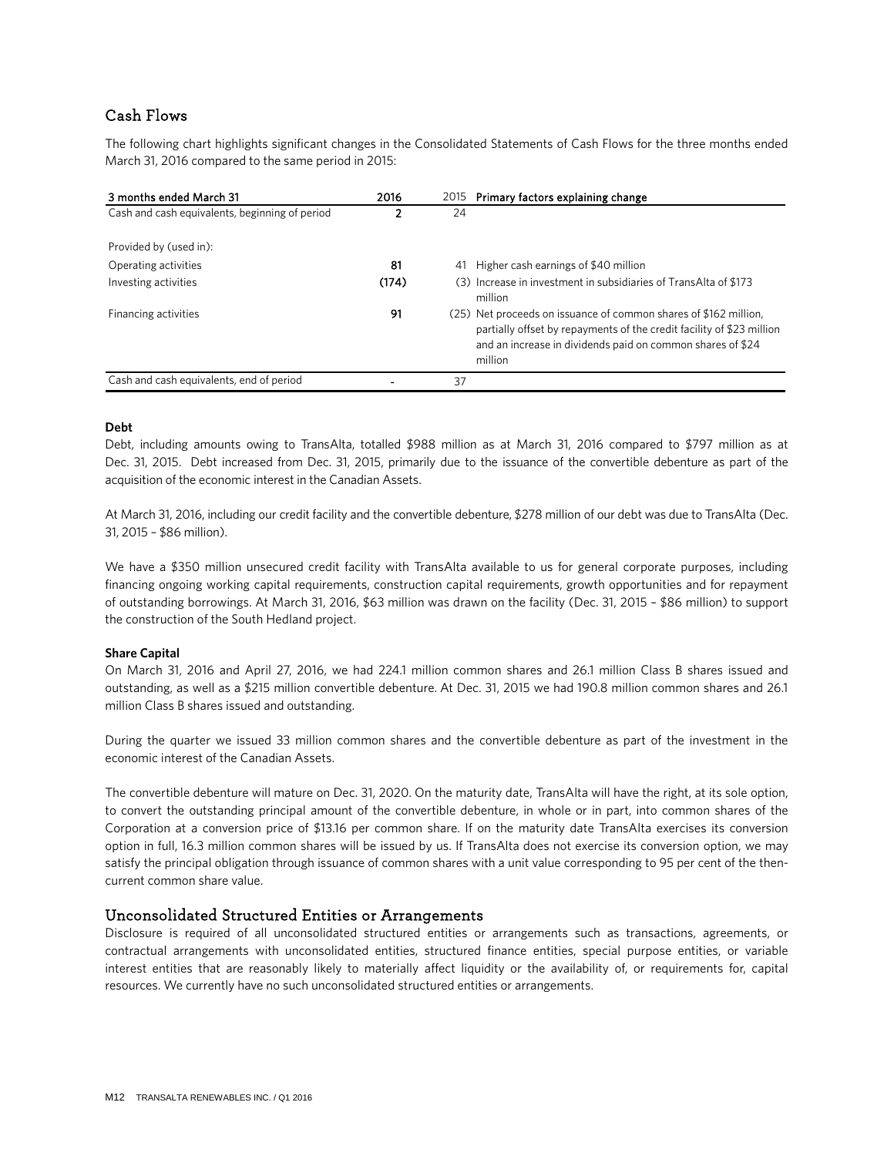### Cash Flows

The following chart highlights significant changes in the Consolidated Statements of Cash Flows for the three months ended March 31, 2016 compared to the same period in 2015:

| 3 months ended March 31                        | 2016  | 2015 | Primary factors explaining change                                                                                                                                                                                  |
|------------------------------------------------|-------|------|--------------------------------------------------------------------------------------------------------------------------------------------------------------------------------------------------------------------|
| Cash and cash equivalents, beginning of period |       | 24   |                                                                                                                                                                                                                    |
| Provided by (used in):                         |       |      |                                                                                                                                                                                                                    |
| Operating activities                           | 81    | 41   | Higher cash earnings of \$40 million                                                                                                                                                                               |
| Investing activities                           | (174) |      | (3) Increase in investment in subsidiaries of TransAlta of \$173<br>million                                                                                                                                        |
| Financing activities                           | 91    |      | (25) Net proceeds on issuance of common shares of \$162 million,<br>partially offset by repayments of the credit facility of \$23 million<br>and an increase in dividends paid on common shares of \$24<br>million |
| Cash and cash equivalents, end of period       |       | 37   |                                                                                                                                                                                                                    |

#### **Debt**

Debt, including amounts owing to TransAlta, totalled \$988 million as at March 31, 2016 compared to \$797 million as at Dec. 31, 2015. Debt increased from Dec. 31, 2015, primarily due to the issuance of the convertible debenture as part of the acquisition of the economic interest in the Canadian Assets.

At March 31, 2016, including our credit facility and the convertible debenture, \$278 million of our debt was due to TransAlta (Dec. 31, 2015 – \$86 million).

We have a \$350 million unsecured credit facility with TransAlta available to us for general corporate purposes, including financing ongoing working capital requirements, construction capital requirements, growth opportunities and for repayment of outstanding borrowings. At March 31, 2016, \$63 million was drawn on the facility (Dec. 31, 2015 – \$86 million) to support the construction of the South Hedland project.

### **Share Capital**

On March 31, 2016 and April 27, 2016, we had 224.1 million common shares and 26.1 million Class B shares issued and outstanding, as well as a \$215 million convertible debenture. At Dec. 31, 2015 we had 190.8 million common shares and 26.1 million Class B shares issued and outstanding.

During the quarter we issued 33 million common shares and the convertible debenture as part of the investment in the economic interest of the Canadian Assets.

The convertible debenture will mature on Dec. 31, 2020. On the maturity date, TransAlta will have the right, at its sole option, to convert the outstanding principal amount of the convertible debenture, in whole or in part, into common shares of the Corporation at a conversion price of \$13.16 per common share. If on the maturity date TransAlta exercises its conversion option in full, 16.3 million common shares will be issued by us. If TransAlta does not exercise its conversion option, we may satisfy the principal obligation through issuance of common shares with a unit value corresponding to 95 per cent of the thencurrent common share value.

### Unconsolidated Structured Entities or Arrangements

Disclosure is required of all unconsolidated structured entities or arrangements such as transactions, agreements, or contractual arrangements with unconsolidated entities, structured finance entities, special purpose entities, or variable interest entities that are reasonably likely to materially affect liquidity or the availability of, or requirements for, capital resources. We currently have no such unconsolidated structured entities or arrangements.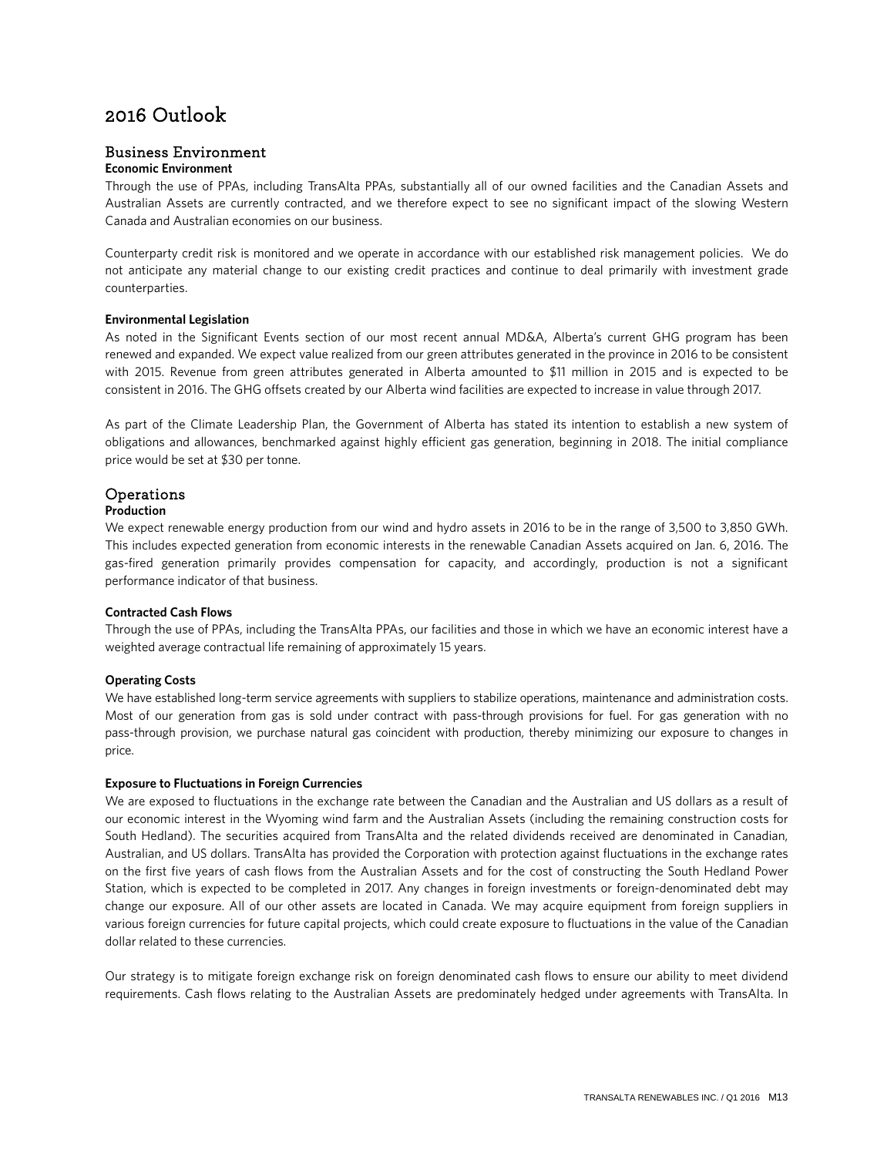## 2016 Outlook

### Business Environment

### **Economic Environment**

Through the use of PPAs, including TransAlta PPAs, substantially all of our owned facilities and the Canadian Assets and Australian Assets are currently contracted, and we therefore expect to see no significant impact of the slowing Western Canada and Australian economies on our business.

Counterparty credit risk is monitored and we operate in accordance with our established risk management policies. We do not anticipate any material change to our existing credit practices and continue to deal primarily with investment grade counterparties.

### **Environmental Legislation**

As noted in the Significant Events section of our most recent annual MD&A, Alberta's current GHG program has been renewed and expanded. We expect value realized from our green attributes generated in the province in 2016 to be consistent with 2015. Revenue from green attributes generated in Alberta amounted to \$11 million in 2015 and is expected to be consistent in 2016. The GHG offsets created by our Alberta wind facilities are expected to increase in value through 2017.

As part of the Climate Leadership Plan, the Government of Alberta has stated its intention to establish a new system of obligations and allowances, benchmarked against highly efficient gas generation, beginning in 2018. The initial compliance price would be set at \$30 per tonne.

### Operations

### **Production**

We expect renewable energy production from our wind and hydro assets in 2016 to be in the range of 3,500 to 3,850 GWh. This includes expected generation from economic interests in the renewable Canadian Assets acquired on Jan. 6, 2016. The gas-fired generation primarily provides compensation for capacity, and accordingly, production is not a significant performance indicator of that business.

### **Contracted Cash Flows**

Through the use of PPAs, including the TransAlta PPAs, our facilities and those in which we have an economic interest have a weighted average contractual life remaining of approximately 15 years.

### **Operating Costs**

We have established long-term service agreements with suppliers to stabilize operations, maintenance and administration costs. Most of our generation from gas is sold under contract with pass-through provisions for fuel. For gas generation with no pass-through provision, we purchase natural gas coincident with production, thereby minimizing our exposure to changes in price.

### **Exposure to Fluctuations in Foreign Currencies**

We are exposed to fluctuations in the exchange rate between the Canadian and the Australian and US dollars as a result of our economic interest in the Wyoming wind farm and the Australian Assets (including the remaining construction costs for South Hedland). The securities acquired from TransAlta and the related dividends received are denominated in Canadian, Australian, and US dollars. TransAlta has provided the Corporation with protection against fluctuations in the exchange rates on the first five years of cash flows from the Australian Assets and for the cost of constructing the South Hedland Power Station, which is expected to be completed in 2017. Any changes in foreign investments or foreign-denominated debt may change our exposure. All of our other assets are located in Canada. We may acquire equipment from foreign suppliers in various foreign currencies for future capital projects, which could create exposure to fluctuations in the value of the Canadian dollar related to these currencies.

Our strategy is to mitigate foreign exchange risk on foreign denominated cash flows to ensure our ability to meet dividend requirements. Cash flows relating to the Australian Assets are predominately hedged under agreements with TransAlta. In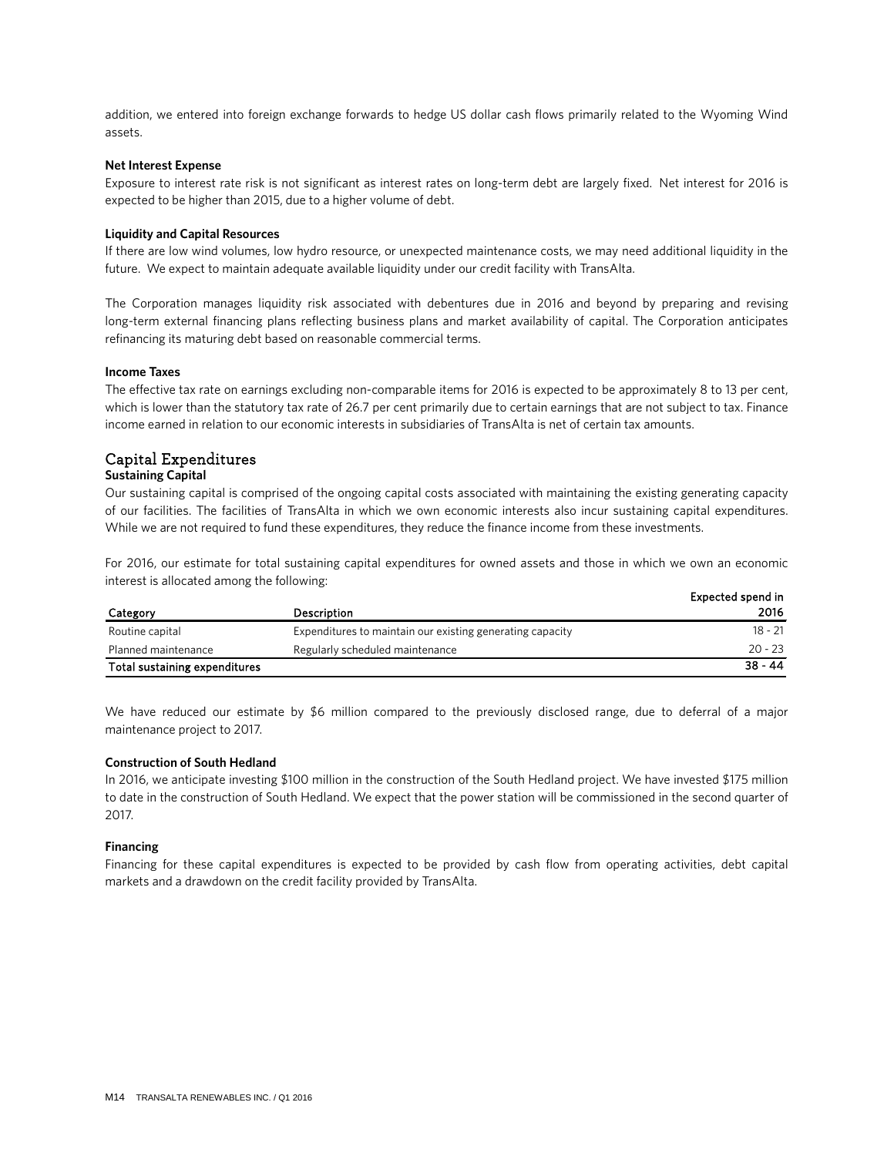addition, we entered into foreign exchange forwards to hedge US dollar cash flows primarily related to the Wyoming Wind assets.

#### **Net Interest Expense**

Exposure to interest rate risk is not significant as interest rates on long-term debt are largely fixed. Net interest for 2016 is expected to be higher than 2015, due to a higher volume of debt.

#### **Liquidity and Capital Resources**

If there are low wind volumes, low hydro resource, or unexpected maintenance costs, we may need additional liquidity in the future. We expect to maintain adequate available liquidity under our credit facility with TransAlta.

The Corporation manages liquidity risk associated with debentures due in 2016 and beyond by preparing and revising long-term external financing plans reflecting business plans and market availability of capital. The Corporation anticipates refinancing its maturing debt based on reasonable commercial terms.

#### **Income Taxes**

The effective tax rate on earnings excluding non-comparable items for 2016 is expected to be approximately 8 to 13 per cent, which is lower than the statutory tax rate of 26.7 per cent primarily due to certain earnings that are not subject to tax. Finance income earned in relation to our economic interests in subsidiaries of TransAlta is net of certain tax amounts.

### Capital Expenditures

#### **Sustaining Capital**

Our sustaining capital is comprised of the ongoing capital costs associated with maintaining the existing generating capacity of our facilities. The facilities of TransAlta in which we own economic interests also incur sustaining capital expenditures. While we are not required to fund these expenditures, they reduce the finance income from these investments.

For 2016, our estimate for total sustaining capital expenditures for owned assets and those in which we own an economic interest is allocated among the following:

|                               |                                                           | Expected spend in |
|-------------------------------|-----------------------------------------------------------|-------------------|
| Category                      | Description                                               | 2016              |
| Routine capital               | Expenditures to maintain our existing generating capacity | 18 - 21           |
| Planned maintenance           | Regularly scheduled maintenance                           | $20 - 23$         |
| Total sustaining expenditures |                                                           | $38 - 44$         |

We have reduced our estimate by \$6 million compared to the previously disclosed range, due to deferral of a major maintenance project to 2017.

#### **Construction of South Hedland**

In 2016, we anticipate investing \$100 million in the construction of the South Hedland project. We have invested \$175 million to date in the construction of South Hedland. We expect that the power station will be commissioned in the second quarter of 2017.

#### **Financing**

Financing for these capital expenditures is expected to be provided by cash flow from operating activities, debt capital markets and a drawdown on the credit facility provided by TransAlta.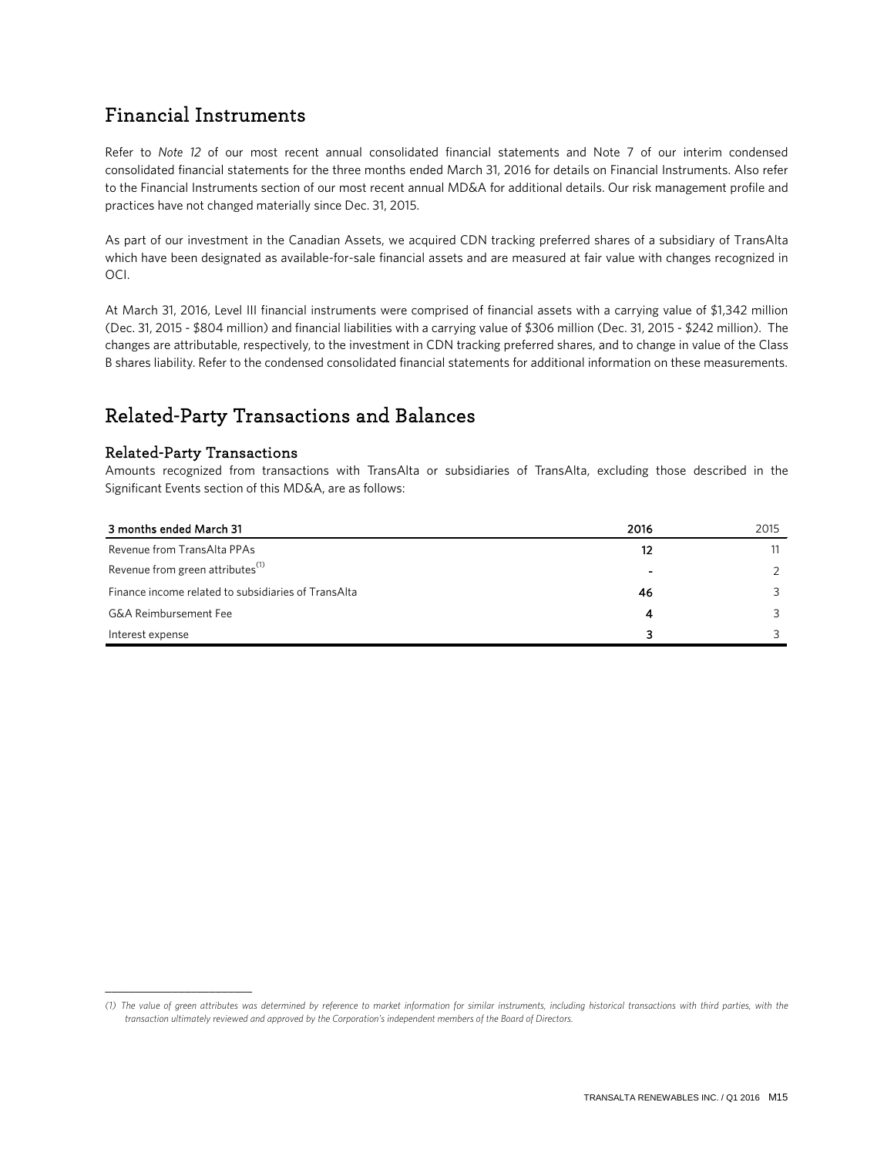## Financial Instruments

Refer to *Note 12* of our most recent annual consolidated financial statements and Note 7 of our interim condensed consolidated financial statements for the three months ended March 31, 2016 for details on Financial Instruments. Also refer to the Financial Instruments section of our most recent annual MD&A for additional details. Our risk management profile and practices have not changed materially since Dec. 31, 2015.

As part of our investment in the Canadian Assets, we acquired CDN tracking preferred shares of a subsidiary of TransAlta which have been designated as available-for-sale financial assets and are measured at fair value with changes recognized in OCI.

At March 31, 2016, Level III financial instruments were comprised of financial assets with a carrying value of \$1,342 million (Dec. 31, 2015 - \$804 million) and financial liabilities with a carrying value of \$306 million (Dec. 31, 2015 - \$242 million). The changes are attributable, respectively, to the investment in CDN tracking preferred shares, and to change in value of the Class B shares liability. Refer to the condensed consolidated financial statements for additional information on these measurements.

## Related-Party Transactions and Balances

### Related-Party Transactions

\_\_\_\_\_\_\_\_\_\_\_\_\_\_\_\_\_\_\_\_\_\_\_\_

Amounts recognized from transactions with TransAlta or subsidiaries of TransAlta, excluding those described in the Significant Events section of this MD&A, are as follows:

| 3 months ended March 31                             | 2016 | 2015 |
|-----------------------------------------------------|------|------|
| Revenue from TransAlta PPAs                         | 12   | 11   |
| Revenue from green attributes <sup>(1)</sup>        |      |      |
| Finance income related to subsidiaries of TransAlta | 46   |      |
| <b>G&amp;A Reimbursement Fee</b>                    |      |      |
| Interest expense                                    | з    |      |

*<sup>(1)</sup> The value of green attributes was determined by reference to market information for similar instruments, including historical transactions with third parties, with the transaction ultimately reviewed and approved by the Corporation's independent members of the Board of Directors.*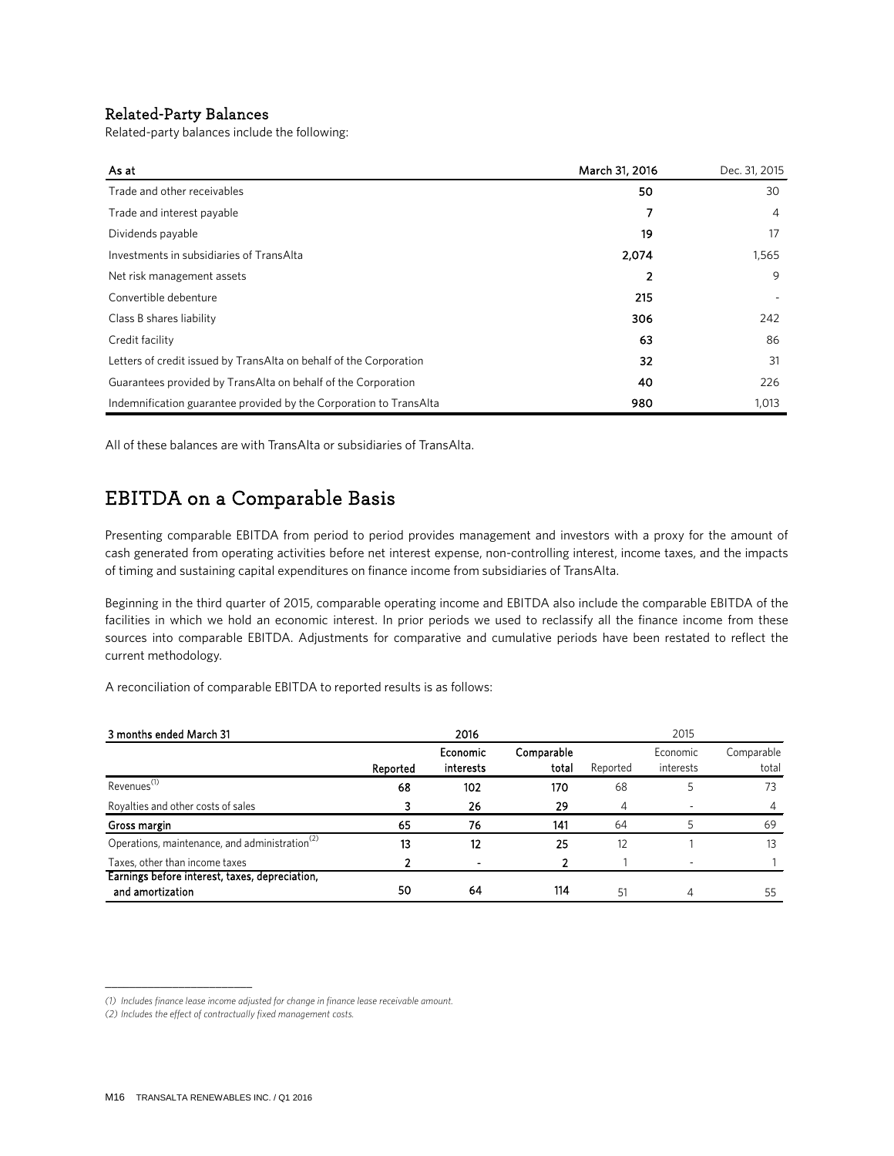### Related-Party Balances

Related-party balances include the following:

| As at                                                              | March 31, 2016 | Dec. 31, 2015 |
|--------------------------------------------------------------------|----------------|---------------|
| Trade and other receivables                                        | 50             | 30            |
| Trade and interest payable                                         | 7              | 4             |
| Dividends payable                                                  | 19             | 17            |
| Investments in subsidiaries of TransAlta                           | 2,074          | 1,565         |
| Net risk management assets                                         | 2              | 9             |
| Convertible debenture                                              | 215            |               |
| Class B shares liability                                           | 306            | 242           |
| Credit facility                                                    | 63             | 86            |
| Letters of credit issued by TransAlta on behalf of the Corporation | 32             | 31            |
| Guarantees provided by TransAlta on behalf of the Corporation      | 40             | 226           |
| Indemnification guarantee provided by the Corporation to TransAlta | 980            | 1,013         |

All of these balances are with TransAlta or subsidiaries of TransAlta.

## EBITDA on a Comparable Basis

Presenting comparable EBITDA from period to period provides management and investors with a proxy for the amount of cash generated from operating activities before net interest expense, non-controlling interest, income taxes, and the impacts of timing and sustaining capital expenditures on finance income from subsidiaries of TransAlta.

Beginning in the third quarter of 2015, comparable operating income and EBITDA also include the comparable EBITDA of the facilities in which we hold an economic interest. In prior periods we used to reclassify all the finance income from these sources into comparable EBITDA. Adjustments for comparative and cumulative periods have been restated to reflect the current methodology.

A reconciliation of comparable EBITDA to reported results is as follows:

| 3 months ended March 31                                    |          | 2016      |            |          | 2015      |            |
|------------------------------------------------------------|----------|-----------|------------|----------|-----------|------------|
|                                                            |          | Economic  | Comparable |          | Economic  | Comparable |
|                                                            | Reported | interests | total      | Reported | interests | total      |
| Revenues <sup>(1)</sup>                                    | 68       | 102       | 170        | 68       |           | 73         |
| Royalties and other costs of sales                         |          | 26        | 29         | 4        |           |            |
| Gross margin                                               | 65       | 76        | 141        | 64       |           | 69         |
| Operations, maintenance, and administration <sup>(2)</sup> | 13       | 12        | 25         | 12       |           |            |
| Taxes, other than income taxes                             |          |           | 2          |          |           |            |
| Earnings before interest, taxes, depreciation,             |          |           |            |          |           |            |
| and amortization                                           | 50       | 64        | 114        | 51       | 4         | 55         |

\_\_\_\_\_\_\_\_\_\_\_\_\_\_\_\_\_\_\_\_\_\_\_\_

*<sup>(1)</sup> Includes finance lease income adjusted for change in finance lease receivable amount.*

*<sup>(2)</sup> Includes the effect of contractually fixed management costs.*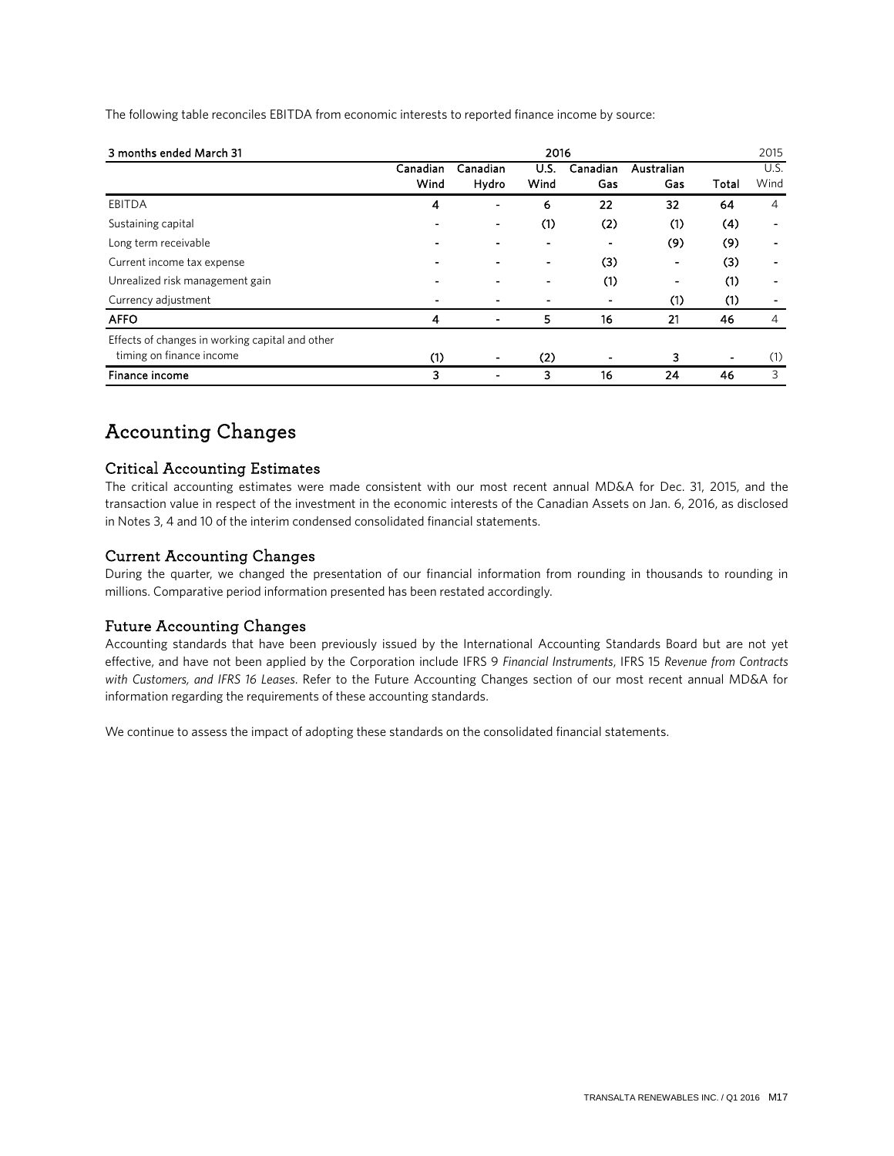| The following table reconciles EBITDA from economic interests to reported finance income by source: |  |  |  |  |
|-----------------------------------------------------------------------------------------------------|--|--|--|--|
|-----------------------------------------------------------------------------------------------------|--|--|--|--|

| 3 months ended March 31                         | 2016             |                          |                          |                 |                   |       | 2015                     |
|-------------------------------------------------|------------------|--------------------------|--------------------------|-----------------|-------------------|-------|--------------------------|
|                                                 | Canadian<br>Wind | Canadian<br>Hydro        | U.S.<br>Wind             | Canadian<br>Gas | Australian<br>Gas | Total | U.S.<br>Wind             |
| <b>EBITDA</b>                                   | 4                | $\blacksquare$           | 6                        | 22              | 32                | 64    | 4                        |
| Sustaining capital                              |                  | $\overline{\phantom{0}}$ | (1)                      | (2)             | (1)               | (4)   | $\overline{\phantom{0}}$ |
| Long term receivable                            |                  |                          | $\overline{\phantom{a}}$ |                 | (9)               | (9)   | $\blacksquare$           |
| Current income tax expense                      |                  |                          | ٠                        | (3)             |                   | (3)   | $\blacksquare$           |
| Unrealized risk management gain                 | -                |                          |                          | (1)             | ۰                 | (1)   | $\blacksquare$           |
| Currency adjustment                             |                  |                          |                          | $\blacksquare$  | (1)               | (1)   |                          |
| <b>AFFO</b>                                     | 4                | ۰                        | 5                        | 16              | 21                | 46    | 4                        |
| Effects of changes in working capital and other |                  |                          |                          |                 |                   |       |                          |
| timing on finance income                        | (1)              |                          | (2)                      |                 | 3                 | ٠     | (1)                      |
| <b>Finance income</b>                           | 3                |                          | 3                        | 16              | 24                | 46    | 3                        |

## Accounting Changes

### Critical Accounting Estimates

The critical accounting estimates were made consistent with our most recent annual MD&A for Dec. 31, 2015, and the transaction value in respect of the investment in the economic interests of the Canadian Assets on Jan. 6, 2016, as disclosed in Notes 3, 4 and 10 of the interim condensed consolidated financial statements.

### Current Accounting Changes

During the quarter, we changed the presentation of our financial information from rounding in thousands to rounding in millions. Comparative period information presented has been restated accordingly.

### Future Accounting Changes

Accounting standards that have been previously issued by the International Accounting Standards Board but are not yet effective, and have not been applied by the Corporation include IFRS 9 *Financial Instruments*, IFRS 15 *Revenue from Contracts with Customers, and IFRS 16 Leases*. Refer to the Future Accounting Changes section of our most recent annual MD&A for information regarding the requirements of these accounting standards.

We continue to assess the impact of adopting these standards on the consolidated financial statements.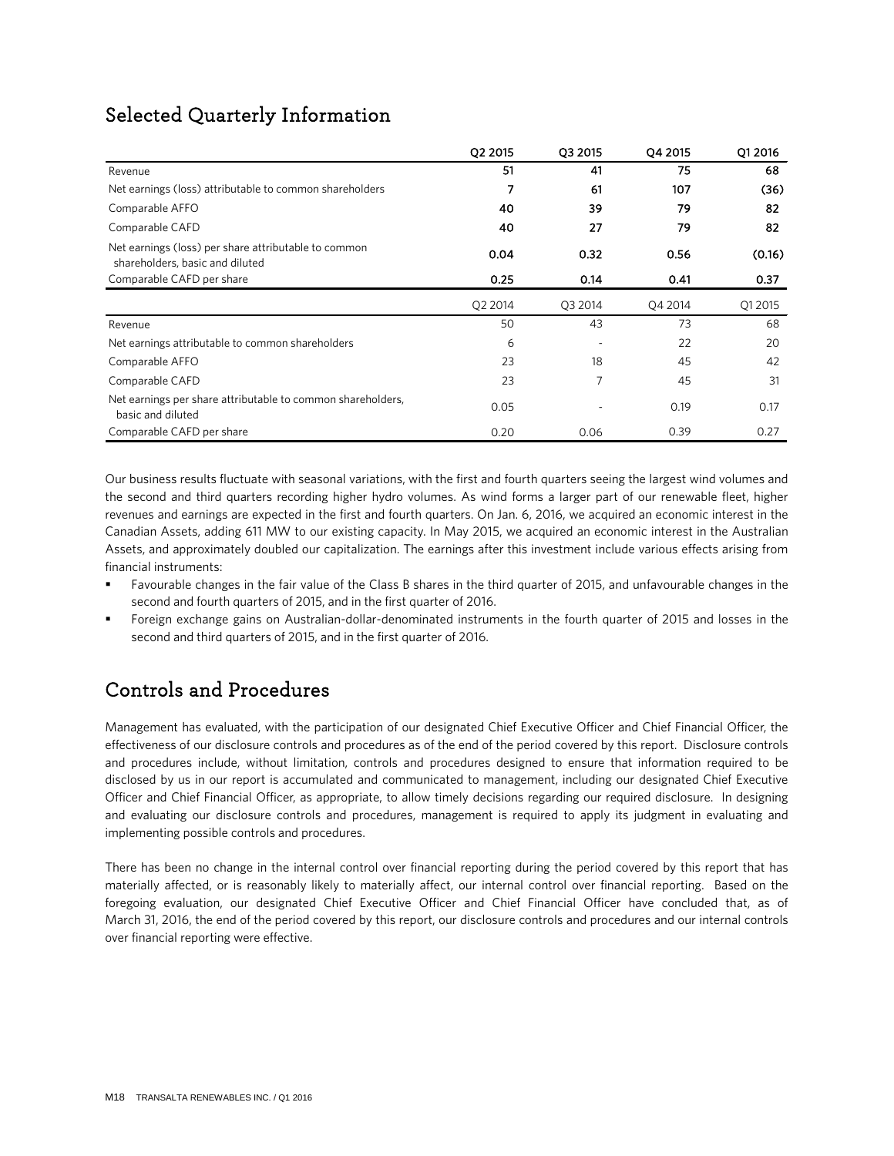## Selected Quarterly Information

|                                                                                         | Q2 2015 | Q3 2015 | Q4 2015 | Q1 2016 |
|-----------------------------------------------------------------------------------------|---------|---------|---------|---------|
| Revenue                                                                                 | 51      | 41      | 75      | 68      |
| Net earnings (loss) attributable to common shareholders                                 | 7       | 61      | 107     | (36)    |
| Comparable AFFO                                                                         | 40      | 39      | 79      | 82      |
| Comparable CAFD                                                                         | 40      | 27      | 79      | 82      |
| Net earnings (loss) per share attributable to common<br>shareholders, basic and diluted | 0.04    | 0.32    | 0.56    | (0.16)  |
| Comparable CAFD per share                                                               | 0.25    | 0.14    | 0.41    | 0.37    |
|                                                                                         | Q2 2014 | Q3 2014 | Q4 2014 | Q1 2015 |
| Revenue                                                                                 | 50      | 43      | 73      | 68      |
| Net earnings attributable to common shareholders                                        | 6       |         | 22      | 20      |
| Comparable AFFO                                                                         | 23      | 18      | 45      | 42      |
| Comparable CAFD                                                                         | 23      | 7       | 45      | 31      |
| Net earnings per share attributable to common shareholders,<br>basic and diluted        | 0.05    |         | 0.19    | 0.17    |
| Comparable CAFD per share                                                               | 0.20    | 0.06    | 0.39    | 0.27    |

Our business results fluctuate with seasonal variations, with the first and fourth quarters seeing the largest wind volumes and the second and third quarters recording higher hydro volumes. As wind forms a larger part of our renewable fleet, higher revenues and earnings are expected in the first and fourth quarters. On Jan. 6, 2016, we acquired an economic interest in the Canadian Assets, adding 611 MW to our existing capacity. In May 2015, we acquired an economic interest in the Australian Assets, and approximately doubled our capitalization. The earnings after this investment include various effects arising from financial instruments:

- Favourable changes in the fair value of the Class B shares in the third quarter of 2015, and unfavourable changes in the second and fourth quarters of 2015, and in the first quarter of 2016.
- Foreign exchange gains on Australian-dollar-denominated instruments in the fourth quarter of 2015 and losses in the second and third quarters of 2015, and in the first quarter of 2016.

## Controls and Procedures

Management has evaluated, with the participation of our designated Chief Executive Officer and Chief Financial Officer, the effectiveness of our disclosure controls and procedures as of the end of the period covered by this report. Disclosure controls and procedures include, without limitation, controls and procedures designed to ensure that information required to be disclosed by us in our report is accumulated and communicated to management, including our designated Chief Executive Officer and Chief Financial Officer, as appropriate, to allow timely decisions regarding our required disclosure. In designing and evaluating our disclosure controls and procedures, management is required to apply its judgment in evaluating and implementing possible controls and procedures.

There has been no change in the internal control over financial reporting during the period covered by this report that has materially affected, or is reasonably likely to materially affect, our internal control over financial reporting. Based on the foregoing evaluation, our designated Chief Executive Officer and Chief Financial Officer have concluded that, as of March 31, 2016, the end of the period covered by this report, our disclosure controls and procedures and our internal controls over financial reporting were effective.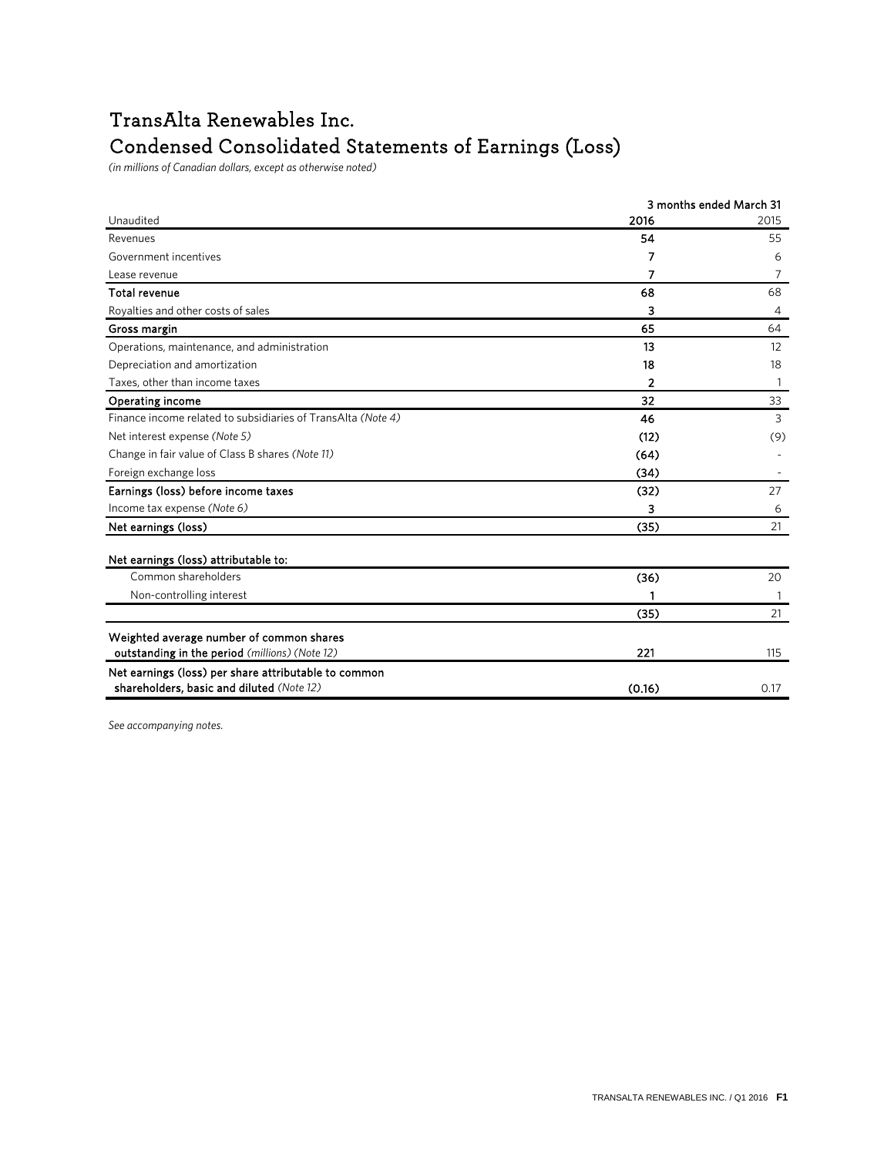## TransAlta Renewables Inc. Condensed Consolidated Statements of Earnings (Loss)

(in millions of Canadian dollars, except as otherwise noted)

|                                                              |        | 3 months ended March 31 |
|--------------------------------------------------------------|--------|-------------------------|
| Unaudited                                                    | 2016   | 2015                    |
| Revenues                                                     | 54     | 55                      |
| Government incentives                                        | 7      | 6                       |
| Lease revenue                                                | 7      | 7                       |
| <b>Total revenue</b>                                         | 68     | 68                      |
| Royalties and other costs of sales                           | 3      | 4                       |
| Gross margin                                                 | 65     | 64                      |
| Operations, maintenance, and administration                  | 13     | 12                      |
| Depreciation and amortization                                | 18     | 18                      |
| Taxes, other than income taxes                               | 2      |                         |
| <b>Operating income</b>                                      | 32     | 33                      |
| Finance income related to subsidiaries of TransAlta (Note 4) | 46     | 3                       |
| Net interest expense (Note 5)                                | (12)   | (9)                     |
| Change in fair value of Class B shares (Note 11)             | (64)   |                         |
| Foreign exchange loss                                        | (34)   |                         |
| Earnings (loss) before income taxes                          | (32)   | 27                      |
| Income tax expense (Note 6)                                  | 3      | 6                       |
| Net earnings (loss)                                          | (35)   | 21                      |
| Net earnings (loss) attributable to:                         |        |                         |
| Common shareholders                                          | (36)   | 20                      |
| Non-controlling interest                                     |        |                         |
|                                                              | (35)   | 21                      |
| Weighted average number of common shares                     |        |                         |
| outstanding in the period (millions) (Note 12)               | 221    | 115                     |
| Net earnings (loss) per share attributable to common         |        |                         |
| shareholders, basic and diluted (Note 12)                    | (0.16) | 0.17                    |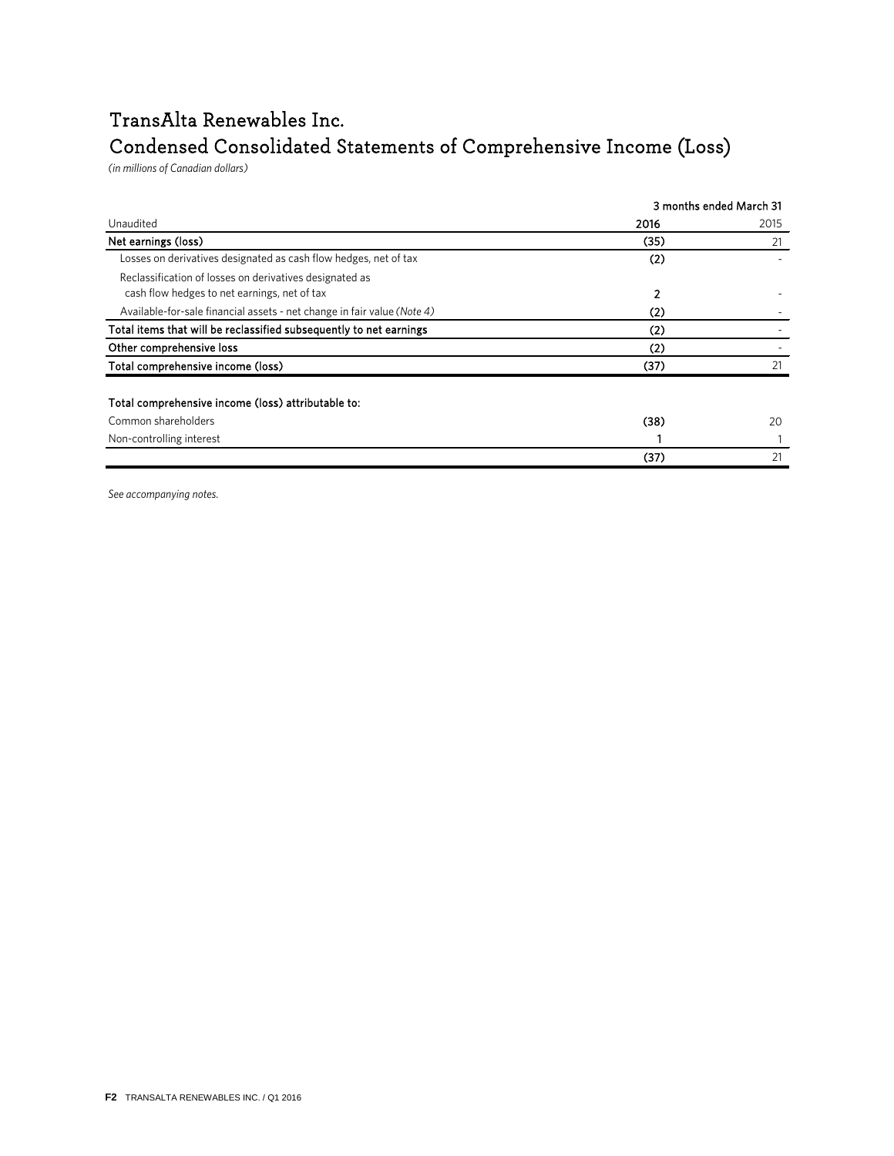## TransAlta Renewables Inc.

## Condensed Consolidated Statements of Comprehensive Income (Loss)

*(ns rnllntss tf Cdsdhnds htlldws)*

|                                                                                                         | 3 months ended March 31 |      |  |
|---------------------------------------------------------------------------------------------------------|-------------------------|------|--|
| Unaudited                                                                                               | 2016                    | 2015 |  |
| Net earnings (loss)                                                                                     | (35)                    | 21   |  |
| Losses on derivatives designated as cash flow hedges, net of tax                                        | (2)                     |      |  |
| Reclassification of losses on derivatives designated as<br>cash flow hedges to net earnings, net of tax | $\overline{2}$          |      |  |
| Available-for-sale financial assets - net change in fair value (Note 4)                                 | (2)                     |      |  |
| Total items that will be reclassified subsequently to net earnings                                      | (2)                     |      |  |
| Other comprehensive loss                                                                                | (2)                     |      |  |
| Total comprehensive income (loss)                                                                       | (37)                    | 21   |  |
| Total comprehensive income (loss) attributable to:                                                      |                         |      |  |
| Common shareholders                                                                                     | (38)                    | 20   |  |
| Non-controlling interest                                                                                |                         |      |  |
|                                                                                                         | (37)                    | 21   |  |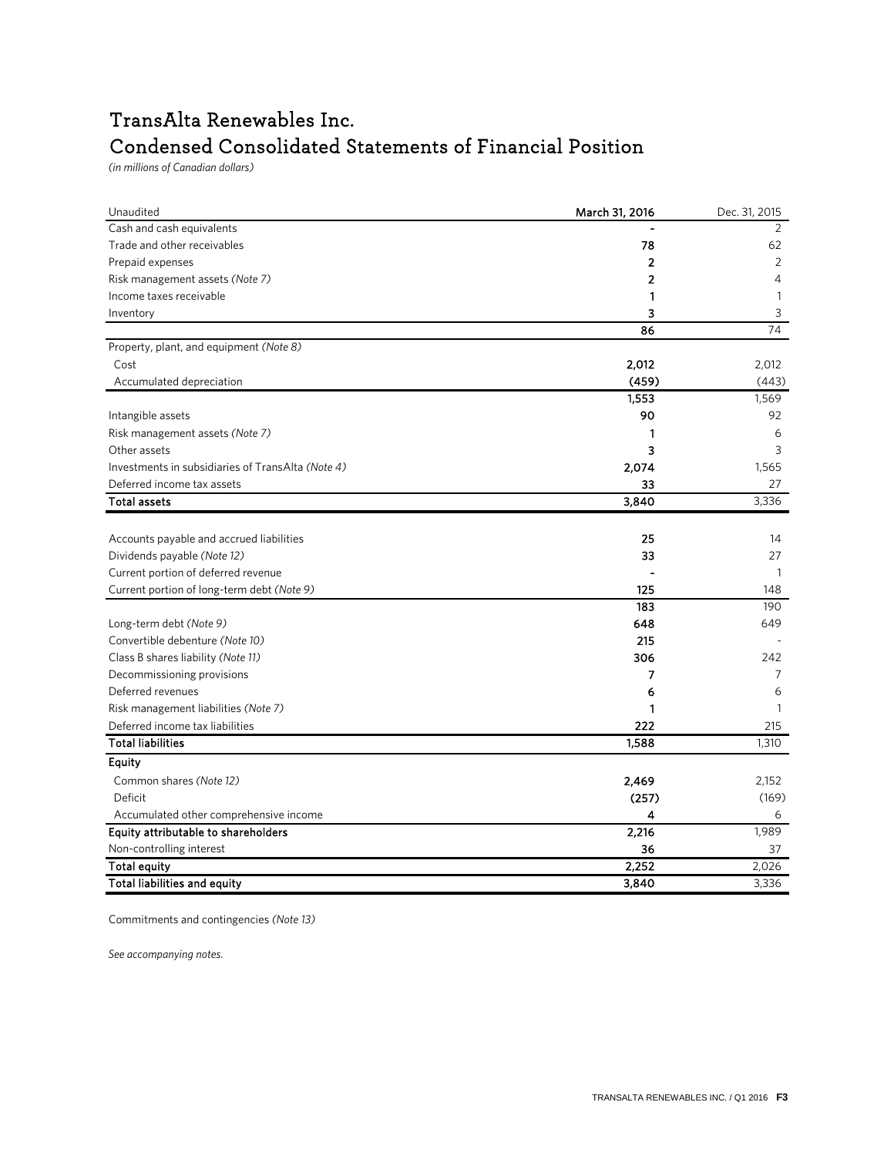## TransAlta Renewables Inc. Condensed Consolidated Statements of Financial Position

*(ns rnllntss tf Cdsddnds dtlldws)*

| Unaudited                                         | March 31, 2016 | Dec. 31, 2015  |
|---------------------------------------------------|----------------|----------------|
| Cash and cash equivalents                         |                | 2              |
| Trade and other receivables                       | 78             | 62             |
| Prepaid expenses                                  | $\overline{2}$ | $\overline{2}$ |
| Risk management assets (Note 7)                   | 2              | 4              |
| Income taxes receivable                           | 1              | $\mathbf{1}$   |
| Inventory                                         | 3              | 3              |
|                                                   | 86             | 74             |
| Property, plant, and equipment (Note 8)           |                |                |
| Cost                                              | 2,012          | 2,012          |
| Accumulated depreciation                          | (459)          | (443)          |
|                                                   | 1,553          | 1,569          |
| Intangible assets                                 | 90             | 92             |
| Risk management assets (Note 7)                   | 1              | 6              |
| Other assets                                      | 3              | 3              |
| Investments in subsidiaries of TransAlta (Note 4) | 2,074          | 1,565          |
| Deferred income tax assets                        | 33             | 27             |
| <b>Total assets</b>                               | 3,840          | 3,336          |
|                                                   |                |                |
| Accounts payable and accrued liabilities          | 25             | 14             |
| Dividends payable (Note 12)                       | 33             | 27             |
| Current portion of deferred revenue               |                | $\overline{1}$ |
| Current portion of long-term debt (Note 9)        | 125            | 148            |
|                                                   | 183            | 190            |
| Long-term debt (Note 9)                           | 648            | 649            |
| Convertible debenture (Note 10)                   | 215            |                |
| Class B shares liability (Note 11)                | 306            | 242            |
| Decommissioning provisions                        | 7              | 7              |
| Deferred revenues                                 | 6              | 6              |
| Risk management liabilities (Note 7)              | 1              | $\mathbf{1}$   |
| Deferred income tax liabilities                   | 222            | 215            |
| <b>Total liabilities</b>                          | 1,588          | 1,310          |
| Equity                                            |                |                |
| Common shares (Note 12)                           | 2,469          | 2,152          |
| Deficit                                           | (257)          | (169)          |
| Accumulated other comprehensive income            | 4              | 6              |
| Equity attributable to shareholders               | 2,216          | 1,989          |
| Non-controlling interest                          | 36             | 37             |
| <b>Total equity</b>                               | 2,252          | 2,026          |
| Total liabilities and equity                      | 3,840          | 3,336          |

Commitments and contingencies (Note 13)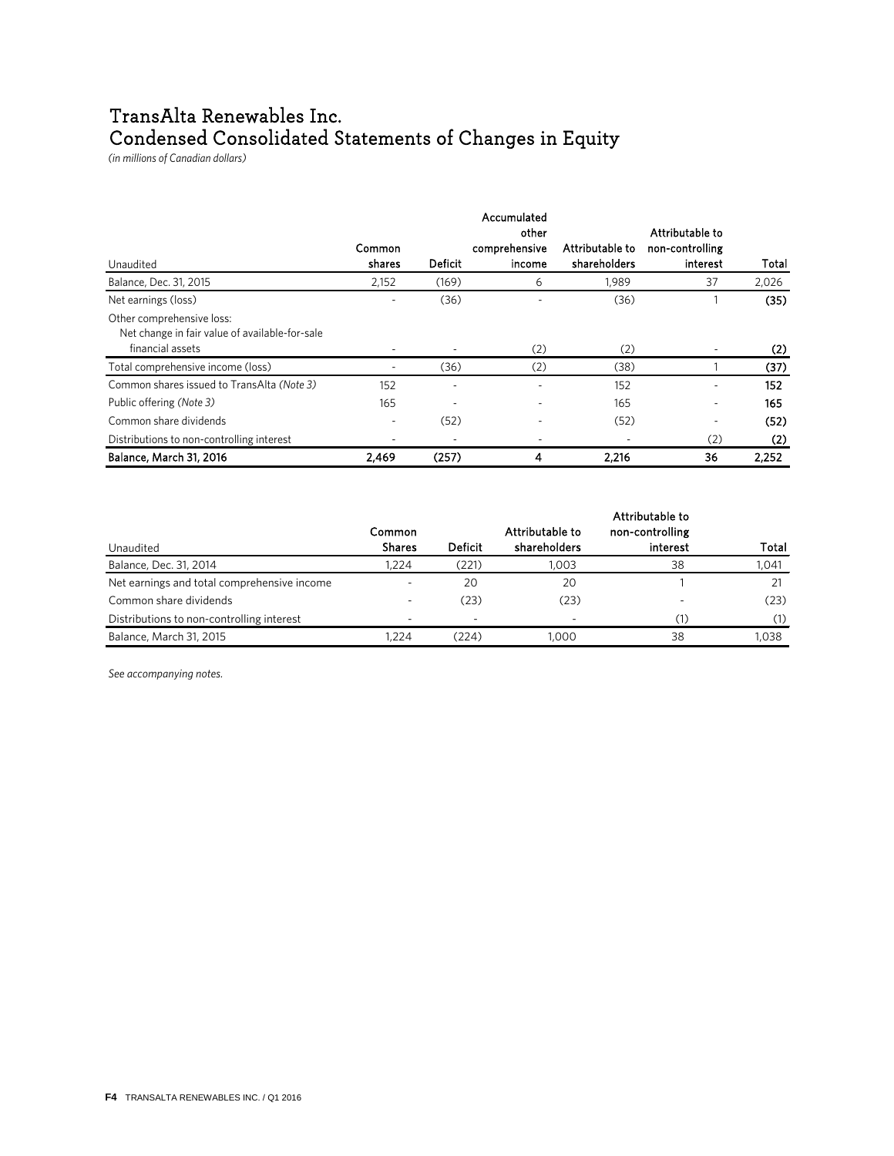## TransAlta Renewables Inc. Condensed Consolidated Statements of Changes in Equity

*(ns rnqqntss tf Cdsdhnds htqqdws)*

|                                                                                                 | <b>Common</b> |                | Accumulated<br>other<br>comprehensive | Attributable to | Attributable to<br>non-controlling |       |
|-------------------------------------------------------------------------------------------------|---------------|----------------|---------------------------------------|-----------------|------------------------------------|-------|
| Unaudited                                                                                       | shares        | <b>Deficit</b> | income                                | shareholders    | interest                           | Total |
| Balance, Dec. 31, 2015                                                                          | 2,152         | (169)          | 6                                     | 1.989           | 37                                 | 2,026 |
| Net earnings (loss)                                                                             |               | (36)           |                                       | (36)            |                                    | (35)  |
| Other comprehensive loss:<br>Net change in fair value of available-for-sale<br>financial assets |               |                | (2)                                   | (2)             |                                    | (2)   |
| Total comprehensive income (loss)                                                               |               | (36)           | (2)                                   | (38)            |                                    | (37)  |
| Common shares issued to TransAlta (Note 3)                                                      | 152           |                |                                       | 152             |                                    | 152   |
| Public offering (Note 3)                                                                        | 165           |                | ۰                                     | 165             | ٠                                  | 165   |
| Common share dividends                                                                          | ۰             | (52)           | ٠                                     | (52)            |                                    | (52)  |
| Distributions to non-controlling interest                                                       |               | ٠              |                                       |                 | (2)                                | (2)   |
| Balance, March 31, 2016                                                                         | 2,469         | (257)          | 4                                     | 2,216           | 36                                 | 2,252 |

|                                             | <b>Common</b> |                | Attributable to | Attributable to<br>non-controlling |       |
|---------------------------------------------|---------------|----------------|-----------------|------------------------------------|-------|
| Unaudited                                   | <b>Shares</b> | <b>Deficit</b> | shareholders    | interest                           | Total |
| Balance, Dec. 31, 2014                      | 1.224         | (221)          | 1.003           | 38                                 | 1,041 |
| Net earnings and total comprehensive income |               | 20             | 20              |                                    |       |
| Common share dividends                      |               | (23)           | (23)            |                                    | (23)  |
| Distributions to non-controlling interest   | -             | $\sim$         |                 |                                    | (1)   |
| Balance, March 31, 2015                     | 1.224         | (224)          | .000            | 38                                 | 1.038 |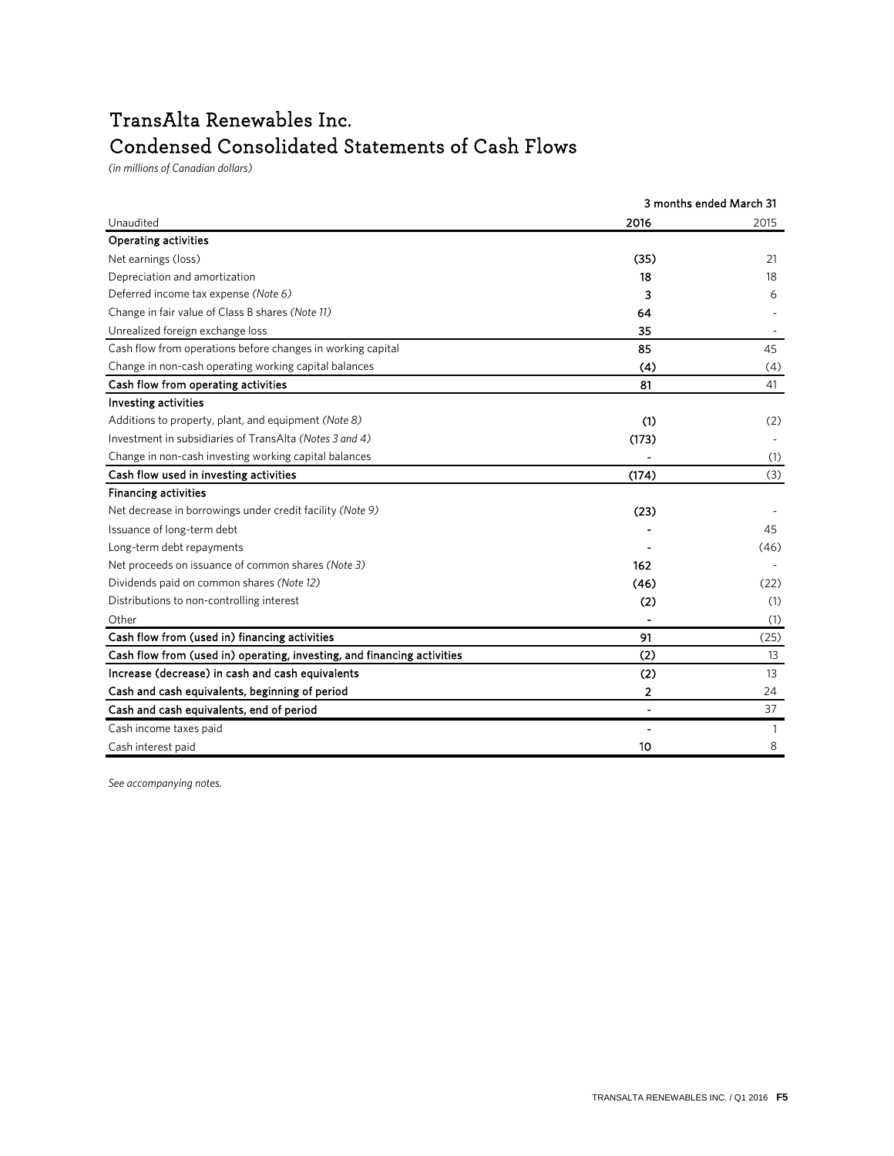## TransAlta Renewables Inc. Condensed Consolidated Statements of Cash Flows

 $(in$  millions of Canadian dollars)

|                                                                         |                | 3 months ended March 31 |
|-------------------------------------------------------------------------|----------------|-------------------------|
| Unaudited                                                               | 2016           | 2015                    |
| <b>Operating activities</b>                                             |                |                         |
| Net earnings (loss)                                                     | (35)           | 21                      |
| Depreciation and amortization                                           | 18             | 18                      |
| Deferred income tax expense (Note 6)                                    | 3              | 6                       |
| Change in fair value of Class B shares (Note 11)                        | 64             |                         |
| Unrealized foreign exchange loss                                        | 35             |                         |
| Cash flow from operations before changes in working capital             | 85             | 45                      |
| Change in non-cash operating working capital balances                   | (4)            | (4)                     |
| Cash flow from operating activities                                     | 81             | 41                      |
| Investing activities                                                    |                |                         |
| Additions to property, plant, and equipment (Note 8)                    | (1)            | (2)                     |
| Investment in subsidiaries of TransAlta (Notes 3 and 4)                 | (173)          |                         |
| Change in non-cash investing working capital balances                   |                | (1)                     |
| Cash flow used in investing activities                                  | (174)          | (3)                     |
| <b>Financing activities</b>                                             |                |                         |
| Net decrease in borrowings under credit facility (Note 9)               | (23)           |                         |
| Issuance of long-term debt                                              |                | 45                      |
| Long-term debt repayments                                               |                | (46)                    |
| Net proceeds on issuance of common shares (Note 3)                      | 162            |                         |
| Dividends paid on common shares (Note 12)                               | (46)           | (22)                    |
| Distributions to non-controlling interest                               | (2)            | (1)                     |
| Other                                                                   |                | (1)                     |
| Cash flow from (used in) financing activities                           | 91             | (25)                    |
| Cash flow from (used in) operating, investing, and financing activities | (2)            | 13                      |
| Increase (decrease) in cash and cash equivalents                        | (2)            | 13                      |
| Cash and cash equivalents, beginning of period                          | 2              | 24                      |
| Cash and cash equivalents, end of period                                | $\blacksquare$ | 37                      |
| Cash income taxes paid                                                  |                | 1                       |
| Cash interest paid                                                      | 10             | 8                       |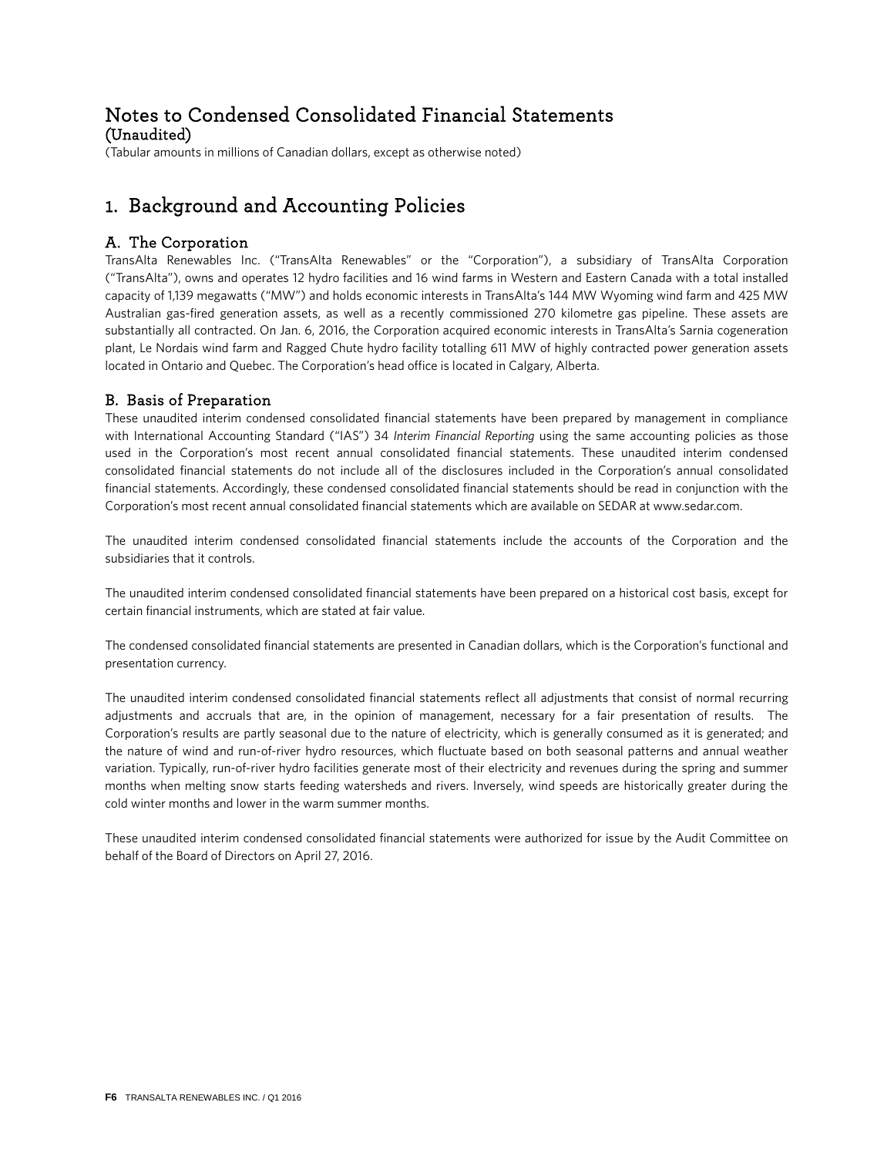# Notes to Condensed Consolidated Financial Statements (Unaudited)

(Tabular amounts in millions of Canadian dollars, except as otherwise noted)

## 1. Background and Accounting Policies

### A. The Corporation

TransAlta Renewables Inc. ("TransAlta Renewables" or the "Corporation"), a subsidiary of TransAlta Corporation ("TransAlta"), owns and operates 12 hydro facilities and 16 wind farms in Western and Eastern Canada with a total installed capacity of 1,139 megawatts ("MW") and holds economic interests in TransAlta's 144 MW Wyoming wind farm and 425 MW Australian gas-fired generation assets, as well as a recently commissioned 270 kilometre gas pipeline. These assets are substantially all contracted. On Jan. 6, 2016, the Corporation acquired economic interests in TransAlta's Sarnia cogeneration plant, Le Nordais wind farm and Ragged Chute hydro facility totalling 611 MW of highly contracted power generation assets located in Ontario and Quebec. The Corporation's head office is located in Calgary, Alberta.

### B. Basis of Preparation

These unaudited interim condensed consolidated financial statements have been prepared by management in compliance with International Accounting Standard ("IAS") 34 *Interim Financial Reporting* using the same accounting policies as those used in the Corporation's most recent annual consolidated financial statements. These unaudited interim condensed consolidated financial statements do not include all of the disclosures included in the Corporation's annual consolidated financial statements. Accordingly, these condensed consolidated financial statements should be read in conjunction with the Corporation's most recent annual consolidated financial statements which are available on SEDAR at www.sedar.com.

The unaudited interim condensed consolidated financial statements include the accounts of the Corporation and the subsidiaries that it controls.

The unaudited interim condensed consolidated financial statements have been prepared on a historical cost basis, except for certain financial instruments, which are stated at fair value.

The condensed consolidated financial statements are presented in Canadian dollars, which is the Corporation's functional and presentation currency.

The unaudited interim condensed consolidated financial statements reflect all adjustments that consist of normal recurring adjustments and accruals that are, in the opinion of management, necessary for a fair presentation of results. The Corporation's results are partly seasonal due to the nature of electricity, which is generally consumed as it is generated; and the nature of wind and run-of-river hydro resources, which fluctuate based on both seasonal patterns and annual weather variation. Typically, run-of-river hydro facilities generate most of their electricity and revenues during the spring and summer months when melting snow starts feeding watersheds and rivers. Inversely, wind speeds are historically greater during the cold winter months and lower in the warm summer months.

These unaudited interim condensed consolidated financial statements were authorized for issue by the Audit Committee on behalf of the Board of Directors on April 27, 2016.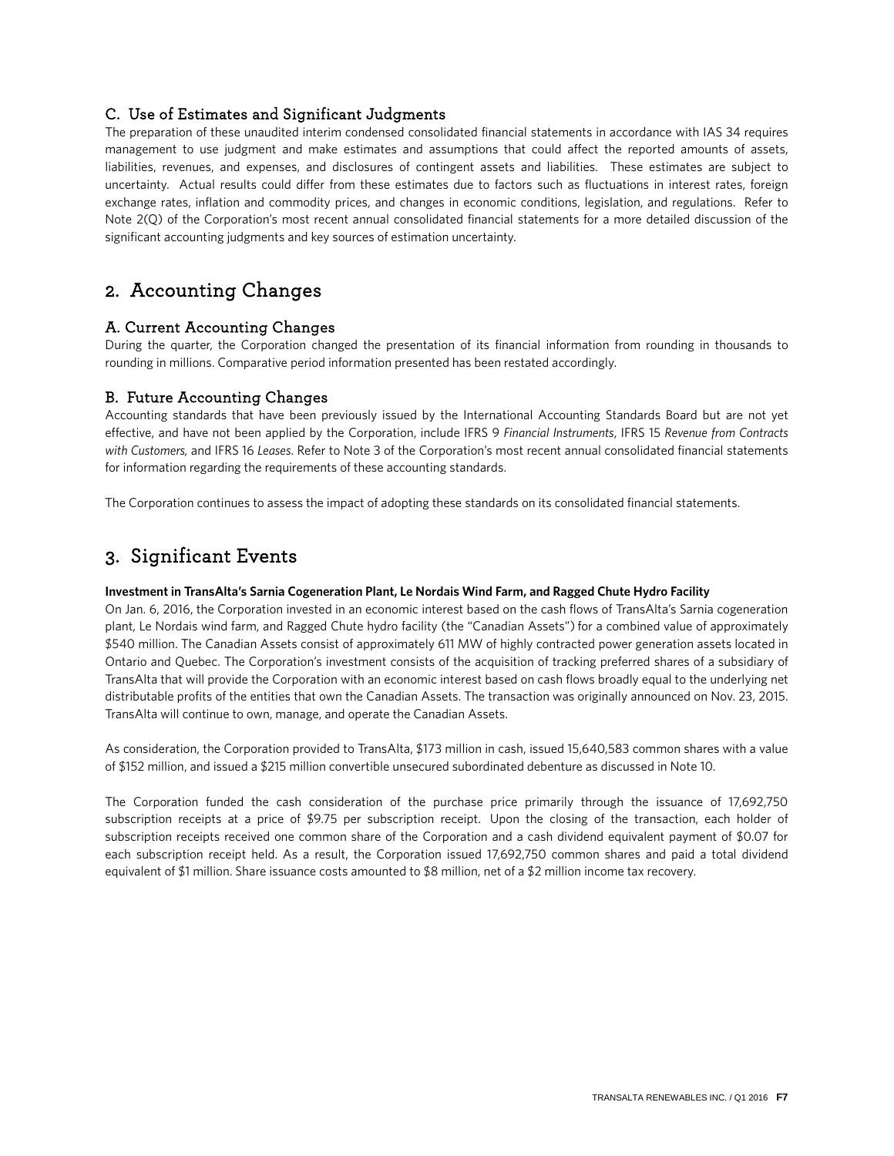### C. Use of Estimates and Significant Judgments

The preparation of these unaudited interim condensed consolidated financial statements in accordance with IAS 34 requires management to use judgment and make estimates and assumptions that could affect the reported amounts of assets, liabilities, revenues, and expenses, and disclosures of contingent assets and liabilities. These estimates are subject to uncertainty. Actual results could differ from these estimates due to factors such as fluctuations in interest rates, foreign exchange rates, inflation and commodity prices, and changes in economic conditions, legislation, and regulations. Refer to Note 2(Q) of the Corporation's most recent annual consolidated financial statements for a more detailed discussion of the significant accounting judgments and key sources of estimation uncertainty.

### 2. Accounting Changes

### A. Current Accounting Changes

During the quarter, the Corporation changed the presentation of its financial information from rounding in thousands to rounding in millions. Comparative period information presented has been restated accordingly.

### B. Future Accounting Changes

Accounting standards that have been previously issued by the International Accounting Standards Board but are not yet effective, and have not been applied by the Corporation, include IFRS 9 *Financial Instruments*, IFRS 15 *Revenue from Contracts with Customers,* and IFRS 16 *Leases*. Refer to Note 3 of the Corporation's most recent annual consolidated financial statements for information regarding the requirements of these accounting standards.

The Corporation continues to assess the impact of adopting these standards on its consolidated financial statements.

## 3. Significant Events

### **Investment in TransAlta's Sarnia Cogeneration Plant, Le Nordais Wind Farm, and Ragged Chute Hydro Facility**

On Jan. 6, 2016, the Corporation invested in an economic interest based on the cash flows of TransAlta's Sarnia cogeneration plant, Le Nordais wind farm, and Ragged Chute hydro facility (the "Canadian Assets") for a combined value of approximately \$540 million. The Canadian Assets consist of approximately 611 MW of highly contracted power generation assets located in Ontario and Quebec. The Corporation's investment consists of the acquisition of tracking preferred shares of a subsidiary of TransAlta that will provide the Corporation with an economic interest based on cash flows broadly equal to the underlying net distributable profits of the entities that own the Canadian Assets. The transaction was originally announced on Nov. 23, 2015. TransAlta will continue to own, manage, and operate the Canadian Assets.

As consideration, the Corporation provided to TransAlta, \$173 million in cash, issued 15,640,583 common shares with a value of \$152 million, and issued a \$215 million convertible unsecured subordinated debenture as discussed in Note 10.

The Corporation funded the cash consideration of the purchase price primarily through the issuance of 17,692,750 subscription receipts at a price of \$9.75 per subscription receipt. Upon the closing of the transaction, each holder of subscription receipts received one common share of the Corporation and a cash dividend equivalent payment of \$0.07 for each subscription receipt held. As a result, the Corporation issued 17,692,750 common shares and paid a total dividend equivalent of \$1 million. Share issuance costs amounted to \$8 million, net of a \$2 million income tax recovery.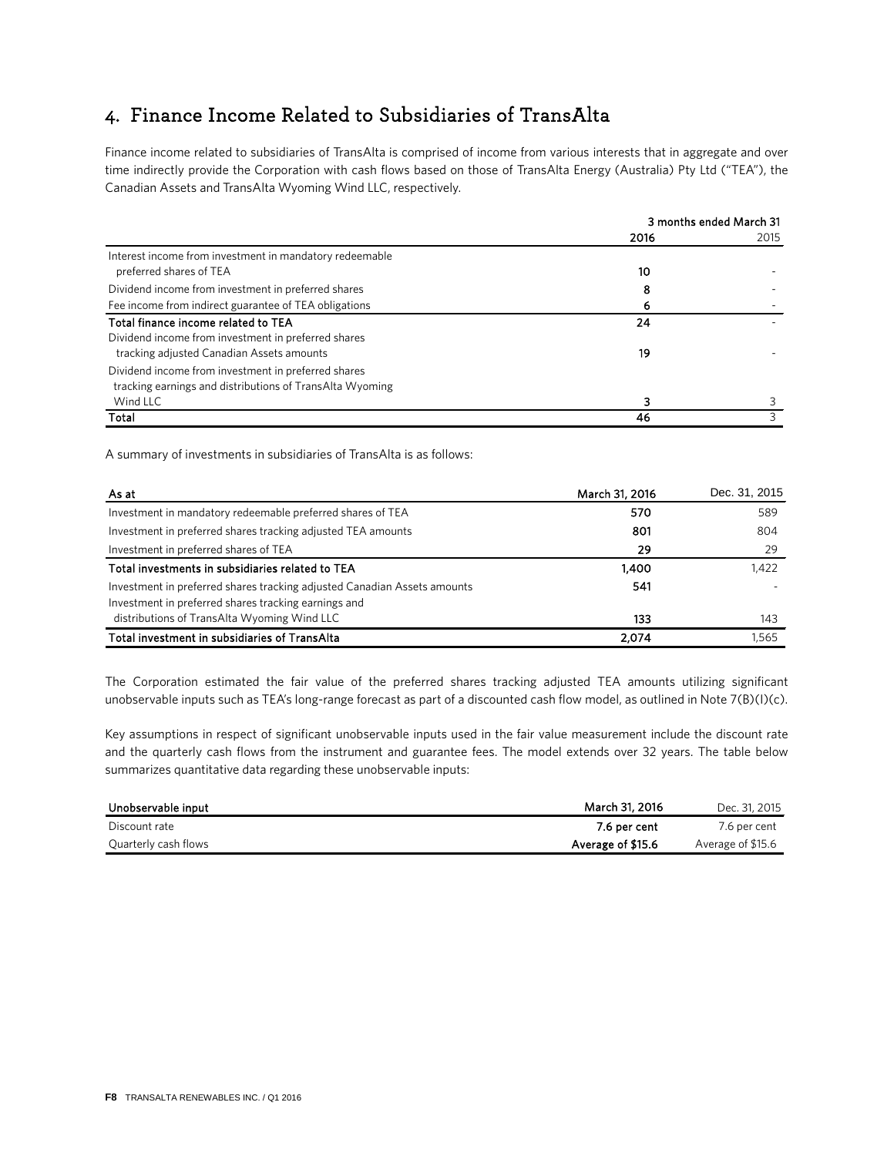## 4. Finance Income Related to Subsidiaries of TransAlta

Finance income related to subsidiaries of TransAlta is comprised of income from various interests that in aggregate and over time indirectly provide the Corporation with cash flows based on those of TransAlta Energy (Australia) Pty Ltd ("TEA"), the Canadian Assets and Trans Alta Wyoming Wind LLC, respectively.

|                                                          | 3 months ended March 31 |      |
|----------------------------------------------------------|-------------------------|------|
|                                                          | 2016                    | 2015 |
| Interest income from investment in mandatory redeemable  |                         |      |
| preferred shares of TEA                                  | 10                      |      |
| Dividend income from investment in preferred shares      | 8                       |      |
| Fee income from indirect guarantee of TEA obligations    |                         |      |
| Total finance income related to TEA                      | 24                      |      |
| Dividend income from investment in preferred shares      |                         |      |
| tracking adjusted Canadian Assets amounts                | 19                      |      |
| Dividend income from investment in preferred shares      |                         |      |
| tracking earnings and distributions of TransAlta Wyoming |                         |      |
| Wind LLC                                                 | ٦                       |      |
| Total                                                    | 46                      |      |

A summary of investments in subsidiaries of Trans Alta is as follows:

| As at                                                                    | March 31, 2016 | Dec. 31, 2015 |
|--------------------------------------------------------------------------|----------------|---------------|
| Investment in mandatory redeemable preferred shares of TEA               | 570            | 589           |
| Investment in preferred shares tracking adjusted TEA amounts             | 801            | 804           |
| Investment in preferred shares of TEA                                    | 29             | 29            |
| Total investments in subsidiaries related to TEA                         | 1,400          | 1.422         |
| Investment in preferred shares tracking adjusted Canadian Assets amounts | 541            |               |
| Investment in preferred shares tracking earnings and                     |                |               |
| distributions of TransAlta Wyoming Wind LLC                              | 133            | 143           |
| Total investment in subsidiaries of TransAlta                            | 2.074          | 1.565         |

The Corporation estimated the fair value of the preferred shares tracking adjusted TEA amounts utilizing significant unobservable inputs such as TEA's long-range forecast as part of a discounted cash flow model, as outlined in Note 7(B)(I)(c).

Key assumptions in respect of significant unobservable inputs used in the fair value measurement include the discount rate and the quarterly cash flows from the instrument and guarantee fees. The model extends over 32 years. The table below summarizes quantitative data regarding these unobservable inputs:

| Unobservable input   | March 31, 2016    | Dec. 31, 2015     |
|----------------------|-------------------|-------------------|
| Discount rate        | 7.6 per cent      | 7.6 per cent      |
| Quarterly cash flows | Average of \$15.6 | Average of \$15.6 |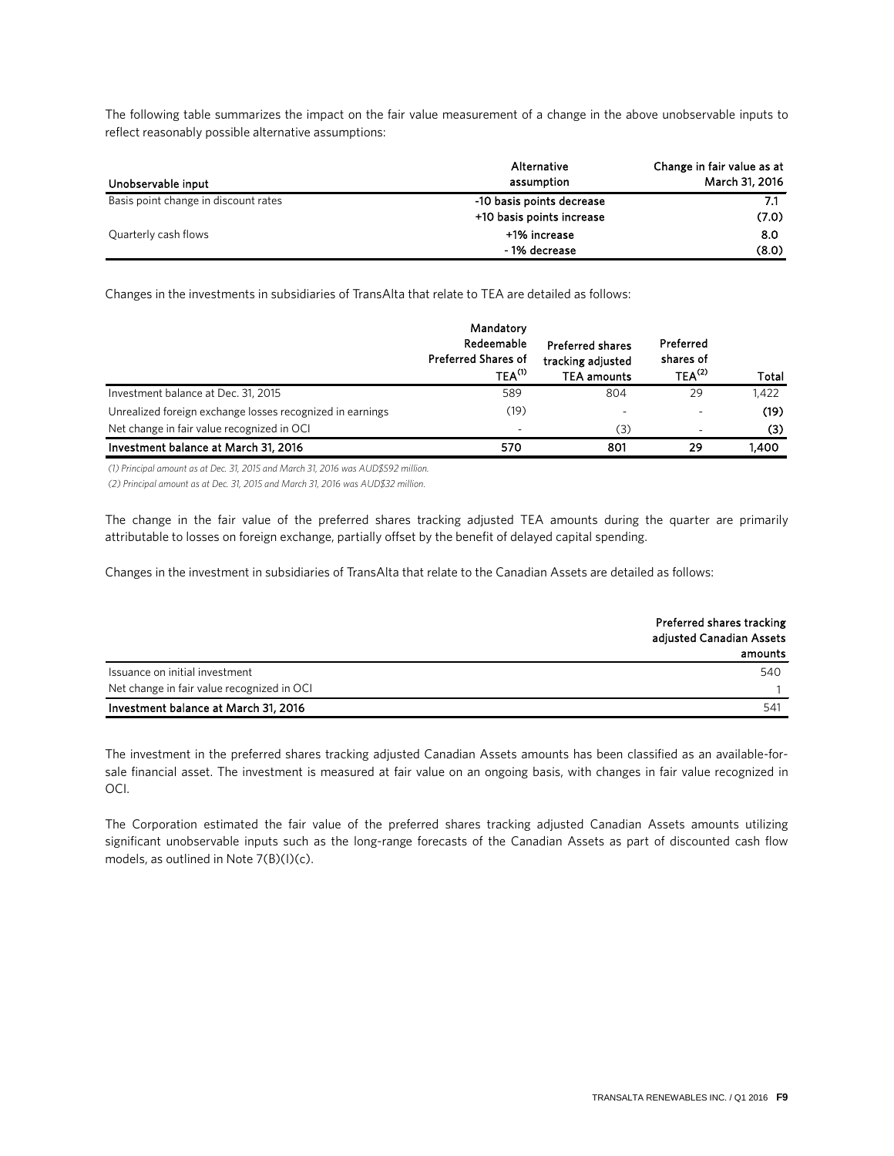The following table summarizes the impact on the fair value measurement of a change in the above unobservable inputs to reflect reasonably possible alternative assumptions:

| Unobservable input                   | Alternative<br>assumption | Change in fair value as at<br>March 31, 2016 |
|--------------------------------------|---------------------------|----------------------------------------------|
| Basis point change in discount rates | -10 basis points decrease |                                              |
|                                      | +10 basis points increase | (7.0)                                        |
| Quarterly cash flows                 | +1% increase              | 8.0                                          |
|                                      | - 1% decrease             | (8.0)                                        |

Changes in the investments in subsidiaries of TransAlta that relate to TEA are detailed as follows:

|                                                           | Mandatory<br>Redeemable<br><b>Preferred Shares of</b><br>$TEA^{(1)}$ | <b>Preferred shares</b><br>tracking adjusted<br><b>TEA amounts</b> | Preferred<br>shares of<br>$TFA^{(2)}$ | Total |
|-----------------------------------------------------------|----------------------------------------------------------------------|--------------------------------------------------------------------|---------------------------------------|-------|
| Investment balance at Dec. 31, 2015                       | 589                                                                  | 804                                                                | 29                                    | 1,422 |
| Unrealized foreign exchange losses recognized in earnings | (19)                                                                 |                                                                    |                                       | (19)  |
| Net change in fair value recognized in OCI                | -                                                                    | (3)                                                                |                                       | (3)   |
| Investment balance at March 31, 2016                      | 570                                                                  | 801                                                                | 29                                    | 1.400 |

(1) Principal amount as at Dec. 31, 2015 and March 31, 2016 was AUD\$592 million.

*(2) Psjodjpam anovou at au Dfd. 31, 2915 aoe Masdi 31, 2916 wat AUD\$32 njmmjoo.*

The change in the fair value of the preferred shares tracking adjusted TEA amounts during the quarter are primarily attributable to losses on foreign exchange, partially offset by the benefit of delayed capital spending.

Changes in the investment in subsidiaries of TransAlta that relate to the Canadian Assets are detailed as follows:

|                                            | Preferred shares tracking<br>adjusted Canadian Assets<br>amounts |
|--------------------------------------------|------------------------------------------------------------------|
| Issuance on initial investment             | 540                                                              |
| Net change in fair value recognized in OCI |                                                                  |
| Investment balance at March 31, 2016       | 541                                                              |

The investment in the preferred shares tracking adjusted Canadian Assets amounts has been classified as an available-forsale financial asset. The investment is measured at fair value on an ongoing basis, with changes in fair value recognized in OCI.

The Corporation estimated the fair value of the preferred shares tracking adjusted Canadian Assets amounts utilizing significant unobservable inputs such as the long-range forecasts of the Canadian Assets as part of discounted cash flow models, as outlined in Note 7(B)(I)(c).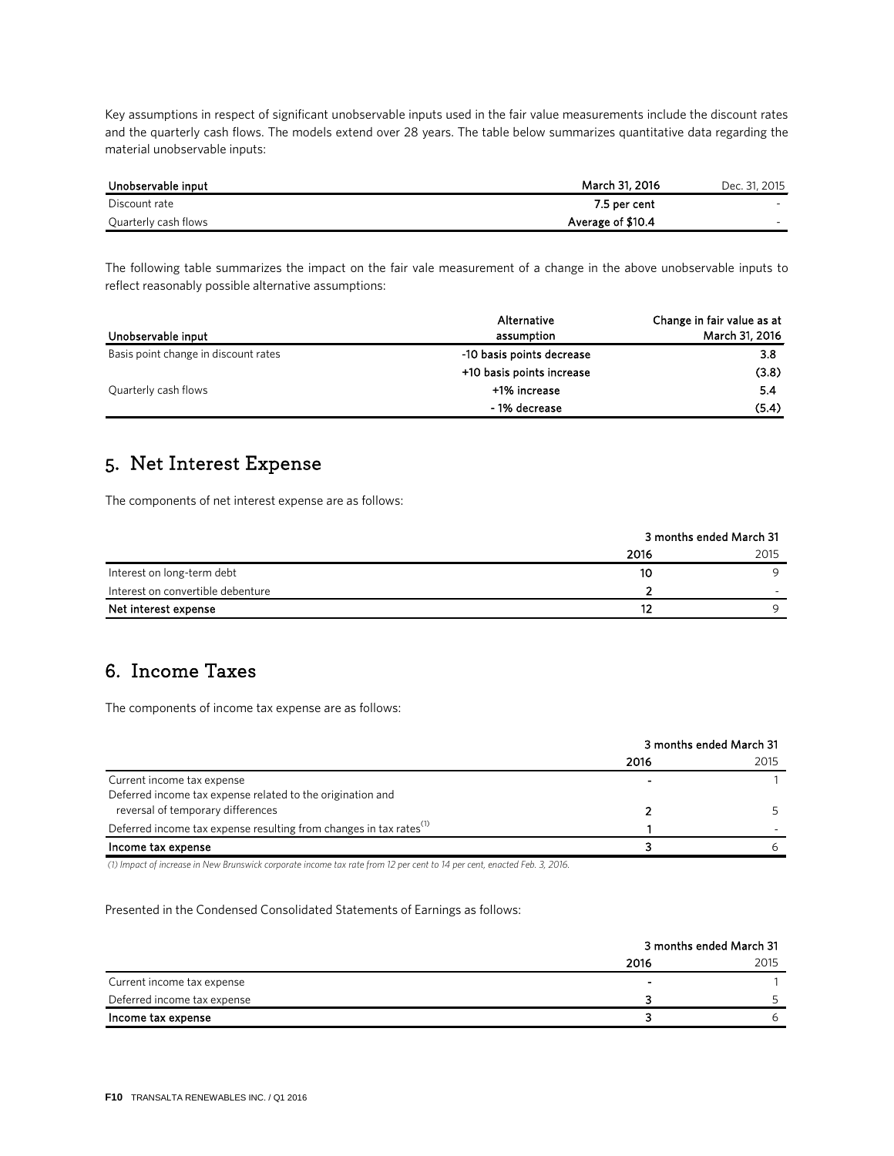Key assumptions in respect of significant unobservable inputs used in the fair value measurements include the discount rates and the quarterly cash flows. The models extend over 28 years. The table below summarizes quantitative data regarding the material unobservable inputs:

| Unobservable input   | March 31, 2016    | Dec. 31, 2015 |
|----------------------|-------------------|---------------|
| Discount rate        | 7.5 per cent      | -             |
| Quarterly cash flows | Average of \$10.4 | $\sim$        |

The following table summarizes the impact on the fair vale measurement of a change in the above unobservable inputs to reflect reasonably possible alternative assumptions:

| Unobservable input                   | Alternative<br>assumption | Change in fair value as at<br>March 31, 2016 |
|--------------------------------------|---------------------------|----------------------------------------------|
| Basis point change in discount rates | -10 basis points decrease | 3.8                                          |
|                                      | +10 basis points increase | (3.8)                                        |
| Quarterly cash flows                 | +1% increase              | 5.4                                          |
|                                      | - 1% decrease             | (5.4)                                        |

### 5. Net Interest Expense

The components of net interest expense are as follows:

|                                   | 3 months ended March 31 |      |
|-----------------------------------|-------------------------|------|
|                                   | 2016                    | 2015 |
| Interest on long-term debt        | 10                      |      |
| Interest on convertible debenture |                         | -    |
| Net interest expense              | 12                      |      |

### 6. Income Taxes

The components of income tax expense are as follows:

|                                                                                | 3 months ended March 31 |      |  |
|--------------------------------------------------------------------------------|-------------------------|------|--|
|                                                                                | 2016                    | 2015 |  |
| Current income tax expense                                                     |                         |      |  |
| Deferred income tax expense related to the origination and                     |                         |      |  |
| reversal of temporary differences                                              |                         |      |  |
| Deferred income tax expense resulting from changes in tax rates <sup>(1)</sup> |                         |      |  |
| Income tax expense                                                             |                         |      |  |

(1) Impact of increase in New Brunswick corporate income tax rate from 12 per cent to 14 per cent, enacted Feb. 3, 2016.

### Presented in the Condensed Consolidated Statements of Earnings as follows:

|                             | 3 months ended March 31 |      |
|-----------------------------|-------------------------|------|
|                             | 2016                    | 2015 |
| Current income tax expense  |                         |      |
| Deferred income tax expense |                         |      |
| Income tax expense          |                         |      |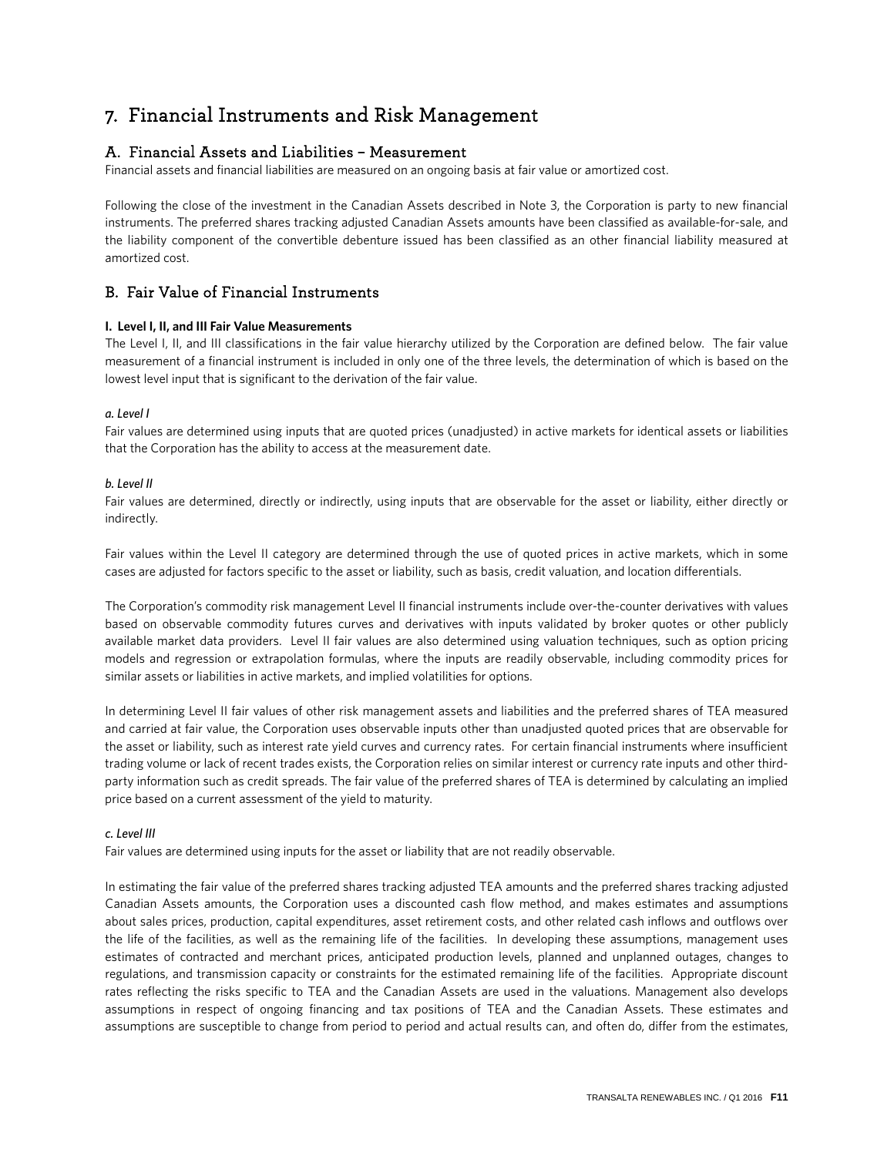## 7. Financial Instruments and Risk Management

### A. Financial Assets and Liabilities – Measurement

Financial assets and financial liabilities are measured on an ongoing basis at fair value or amortized cost.

Following the close of the investment in the Canadian Assets described in Note 3, the Corporation is party to new financial instruments. The preferred shares tracking adjusted Canadian Assets amounts have been classified as available-for-sale, and the liability component of the convertible debenture issued has been classified as an other financial liability measured at amortized cost.

### B. Fair Value of Financial Instruments

### **I. Level I, II, and III Fair Value Measurements**

The Level I, II, and III classifications in the fair value hierarchy utilized by the Corporation are defined below. The fair value measurement of a financial instrument is included in only one of the three levels, the determination of which is based on the lowest level input that is significant to the derivation of the fair value.

### *a. Level I*

Fair values are determined using inputs that are quoted prices (unadjusted) in active markets for identical assets or liabilities that the Corporation has the ability to access at the measurement date.

### *b. Level II*

Fair values are determined, directly or indirectly, using inputs that are observable for the asset or liability, either directly or indirectly.

Fair values within the Level II category are determined through the use of quoted prices in active markets, which in some cases are adjusted for factors specific to the asset or liability, such as basis, credit valuation, and location differentials.

The Corporation's commodity risk management Level II financial instruments include over-the-counter derivatives with values based on observable commodity futures curves and derivatives with inputs validated by broker quotes or other publicly available market data providers. Level II fair values are also determined using valuation techniques, such as option pricing models and regression or extrapolation formulas, where the inputs are readily observable, including commodity prices for similar assets or liabilities in active markets, and implied volatilities for options.

In determining Level II fair values of other risk management assets and liabilities and the preferred shares of TEA measured and carried at fair value, the Corporation uses observable inputs other than unadjusted quoted prices that are observable for the asset or liability, such as interest rate yield curves and currency rates. For certain financial instruments where insufficient trading volume or lack of recent trades exists, the Corporation relies on similar interest or currency rate inputs and other thirdparty information such as credit spreads. The fair value of the preferred shares of TEA is determined by calculating an implied price based on a current assessment of the yield to maturity.

#### *c. Level III*

Fair values are determined using inputs for the asset or liability that are not readily observable.

In estimating the fair value of the preferred shares tracking adjusted TEA amounts and the preferred shares tracking adjusted Canadian Assets amounts, the Corporation uses a discounted cash flow method, and makes estimates and assumptions about sales prices, production, capital expenditures, asset retirement costs, and other related cash inflows and outflows over the life of the facilities, as well as the remaining life of the facilities. In developing these assumptions, management uses estimates of contracted and merchant prices, anticipated production levels, planned and unplanned outages, changes to regulations, and transmission capacity or constraints for the estimated remaining life of the facilities. Appropriate discount rates reflecting the risks specific to TEA and the Canadian Assets are used in the valuations. Management also develops assumptions in respect of ongoing financing and tax positions of TEA and the Canadian Assets. These estimates and assumptions are susceptible to change from period to period and actual results can, and often do, differ from the estimates,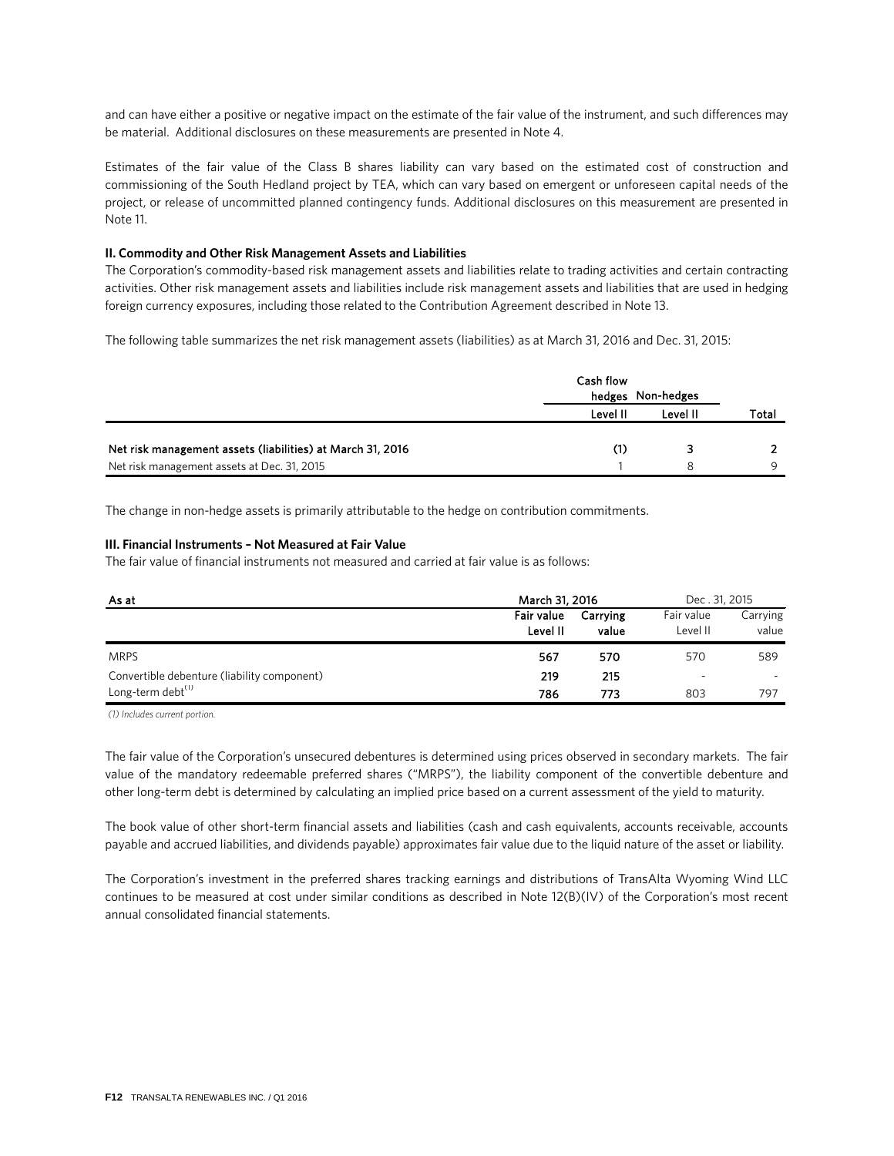and can have either a positive or negative impact on the estimate of the fair value of the instrument, and such differences may be material. Additional disclosures on these measurements are presented in Note 4.

Estimates of the fair value of the Class B shares liability can vary based on the estimated cost of construction and commissioning of the South Hedland project by TEA, which can vary based on emergent or unforeseen capital needs of the project, or release of uncommitted planned contingency funds. Additional disclosures on this measurement are presented in Note 11.

### **II. Commodity and Other Risk Management Assets and Liabilities**

The Corporation's commodity-based risk management assets and liabilities relate to trading activities and certain contracting activities. Other risk management assets and liabilities include risk management assets and liabilities that are used in hedging foreign currency exposures, including those related to the Contribution Agreement described in Note 13.

The following table summarizes the net risk management assets (liabilities) as at March 31, 2016 and Dec. 31, 2015:

|                                                            | Cash flow |                   |       |  |  |
|------------------------------------------------------------|-----------|-------------------|-------|--|--|
|                                                            |           | hedges Non-hedges |       |  |  |
|                                                            | Level II  | Level II          | Total |  |  |
|                                                            |           |                   |       |  |  |
| Net risk management assets (liabilities) at March 31, 2016 | (1)       |                   |       |  |  |
| Net risk management assets at Dec. 31, 2015                |           |                   |       |  |  |

The change in non-hedge assets is primarily attributable to the hedge on contribution commitments.

#### **III. Financial Instruments – Not Measured at Fair Value**

The fair value of financial instruments not measured and carried at fair value is as follows:

| As at                                       | March 31, 2016         | Dec. 31, 2015     |                          |                   |
|---------------------------------------------|------------------------|-------------------|--------------------------|-------------------|
|                                             | Fair value<br>Level II | Carrving<br>value | Fair value<br>Level II   | Carrying<br>value |
| <b>MRPS</b>                                 | 567                    | 570               | 570                      | 589               |
| Convertible debenture (liability component) | 219                    | 215               | $\overline{\phantom{a}}$ | $\overline{a}$    |
| Long-term debt <sup>(1)</sup>               | 786                    | 773               | 803                      | 797               |

*(1) Iodmveet dvsseou ppsuipo.*

The fair value of the Corporation's unsecured debentures is determined using prices observed in secondary markets. The fair value of the mandatory redeemable preferred shares ("MRPS"), the liability component of the convertible debenture and other long-term debt is determined by calculating an implied price based on a current assessment of the yield to maturity.

The book value of other short-term financial assets and liabilities (cash and cash equivalents, accounts receivable, accounts payable and accrued liabilities, and dividends payable) approximates fair value due to the liquid nature of the asset or liability.

The Corporation's investment in the preferred shares tracking earnings and distributions of TransAlta Wyoming Wind LLC continues to be measured at cost under similar conditions as described in Note 12(B)(IV) of the Corporation's most recent annual consolidated financial statements.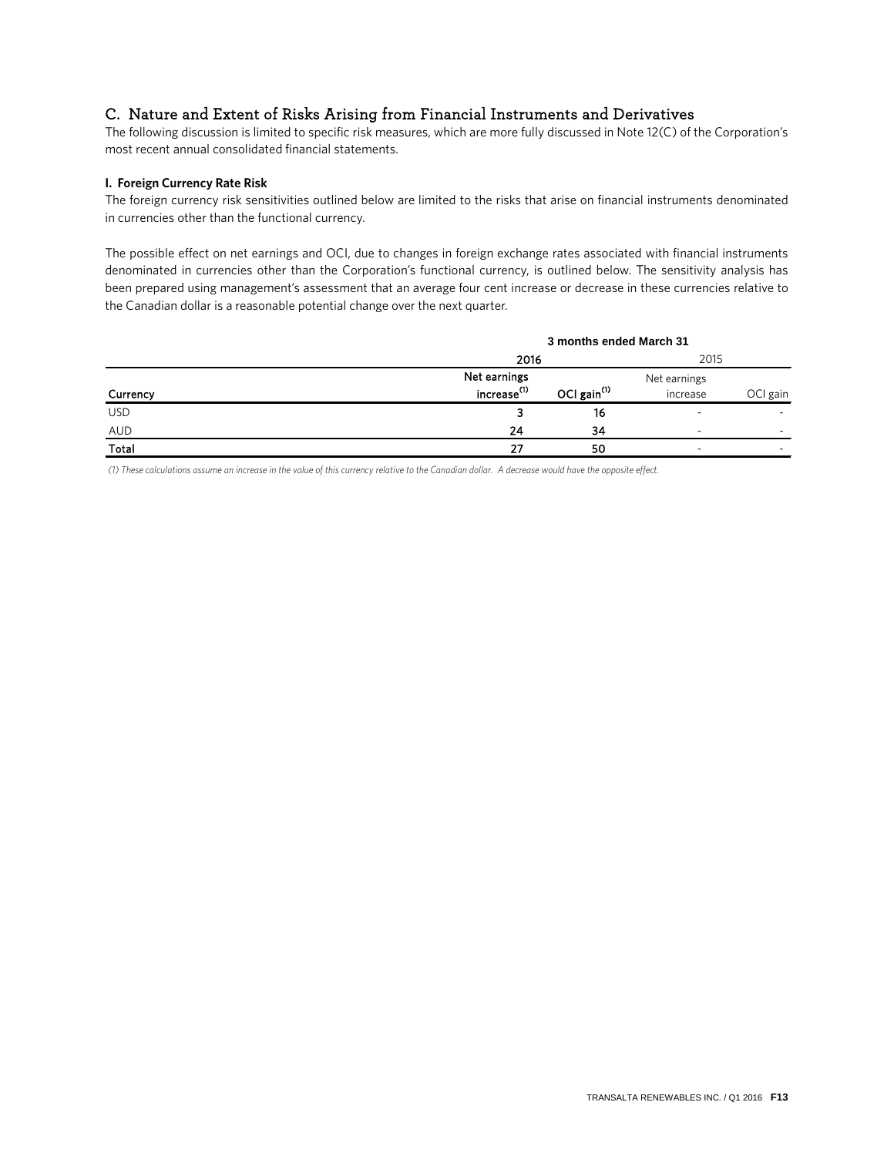### C. Nature and Extent of Risks Arising from Financial Instruments and Derivatives

The following discussion is limited to specific risk measures, which are more fully discussed in Note 12(C) of the Corporation's most recent annual consolidated financial statements.

### **I. Foreign Currency Rate Risk**

The foreign currency risk sensitivities outlined below are limited to the risks that arise on financial instruments denominated in currencies other than the functional currency.

The possible effect on net earnings and OCI, due to changes in foreign exchange rates associated with financial instruments denominated in currencies other than the Corporation's functional currency, is outlined below. The sensitivity analysis has been prepared using management's assessment that an average four cent increase or decrease in these currencies relative to the Canadian dollar is a reasonable potential change over the next quarter.

|            |                                           | 3 months ended March 31 |                          |          |  |  |
|------------|-------------------------------------------|-------------------------|--------------------------|----------|--|--|
|            |                                           | 2016                    |                          |          |  |  |
|            | Net earnings                              |                         | Net earnings             |          |  |  |
| Currency   | increase <sup>(1)</sup><br>OCI gain $(1)$ |                         | increase                 | OCI gain |  |  |
| <b>USD</b> |                                           | 16                      | $\overline{\phantom{a}}$ |          |  |  |
| AUD        | 24                                        | 34                      | $\overline{\phantom{a}}$ | $\sim$   |  |  |
| Total      | 27                                        | 50                      |                          |          |  |  |

*(1) Tiete calculauioot attune ao iocseate io uie value og uiit cusseocy selauive uo uie Caoaeiao eollas. A eecseate woule iave uie oppotiue eggecu.*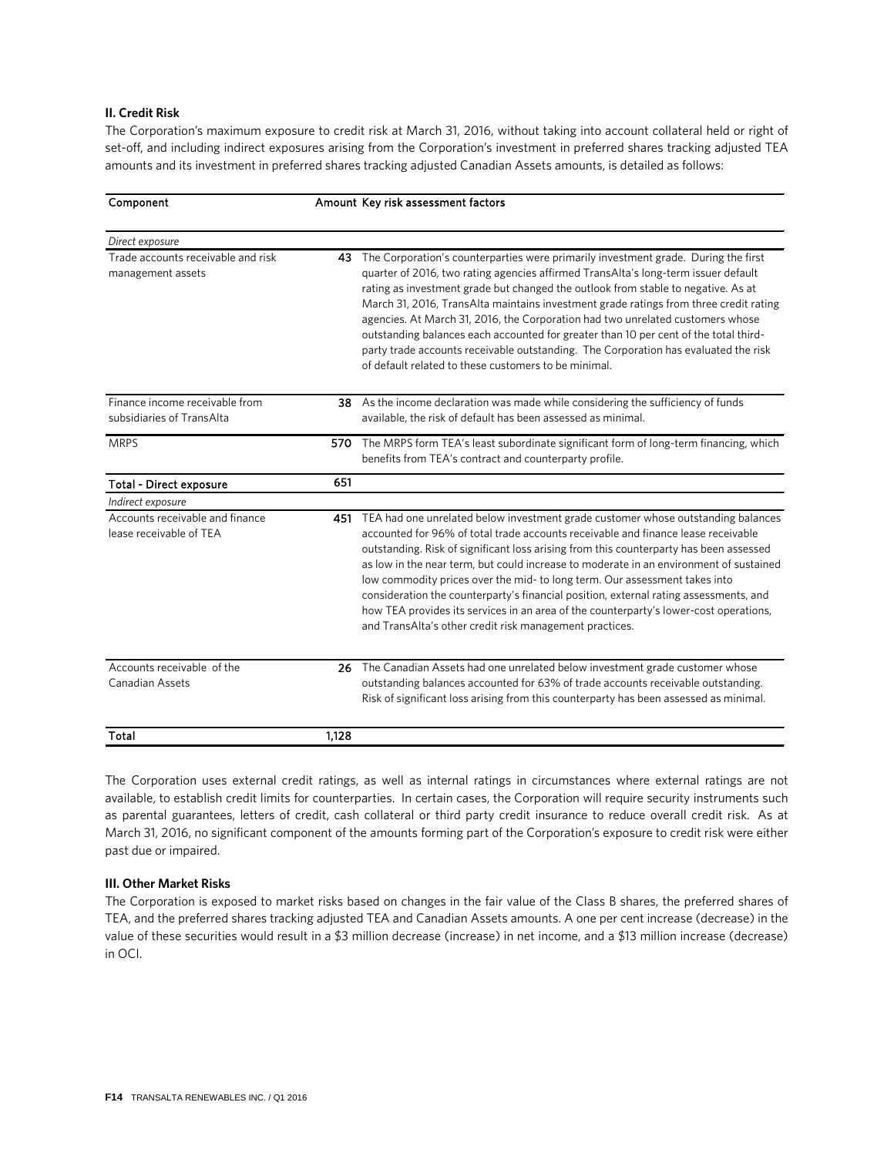### **II. Credit Risk**

The Corporation's maximum exposure to credit risk at March 31, 2016, without taking into account collateral held or right of set-off, and including indirect exposures arising from the Corporation's investment in preferred shares tracking adjusted TEA amounts and its investment in preferred shares tracking adjusted Canadian Assets amounts, is detailed as follows:

| Component                                                   |       | Amount Key risk assessment factors                                                                                                                                                                                                                                                                                                                                                                                                                                                                                                                                                                                                                                                       |
|-------------------------------------------------------------|-------|------------------------------------------------------------------------------------------------------------------------------------------------------------------------------------------------------------------------------------------------------------------------------------------------------------------------------------------------------------------------------------------------------------------------------------------------------------------------------------------------------------------------------------------------------------------------------------------------------------------------------------------------------------------------------------------|
| Direct exposure                                             |       |                                                                                                                                                                                                                                                                                                                                                                                                                                                                                                                                                                                                                                                                                          |
| Trade accounts receivable and risk<br>management assets     | 43    | The Corporation's counterparties were primarily investment grade. During the first<br>quarter of 2016, two rating agencies affirmed TransAlta's long-term issuer default<br>rating as investment grade but changed the outlook from stable to negative. As at<br>March 31, 2016, TransAlta maintains investment grade ratings from three credit rating<br>agencies. At March 31, 2016, the Corporation had two unrelated customers whose<br>outstanding balances each accounted for greater than 10 per cent of the total third-<br>party trade accounts receivable outstanding. The Corporation has evaluated the risk<br>of default related to these customers to be minimal.          |
| Finance income receivable from<br>subsidiaries of TransAlta |       | 38 As the income declaration was made while considering the sufficiency of funds<br>available, the risk of default has been assessed as minimal.                                                                                                                                                                                                                                                                                                                                                                                                                                                                                                                                         |
| <b>MRPS</b>                                                 | 570   | The MRPS form TEA's least subordinate significant form of long-term financing, which<br>benefits from TEA's contract and counterparty profile.                                                                                                                                                                                                                                                                                                                                                                                                                                                                                                                                           |
| <b>Total - Direct exposure</b>                              | 651   |                                                                                                                                                                                                                                                                                                                                                                                                                                                                                                                                                                                                                                                                                          |
| Indirect exposure                                           |       |                                                                                                                                                                                                                                                                                                                                                                                                                                                                                                                                                                                                                                                                                          |
| Accounts receivable and finance<br>lease receivable of TEA  |       | 451 TEA had one unrelated below investment grade customer whose outstanding balances<br>accounted for 96% of total trade accounts receivable and finance lease receivable<br>outstanding. Risk of significant loss arising from this counterparty has been assessed<br>as low in the near term, but could increase to moderate in an environment of sustained<br>low commodity prices over the mid- to long term. Our assessment takes into<br>consideration the counterparty's financial position, external rating assessments, and<br>how TEA provides its services in an area of the counterparty's lower-cost operations,<br>and TransAlta's other credit risk management practices. |
| Accounts receivable of the<br>Canadian Assets               |       | 26 The Canadian Assets had one unrelated below investment grade customer whose<br>outstanding balances accounted for 63% of trade accounts receivable outstanding.<br>Risk of significant loss arising from this counterparty has been assessed as minimal.                                                                                                                                                                                                                                                                                                                                                                                                                              |
| Total                                                       | 1,128 |                                                                                                                                                                                                                                                                                                                                                                                                                                                                                                                                                                                                                                                                                          |

The Corporation uses external credit ratings, as well as internal ratings in circumstances where external ratings are not available, to establish credit limits for counterparties. In certain cases, the Corporation will require security instruments such as parental guarantees, letters of credit, cash collateral or third party credit insurance to reduce overall credit risk. As at March 31, 2016, no significant component of the amounts forming part of the Corporation's exposure to credit risk were either past due or impaired.

### **III. Other Market Risks**

The Corporation is exposed to market risks based on changes in the fair value of the Class B shares, the preferred shares of TEA, and the preferred shares tracking adjusted TEA and Canadian Assets amounts. A one per cent increase (decrease) in the value of these securities would result in a \$3 million decrease (increase) in net income, and a \$13 million increase (decrease) in OCI.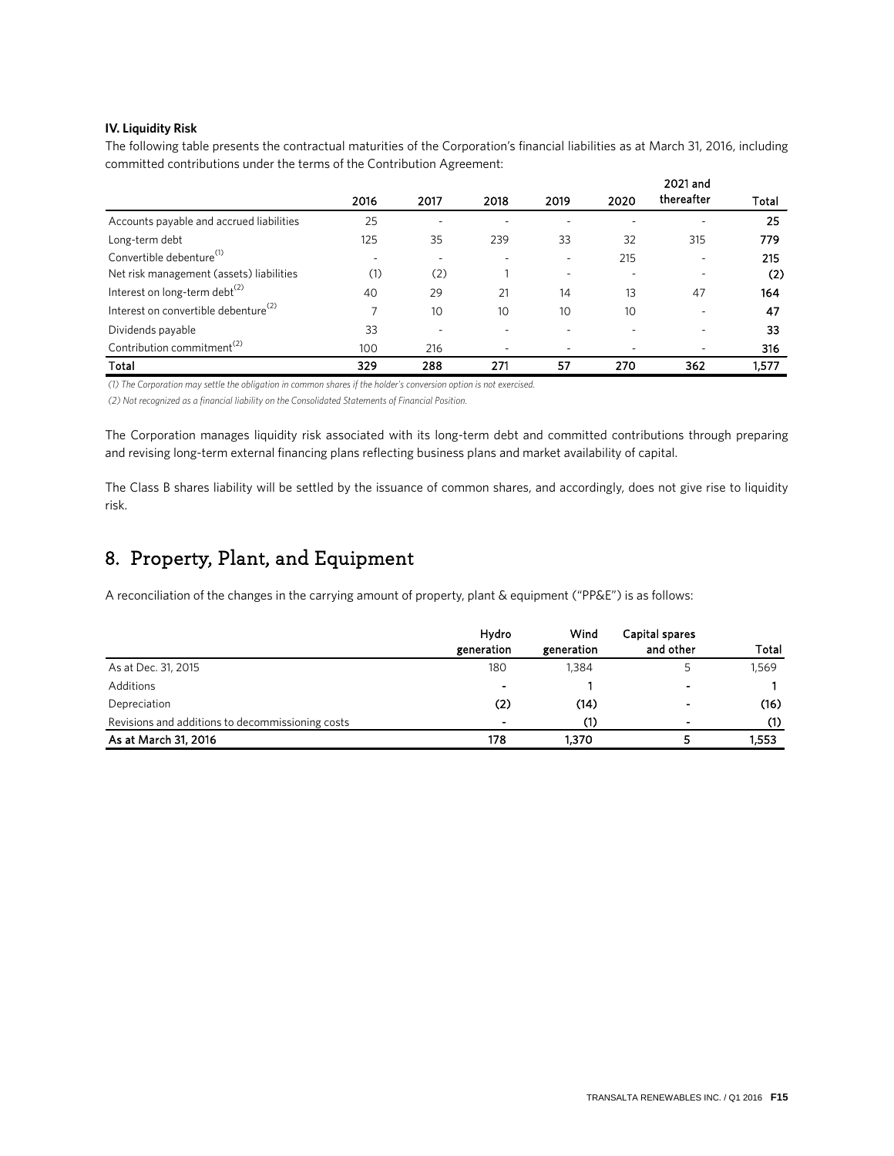### **IV. Liquidity Risk**

The following table presents the contractual maturities of the Corporation's financial liabilities as at March 31, 2016, including committed contributions under the terms of the Contribution Agreement:

|                                                  |                          |                          | 2021 and |                          |      |            |       |  |
|--------------------------------------------------|--------------------------|--------------------------|----------|--------------------------|------|------------|-------|--|
|                                                  | 2016                     | 2017                     | 2018     | 2019                     | 2020 | thereafter | Total |  |
| Accounts payable and accrued liabilities         | 25                       | $\overline{\phantom{a}}$ |          |                          |      | ۰          | 25    |  |
| Long-term debt                                   | 125                      | 35                       | 239      | 33                       | 32   | 315        | 779   |  |
| Convertible debenture <sup>(1)</sup>             | $\overline{\phantom{a}}$ | $\overline{\phantom{a}}$ |          | $\overline{\phantom{a}}$ | 215  | ۰          | 215   |  |
| Net risk management (assets) liabilities         | (1)                      | (2)                      |          | $\overline{\phantom{a}}$ |      | ٠          | (2)   |  |
| Interest on long-term debt <sup>(2)</sup>        | 40                       | 29                       | 21       | 14                       | 13   | 47         | 164   |  |
| Interest on convertible debenture <sup>(2)</sup> |                          | 10                       | 10       | 10                       | 10   | ۰          | 47    |  |
| Dividends payable                                | 33                       | $\overline{\phantom{a}}$ | ۰        |                          |      | ٠          | 33    |  |
| Contribution commitment <sup>(2)</sup>           | 100                      | 216                      |          |                          |      | -          | 316   |  |
| Total                                            | 329                      | 288                      | 271      | 57                       | 270  | 362        | 1,577 |  |

(1) The Corporation may settle the obligation in common shares if the holder's conversion option is not exercised.

(2) Not recognized as a financial liability on the Consolidated Statements of Financial Position.

The Corporation manages liquidity risk associated with its long-term debt and committed contributions through preparing and revising long-term external financing plans reflecting business plans and market availability of capital.

The Class B shares liability will be settled by the issuance of common shares, and accordingly, does not give rise to liquidity risk.

## 8. Property, Plant, and Equipment

A reconciliation of the changes in the carrying amount of property, plant & equipment ("PP&E") is as follows:

|                                                  | Hydro<br>generation | Wind<br>generation | Capital spares<br>and other | Total |
|--------------------------------------------------|---------------------|--------------------|-----------------------------|-------|
| As at Dec. 31, 2015                              | 180                 | 1,384              |                             | 1,569 |
| Additions                                        | $\sim$              |                    | $\blacksquare$              |       |
| Depreciation                                     | (2)                 | (14)               | $\blacksquare$              | (16)  |
| Revisions and additions to decommissioning costs | -                   | (1)                | $\blacksquare$              | (1)   |
| As at March 31, 2016                             | 178                 | 1.370              |                             | 1,553 |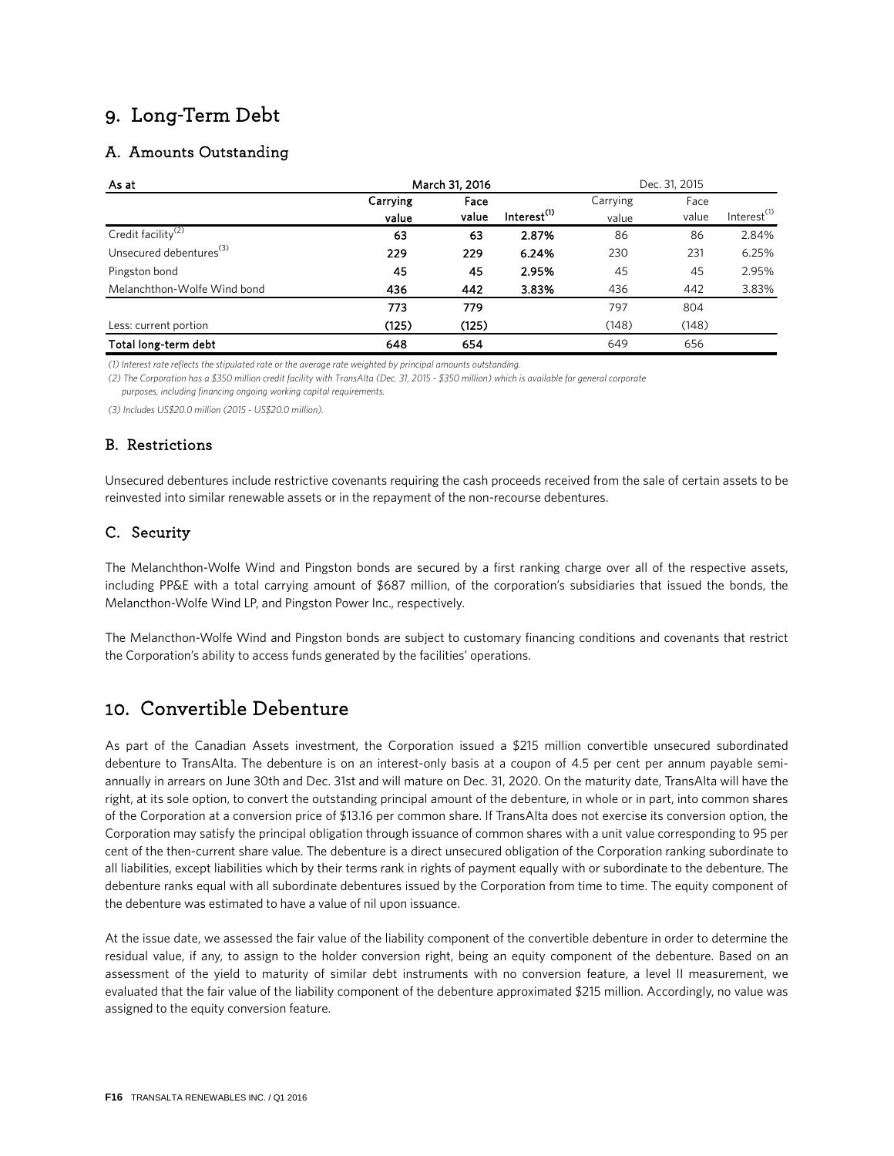## 9. Long-Term Debt

### A. Amounts Outstanding

| As at                               | March 31, 2016   |       |                         |       | Dec. 31, 2015 |                         |
|-------------------------------------|------------------|-------|-------------------------|-------|---------------|-------------------------|
|                                     | Carrying<br>Face |       | Carrying                | Face  |               |                         |
|                                     | value            | value | Interest <sup>(1)</sup> | value | value         | Interest <sup>(1)</sup> |
| Credit facility <sup>(2)</sup>      | 63               | 63    | 2.87%                   | 86    | 86            | 2.84%                   |
| Unsecured debentures <sup>(3)</sup> | 229              | 229   | 6.24%                   | 230   | 231           | 6.25%                   |
| Pingston bond                       | 45               | 45    | 2.95%                   | 45    | 45            | 2.95%                   |
| Melanchthon-Wolfe Wind bond         | 436              | 442   | 3.83%                   | 436   | 442           | 3.83%                   |
|                                     | 773              | 779   |                         | 797   | 804           |                         |
| Less: current portion               | (125)            | (125) |                         | (148) | (148)         |                         |
| Total long-term debt                | 648              | 654   |                         | 649   | 656           |                         |

(1) Interest rate reflects the stipulated rate or the average rate weighted by principal amounts outstanding.

(2) The Corporation has a \$350 million credit facility with TransAlta (Dec. 31, 2015 - \$350 million) which is available for general corporate purposes, including financing ongoing working capital requirements.

*(3) Iodmveft US\$29.9 nimmipo (2915 ) US\$29.9 nimmipo).*

### B. Restrictions

Unsecured debentures include restrictive covenants requiring the cash proceeds received from the sale of certain assets to be reinvested into similar renewable assets or in the repayment of the non-recourse debentures.

### C. Security

The Melanchthon-Wolfe Wind and Pingston bonds are secured by a first ranking charge over all of the respective assets, including PP&E with a total carrying amount of \$687 million, of the corporation's subsidiaries that issued the bonds, the Melancthon-Wolfe Wind LP, and Pingston Power Inc., respectively.

The Melancthon-Wolfe Wind and Pingston bonds are subject to customary financing conditions and covenants that restrict the Corporation's ability to access funds generated by the facilities' operations.

## 10. Convertible Debenture

As part of the Canadian Assets investment, the Corporation issued a \$215 million convertible unsecured subordinated debenture to TransAlta. The debenture is on an interest-only basis at a coupon of 4.5 per cent per annum payable semiannually in arrears on June 30th and Dec. 31st and will mature on Dec. 31, 2020. On the maturity date, TransAlta will have the right, at its sole option, to convert the outstanding principal amount of the debenture, in whole or in part, into common shares of the Corporation at a conversion price of \$13.16 per common share. If TransAlta does not exercise its conversion option, the Corporation may satisfy the principal obligation through issuance of common shares with a unit value corresponding to 95 per cent of the then-current share value. The debenture is a direct unsecured obligation of the Corporation ranking subordinate to all liabilities, except liabilities which by their terms rank in rights of payment equally with or subordinate to the debenture. The debenture ranks equal with all subordinate debentures issued by the Corporation from time to time. The equity component of the debenture was estimated to have a value of nil upon issuance.

At the issue date, we assessed the fair value of the liability component of the convertible debenture in order to determine the residual value, if any, to assign to the holder conversion right, being an equity component of the debenture. Based on an assessment of the yield to maturity of similar debt instruments with no conversion feature, a level II measurement, we evaluated that the fair value of the liability component of the debenture approximated \$215 million. Accordingly, no value was assigned to the equity conversion feature.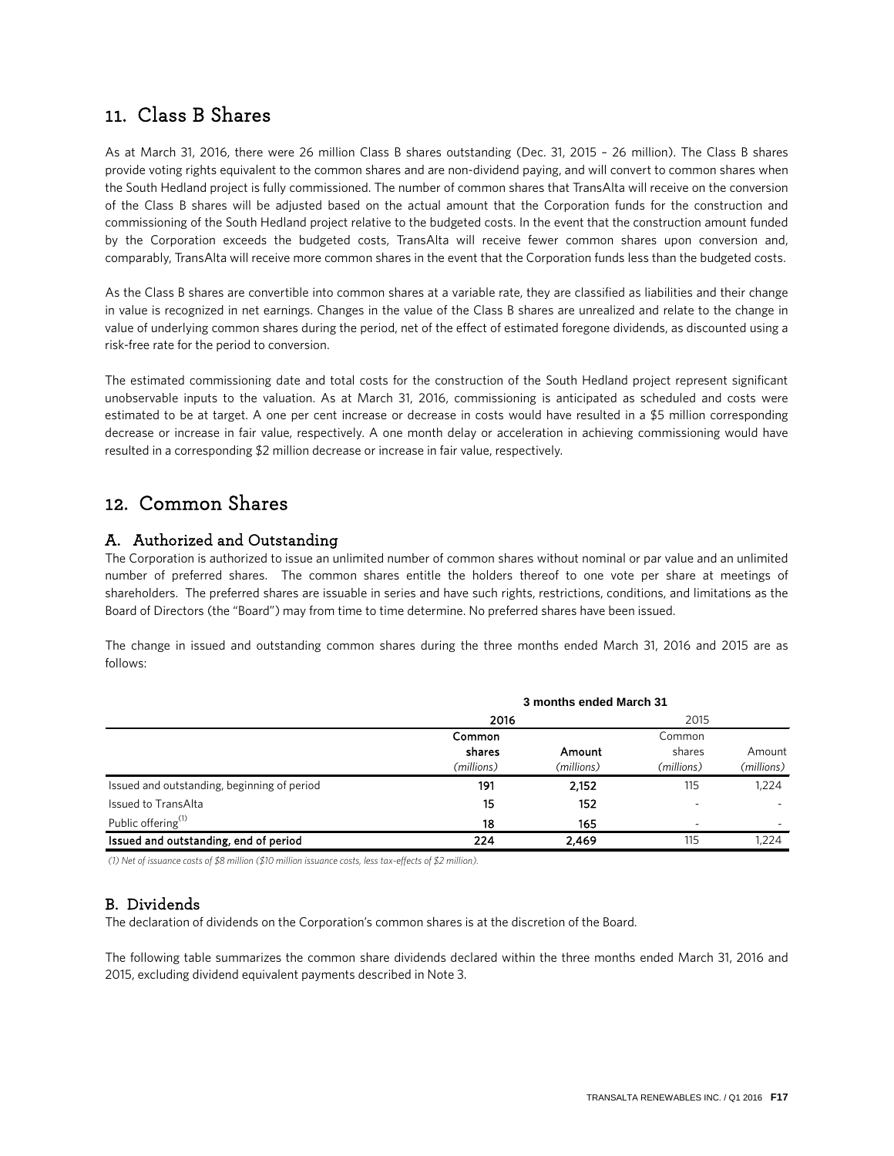### 11. Class B Shares

As at March 31, 2016, there were 26 million Class B shares outstanding (Dec. 31, 2015 – 26 million). The Class B shares provide voting rights equivalent to the common shares and are non-dividend paying, and will convert to common shares when the South Hedland project is fully commissioned. The number of common shares that TransAlta will receive on the conversion of the Class B shares will be adjusted based on the actual amount that the Corporation funds for the construction and commissioning of the South Hedland project relative to the budgeted costs. In the event that the construction amount funded by the Corporation exceeds the budgeted costs, TransAlta will receive fewer common shares upon conversion and, comparably, TransAlta will receive more common shares in the event that the Corporation funds less than the budgeted costs.

As the Class B shares are convertible into common shares at a variable rate, they are classified as liabilities and their change in value is recognized in net earnings. Changes in the value of the Class B shares are unrealized and relate to the change in value of underlying common shares during the period, net of the effect of estimated foregone dividends, as discounted using a risk-free rate for the period to conversion.

The estimated commissioning date and total costs for the construction of the South Hedland project represent significant unobservable inputs to the valuation. As at March 31, 2016, commissioning is anticipated as scheduled and costs were estimated to be at target. A one per cent increase or decrease in costs would have resulted in a \$5 million corresponding decrease or increase in fair value, respectively. A one month delay or acceleration in achieving commissioning would have resulted in a corresponding \$2 million decrease or increase in fair value, respectively.

### 12. Common Shares

### A. Authorized and Outstanding

The Corporation is authorized to issue an unlimited number of common shares without nominal or par value and an unlimited number of preferred shares. The common shares entitle the holders thereof to one vote per share at meetings of shareholders. The preferred shares are issuable in series and have such rights, restrictions, conditions, and limitations as the Board of Directors (the "Board") may from time to time determine. No preferred shares have been issued.

The change in issued and outstanding common shares during the three months ended March 31, 2016 and 2015 are as follows:

|                                             | 3 months ended March 31 |            |                          |                     |  |
|---------------------------------------------|-------------------------|------------|--------------------------|---------------------|--|
|                                             | 2016                    |            | 2015                     |                     |  |
|                                             | Common                  |            | Common                   |                     |  |
|                                             | shares                  | Amount     | shares                   | Amount              |  |
|                                             | (millions)<br>191       | (millions) | (millions)<br>115        | (millions)<br>1,224 |  |
| Issued and outstanding, beginning of period |                         | 2,152      |                          |                     |  |
| Issued to TransAlta                         | 15                      | 152        |                          |                     |  |
| Public offering <sup>(1)</sup>              | 18                      | 165        | $\overline{\phantom{a}}$ |                     |  |
| Issued and outstanding, end of period       | 224                     | 2,469      | 115                      | 1.224               |  |

*(1) Net of issuance costs of \$8 million (\$10 million issuance costs, less tax-effects of \$2 million).* 

### B. Dividends

The declaration of dividends on the Corporation's common shares is at the discretion of the Board.

The following table summarizes the common share dividends declared within the three months ended March 31, 2016 and 2015, excluding dividend equivalent payments described in Note 3.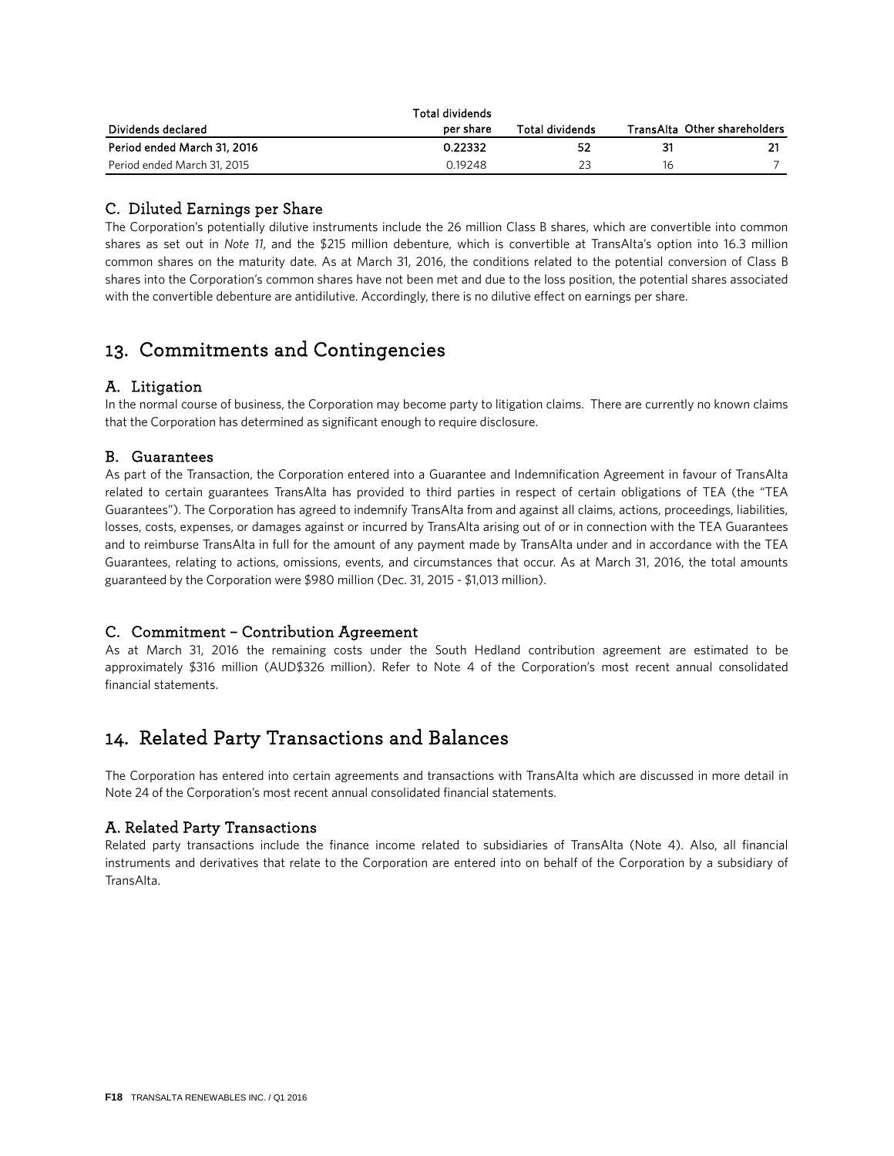|                             | Total dividends |                 |    |                              |
|-----------------------------|-----------------|-----------------|----|------------------------------|
| Dividends declared          | per share       | Total dividends |    | TransAlta Other shareholders |
| Period ended March 31, 2016 | 0.22332         | 52              | 31 |                              |
| Period ended March 31, 2015 | 0.19248         |                 | 16 |                              |

### C. Diluted Earnings per Share

The Corporation's potentially dilutive instruments include the 26 million Class B shares, which are convertible into common shares as set out in *Note 11*, and the \$215 million debenture, which is convertible at TransAlta's option into 16.3 million common shares on the maturity date. As at March 31, 2016, the conditions related to the potential conversion of Class B shares into the Corporation's common shares have not been met and due to the loss position, the potential shares associated with the convertible debenture are antidilutive. Accordingly, there is no dilutive effect on earnings per share.

## 13. Commitments and Contingencies

### A. Litigation

In the normal course of business, the Corporation may become party to litigation claims. There are currently no known claims that the Corporation has determined as significant enough to require disclosure.

### B. Guarantees

As part of the Transaction, the Corporation entered into a Guarantee and Indemnification Agreement in favour of TransAlta related to certain guarantees TransAlta has provided to third parties in respect of certain obligations of TEA (the "TEA Guarantees"). The Corporation has agreed to indemnify TransAlta from and against all claims, actions, proceedings, liabilities, losses, costs, expenses, or damages against or incurred by TransAlta arising out of or in connection with the TEA Guarantees and to reimburse TransAlta in full for the amount of any payment made by TransAlta under and in accordance with the TEA Guarantees, relating to actions, omissions, events, and circumstances that occur. As at March 31, 2016, the total amounts guaranteed by the Corporation were \$980 million (Dec. 31, 2015 - \$1,013 million).

### C. Commitment – Contribution Agreement

As at March 31, 2016 the remaining costs under the South Hedland contribution agreement are estimated to be approximately \$316 million (AUD\$326 million). Refer to Note 4 of the Corporation's most recent annual consolidated financial statements.

## 14. Related Party Transactions and Balances

The Corporation has entered into certain agreements and transactions with TransAlta which are discussed in more detail in Note 24 of the Corporation's most recent annual consolidated financial statements.

### A. Related Party Transactions

Related party transactions include the finance income related to subsidiaries of TransAlta (Note 4). Also, all financial instruments and derivatives that relate to the Corporation are entered into on behalf of the Corporation by a subsidiary of **TransAlta**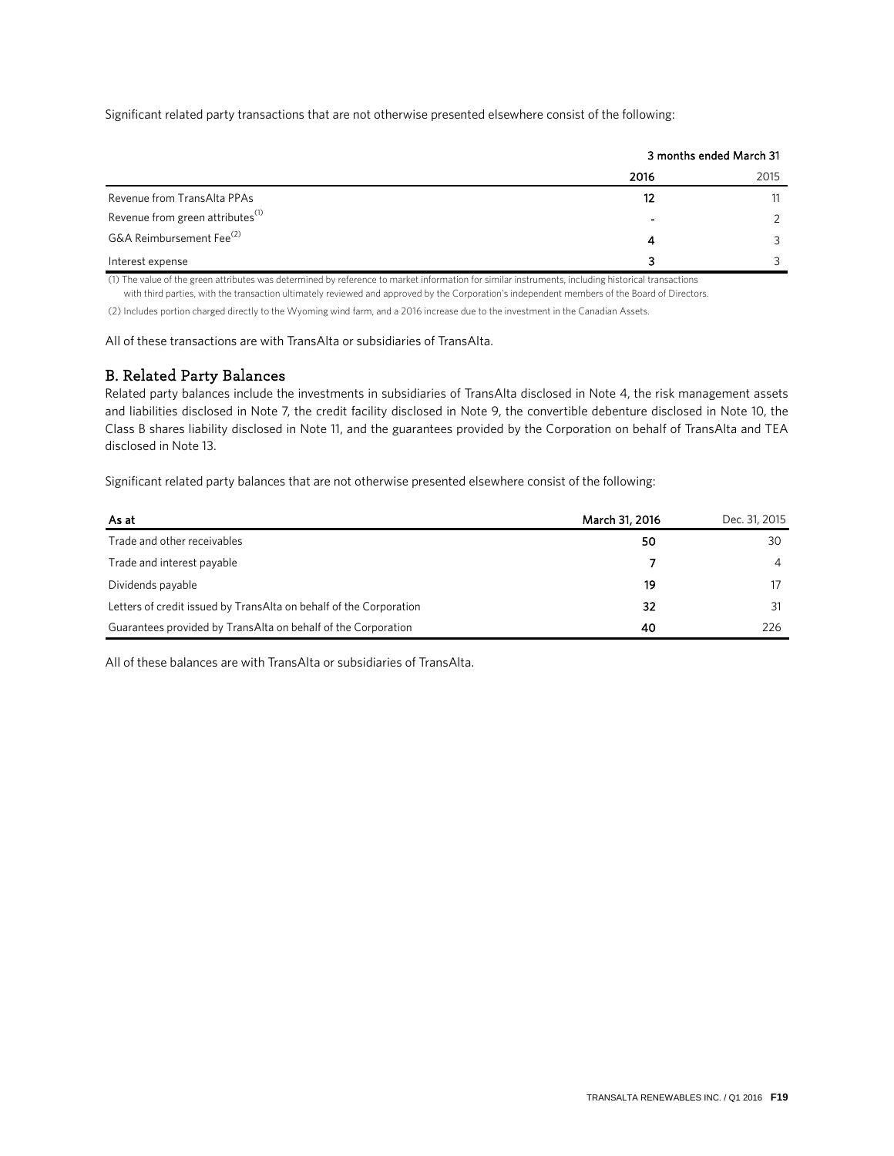Significant related party transactions that are not otherwise presented elsewhere consist of the following:

|                                              | 3 months ended March 31 |      |
|----------------------------------------------|-------------------------|------|
|                                              | 2016                    | 2015 |
| Revenue from TransAlta PPAs                  | 12                      |      |
| Revenue from green attributes <sup>(1)</sup> |                         |      |
| G&A Reimbursement Fee <sup>(2)</sup>         | 4                       |      |
| Interest expense                             | 3                       |      |

(1) The value of the green attributes was determined by reference to market information for similar instruments, including historical transactions

with third parties, with the transaction ultimately reviewed and approved by the Corporation's independent members of the Board of Directors.

(2) Includes portion charged directly to the Wyoming wind farm, and a 2016 increase due to the investment in the Canadian Assets.

All of these transactions are with TransAlta or subsidiaries of TransAlta.

### B. Related Party Balances

Related party balances include the investments in subsidiaries of TransAlta disclosed in Note 4, the risk management assets and liabilities disclosed in Note 7, the credit facility disclosed in Note 9, the convertible debenture disclosed in Note 10, the Class B shares liability disclosed in Note 11, and the guarantees provided by the Corporation on behalf of TransAlta and TEA disclosed in Note 13.

Significant related party balances that are not otherwise presented elsewhere consist of the following:

| As at                                                              | March 31, 2016 | Dec. 31, 2015 |
|--------------------------------------------------------------------|----------------|---------------|
| Trade and other receivables                                        | 50             | 30            |
| Trade and interest payable                                         |                | 4             |
| Dividends payable                                                  | 19             |               |
| Letters of credit issued by TransAlta on behalf of the Corporation | 32             |               |
| Guarantees provided by TransAlta on behalf of the Corporation      | 40             | 226           |

All of these balances are with TransAlta or subsidiaries of TransAlta.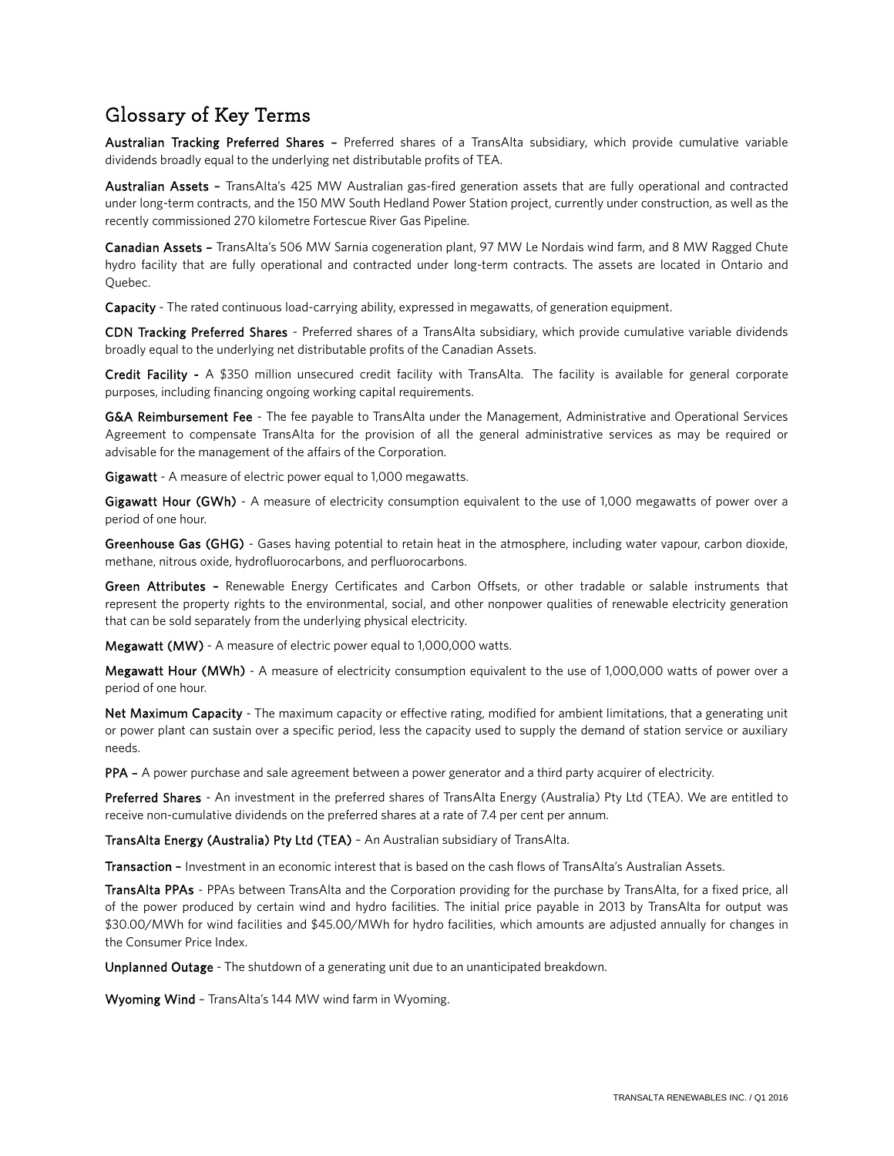## Glossary of Key Terms

Australian Tracking Preferred Shares – Preferred shares of a TransAlta subsidiary, which provide cumulative variable dividends broadly equal to the underlying net distributable profits of TEA.

Australian Assets – TransAlta's 425 MW Australian gas-fired generation assets that are fully operational and contracted under long-term contracts, and the 150 MW South Hedland Power Station project, currently under construction, as well as the recently commissioned 270 kilometre Fortescue River Gas Pipeline.

Canadian Assets – TransAlta's 506 MW Sarnia cogeneration plant, 97 MW Le Nordais wind farm, and 8 MW Ragged Chute hydro facility that are fully operational and contracted under long-term contracts. The assets are located in Ontario and Quebec.

Capacity - The rated continuous load-carrying ability, expressed in megawatts, of generation equipment.

CDN Tracking Preferred Shares - Preferred shares of a TransAlta subsidiary, which provide cumulative variable dividends broadly equal to the underlying net distributable profits of the Canadian Assets.

Credit Facility - A \$350 million unsecured credit facility with TransAlta. The facility is available for general corporate purposes, including financing ongoing working capital requirements.

G&A Reimbursement Fee - The fee payable to TransAlta under the Management, Administrative and Operational Services Agreement to compensate TransAlta for the provision of all the general administrative services as may be required or advisable for the management of the affairs of the Corporation.

Gigawatt - A measure of electric power equal to 1,000 megawatts.

Gigawatt Hour (GWh) - A measure of electricity consumption equivalent to the use of 1,000 megawatts of power over a period of one hour.

Greenhouse Gas (GHG) - Gases having potential to retain heat in the atmosphere, including water vapour, carbon dioxide, methane, nitrous oxide, hydrofluorocarbons, and perfluorocarbons.

Green Attributes - Renewable Energy Certificates and Carbon Offsets, or other tradable or salable instruments that represent the property rights to the environmental, social, and other nonpower qualities of renewable electricity generation that can be sold separately from the underlying physical electricity.

Megawatt (MW) - A measure of electric power equal to 1,000,000 watts.

Megawatt Hour (MWh) - A measure of electricity consumption equivalent to the use of 1,000,000 watts of power over a period of one hour.

Net Maximum Capacity - The maximum capacity or effective rating, modified for ambient limitations, that a generating unit or power plant can sustain over a specific period, less the capacity used to supply the demand of station service or auxiliary needs.

PPA – A power purchase and sale agreement between a power generator and a third party acquirer of electricity.

Preferred Shares - An investment in the preferred shares of TransAlta Energy (Australia) Pty Ltd (TEA). We are entitled to receive non-cumulative dividends on the preferred shares at a rate of 7.4 per cent per annum.

TransAlta Energy (Australia) Pty Ltd (TEA) – An Australian subsidiary of TransAlta.

Transaction – Investment in an economic interest that is based on the cash flows of TransAlta's Australian Assets.

TransAlta PPAs - PPAs between TransAlta and the Corporation providing for the purchase by TransAlta, for a fixed price, all of the power produced by certain wind and hydro facilities. The initial price payable in 2013 by TransAlta for output was \$30.00/MWh for wind facilities and \$45.00/MWh for hydro facilities, which amounts are adjusted annually for changes in the Consumer Price Index.

Unplanned Outage - The shutdown of a generating unit due to an unanticipated breakdown.

Wyoming Wind – TransAlta's 144 MW wind farm in Wyoming.